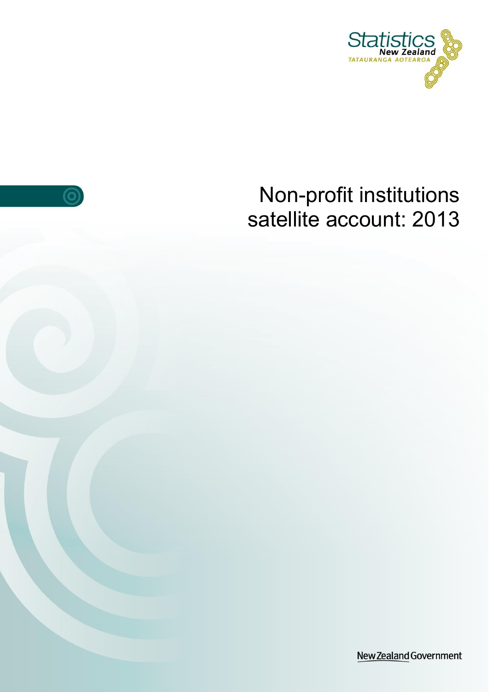

# Non-profit institutions satellite account: 2013

 $\odot$ 

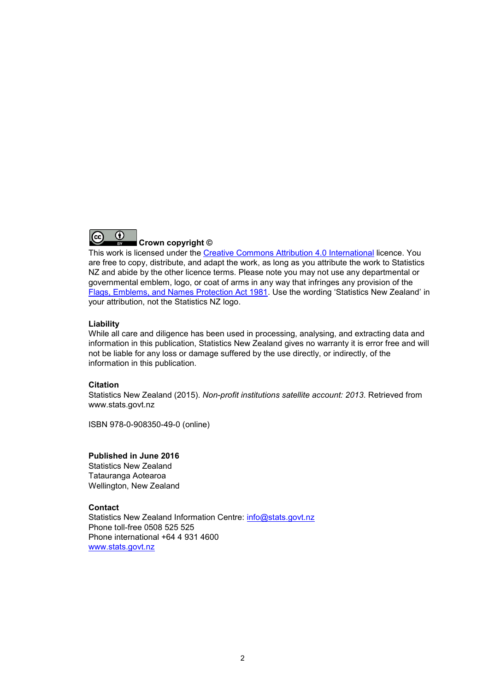

**Crown copyright ©**

This work is licensed under the [Creative Commons Attribution 4.0 International](https://creativecommons.org/licenses/by/4.0/) licence. You are free to copy, distribute, and adapt the work, as long as you attribute the work to Statistics NZ and abide by the other licence terms. Please note you may not use any departmental or governmental emblem, logo, or coat of arms in any way that infringes any provision of the [Flags, Emblems, and Names Protection Act 1981.](http://www.legislation.govt.nz/act/public/1981/0047/latest/DLM51358.html) Use the wording 'Statistics New Zealand' in your attribution, not the Statistics NZ logo.

#### **Liability**

While all care and diligence has been used in processing, analysing, and extracting data and information in this publication, Statistics New Zealand gives no warranty it is error free and will not be liable for any loss or damage suffered by the use directly, or indirectly, of the information in this publication.

#### **Citation**

Statistics New Zealand (2015). *Non-profit institutions satellite account: 2013.* Retrieved from www.stats.govt.nz

ISBN 978-0-908350-49-0 (online)

#### **Published in June 2016**

Statistics New Zealand Tatauranga Aotearoa Wellington, New Zealand

#### **Contact**

Statistics New Zealand Information Centre: [info@stats.govt.nz](mailto:info@stats.govt.nz) Phone toll-free 0508 525 525 Phone international +64 4 931 4600 [www.stats.govt.nz](http://www.stats.govt.nz/)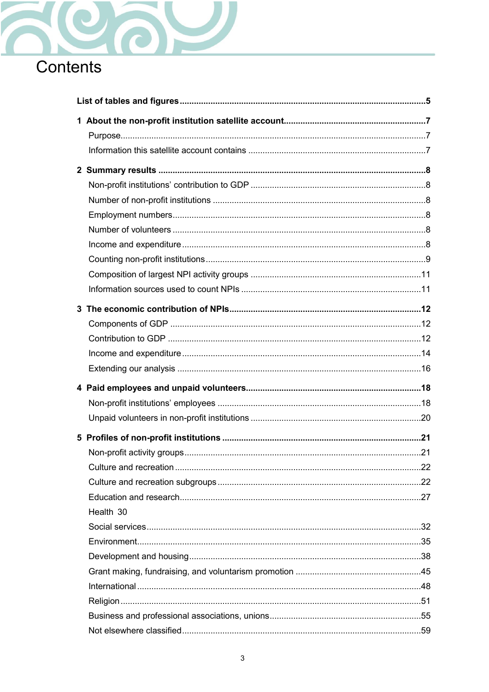

| Health 30 |  |
|-----------|--|
|           |  |
|           |  |
|           |  |
|           |  |
|           |  |
|           |  |
|           |  |
|           |  |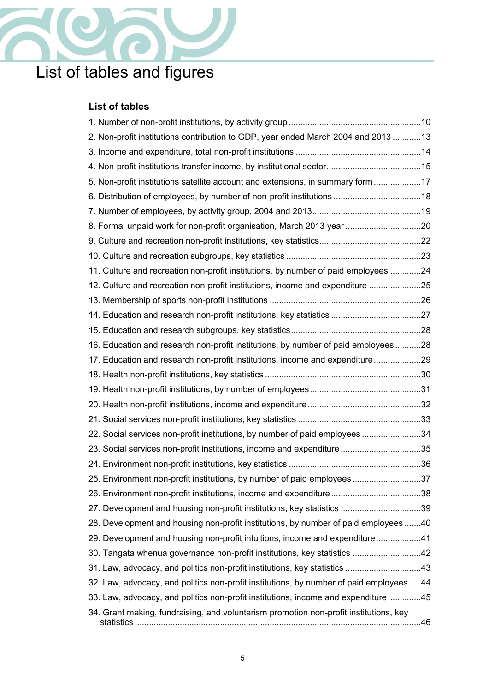

# <span id="page-4-0"></span>List of tables and figures

## **List of tables**

| 2. Non-profit institutions contribution to GDP, year ended March 2004 and 2013 13      |  |
|----------------------------------------------------------------------------------------|--|
|                                                                                        |  |
|                                                                                        |  |
| 5. Non-profit institutions satellite account and extensions, in summary form 17        |  |
|                                                                                        |  |
|                                                                                        |  |
| 8. Formal unpaid work for non-profit organisation, March 2013 year 20                  |  |
|                                                                                        |  |
|                                                                                        |  |
| 11. Culture and recreation non-profit institutions, by number of paid employees 24     |  |
| 12. Culture and recreation non-profit institutions, income and expenditure 25          |  |
|                                                                                        |  |
|                                                                                        |  |
|                                                                                        |  |
| 16. Education and research non-profit institutions, by number of paid employees28      |  |
| 17. Education and research non-profit institutions, income and expenditure29           |  |
|                                                                                        |  |
|                                                                                        |  |
|                                                                                        |  |
|                                                                                        |  |
| 22. Social services non-profit institutions, by number of paid employees 34            |  |
| 23. Social services non-profit institutions, income and expenditure 35                 |  |
|                                                                                        |  |
| 25. Environment non-profit institutions, by number of paid employees37                 |  |
| 26. Environment non-profit institutions, income and expenditure38                      |  |
| 27. Development and housing non-profit institutions, key statistics 39                 |  |
| 28. Development and housing non-profit institutions, by number of paid employees 40    |  |
| 29. Development and housing non-profit intuitions, income and expenditure41            |  |
| 30. Tangata whenua governance non-profit institutions, key statistics 42               |  |
|                                                                                        |  |
| 32. Law, advocacy, and politics non-profit institutions, by number of paid employees44 |  |
| 33. Law, advocacy, and politics non-profit institutions, income and expenditure45      |  |
| 34. Grant making, fundraising, and voluntarism promotion non-profit institutions, key  |  |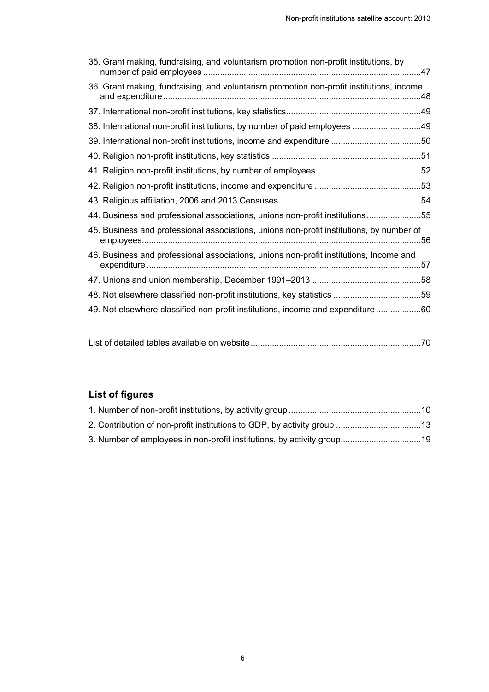| 35. Grant making, fundraising, and voluntarism promotion non-profit institutions, by     |  |
|------------------------------------------------------------------------------------------|--|
| 36. Grant making, fundraising, and voluntarism promotion non-profit institutions, income |  |
|                                                                                          |  |
| 38. International non-profit institutions, by number of paid employees 49                |  |
| 39. International non-profit institutions, income and expenditure 50                     |  |
|                                                                                          |  |
|                                                                                          |  |
|                                                                                          |  |
|                                                                                          |  |
| 44. Business and professional associations, unions non-profit institutions55             |  |
| 45. Business and professional associations, unions non-profit institutions, by number of |  |
| 46. Business and professional associations, unions non-profit institutions, Income and   |  |
|                                                                                          |  |
| 48. Not elsewhere classified non-profit institutions, key statistics 59                  |  |
| 49. Not elsewhere classified non-profit institutions, income and expenditure 60          |  |

[List of detailed tables available on website........................................................................70](#page-69-1)

## **List of figures**

| 3. Number of employees in non-profit institutions, by activity group19 |  |
|------------------------------------------------------------------------|--|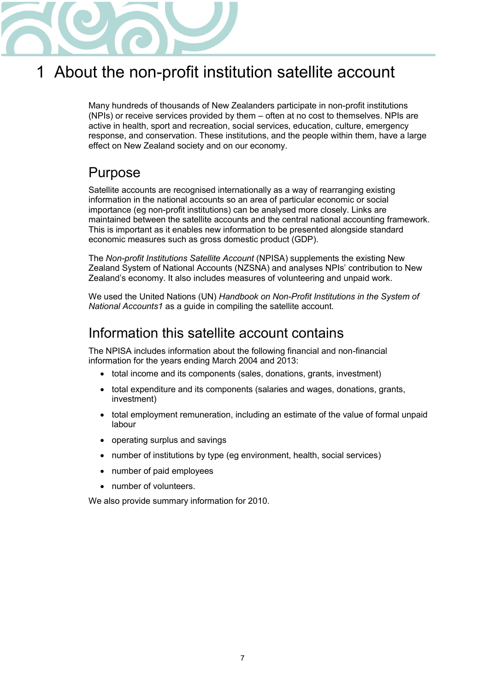

## <span id="page-6-0"></span>1 About the non-profit institution satellite account

Many hundreds of thousands of New Zealanders participate in non-profit institutions (NPIs) or receive services provided by them – often at no cost to themselves. NPIs are active in health, sport and recreation, social services, education, culture, emergency response, and conservation. These institutions, and the people within them, have a large effect on New Zealand society and on our economy.

## <span id="page-6-1"></span>Purpose

Satellite accounts are recognised internationally as a way of rearranging existing information in the national accounts so an area of particular economic or social importance (eg non-profit institutions) can be analysed more closely. Links are maintained between the satellite accounts and the central national accounting framework. This is important as it enables new information to be presented alongside standard economic measures such as gross domestic product (GDP).

The *Non-profit Institutions Satellite Account* (NPISA) supplements the existing New Zealand System of National Accounts (NZSNA) and analyses NPIs' contribution to New Zealand's economy. It also includes measures of volunteering and unpaid work.

We used the United Nations (UN) *Handbook on Non-Profit Institutions in the System of National Accounts1* as a guide in compiling the satellite account.

## <span id="page-6-2"></span>Information this satellite account contains

The NPISA includes information about the following financial and non-financial information for the years ending March 2004 and 2013:

- total income and its components (sales, donations, grants, investment)
- total expenditure and its components (salaries and wages, donations, grants, investment)
- total employment remuneration, including an estimate of the value of formal unpaid labour
- operating surplus and savings
- number of institutions by type (eg environment, health, social services)
- number of paid employees
- number of volunteers.

We also provide summary information for 2010.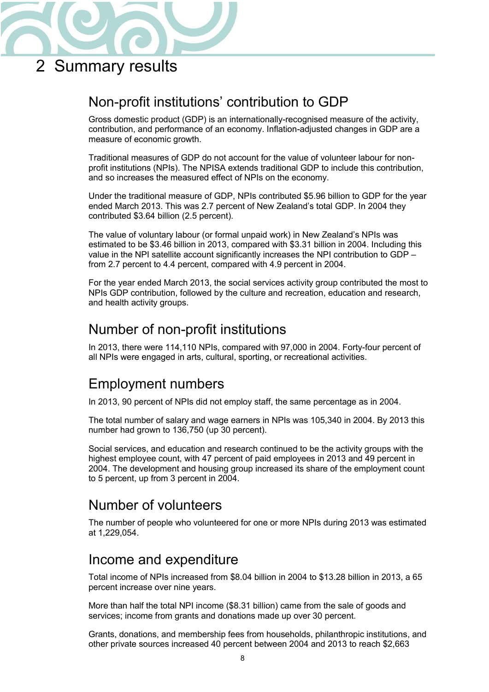

## <span id="page-7-0"></span>2 Summary results

## <span id="page-7-1"></span>Non-profit institutions' contribution to GDP

Gross domestic product (GDP) is an internationally-recognised measure of the activity, contribution, and performance of an economy. Inflation-adjusted changes in GDP are a measure of economic growth.

Traditional measures of GDP do not account for the value of volunteer labour for nonprofit institutions (NPIs). The NPISA extends traditional GDP to include this contribution, and so increases the measured effect of NPIs on the economy.

Under the traditional measure of GDP, NPIs contributed \$5.96 billion to GDP for the year ended March 2013. This was 2.7 percent of New Zealand's total GDP. In 2004 they contributed \$3.64 billion (2.5 percent).

The value of voluntary labour (or formal unpaid work) in New Zealand's NPIs was estimated to be \$3.46 billion in 2013, compared with \$3.31 billion in 2004. Including this value in the NPI satellite account significantly increases the NPI contribution to GDP – from 2.7 percent to 4.4 percent, compared with 4.9 percent in 2004.

For the year ended March 2013, the social services activity group contributed the most to NPIs GDP contribution, followed by the culture and recreation, education and research, and health activity groups.

## <span id="page-7-2"></span>Number of non-profit institutions

In 2013, there were 114,110 NPIs, compared with 97,000 in 2004. Forty-four percent of all NPIs were engaged in arts, cultural, sporting, or recreational activities.

## <span id="page-7-3"></span>Employment numbers

In 2013, 90 percent of NPIs did not employ staff, the same percentage as in 2004.

The total number of salary and wage earners in NPIs was 105,340 in 2004. By 2013 this number had grown to 136,750 (up 30 percent).

Social services, and education and research continued to be the activity groups with the highest employee count, with 47 percent of paid employees in 2013 and 49 percent in 2004. The development and housing group increased its share of the employment count to 5 percent, up from 3 percent in 2004.

## <span id="page-7-4"></span>Number of volunteers

The number of people who volunteered for one or more NPIs during 2013 was estimated at 1,229,054.

## <span id="page-7-5"></span>Income and expenditure

Total income of NPIs increased from \$8.04 billion in 2004 to \$13.28 billion in 2013, a 65 percent increase over nine years.

More than half the total NPI income (\$8.31 billion) came from the sale of goods and services; income from grants and donations made up over 30 percent.

Grants, donations, and membership fees from households, philanthropic institutions, and other private sources increased 40 percent between 2004 and 2013 to reach \$2,663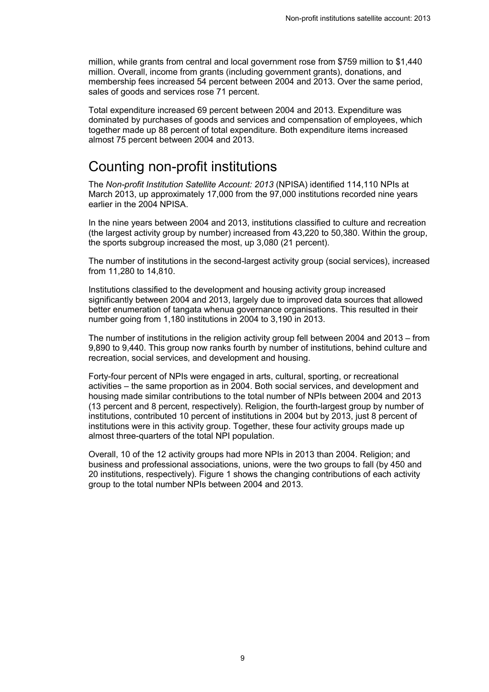million, while grants from central and local government rose from \$759 million to \$1,440 million. Overall, income from grants (including government grants), donations, and membership fees increased 54 percent between 2004 and 2013. Over the same period, sales of goods and services rose 71 percent.

Total expenditure increased 69 percent between 2004 and 2013. Expenditure was dominated by purchases of goods and services and compensation of employees, which together made up 88 percent of total expenditure. Both expenditure items increased almost 75 percent between 2004 and 2013.

## <span id="page-8-0"></span>Counting non-profit institutions

The *Non-profit Institution Satellite Account: 2013* (NPISA) identified 114,110 NPIs at March 2013, up approximately 17,000 from the 97,000 institutions recorded nine years earlier in the 2004 NPISA.

In the nine years between 2004 and 2013, institutions classified to culture and recreation (the largest activity group by number) increased from 43,220 to 50,380. Within the group, the sports subgroup increased the most, up 3,080 (21 percent).

The number of institutions in the second-largest activity group (social services), increased from 11,280 to 14,810.

Institutions classified to the development and housing activity group increased significantly between 2004 and 2013, largely due to improved data sources that allowed better enumeration of tangata whenua governance organisations. This resulted in their number going from 1,180 institutions in 2004 to 3,190 in 2013.

The number of institutions in the religion activity group fell between 2004 and 2013 – from 9,890 to 9,440. This group now ranks fourth by number of institutions, behind culture and recreation, social services, and development and housing.

Forty-four percent of NPIs were engaged in arts, cultural, sporting, or recreational activities – the same proportion as in 2004. Both social services, and development and housing made similar contributions to the total number of NPIs between 2004 and 2013 (13 percent and 8 percent, respectively). Religion, the fourth-largest group by number of institutions, contributed 10 percent of institutions in 2004 but by 2013, just 8 percent of institutions were in this activity group. Together, these four activity groups made up almost three-quarters of the total NPI population.

Overall, 10 of the 12 activity groups had more NPIs in 2013 than 2004. Religion; and business and professional associations, unions, were the two groups to fall (by 450 and 20 institutions, respectively). Figure 1 shows the changing contributions of each activity group to the total number NPIs between 2004 and 2013.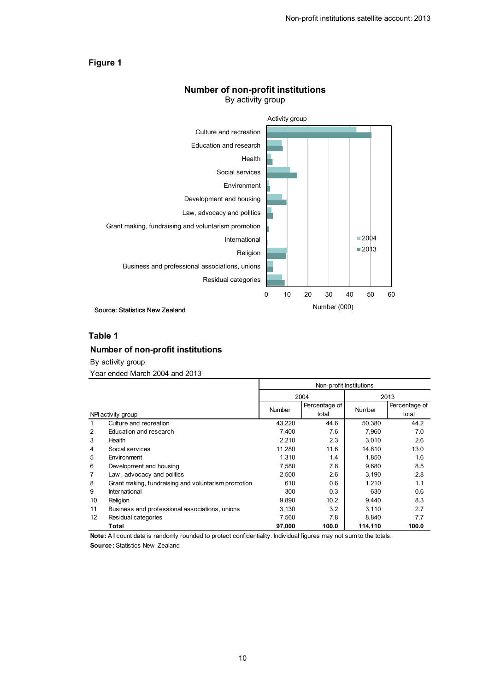#### <span id="page-9-1"></span>**Figure 1**



#### **Number of non-profit institutions** By activity group

Source: Statistics New Zealand

#### **Table 1**

#### <span id="page-9-0"></span>**Number of non-profit institutions**

By activity group

Year ended March 2004 and 2013

|                |                                                     | Non-profit institutions |               |               |               |  |
|----------------|-----------------------------------------------------|-------------------------|---------------|---------------|---------------|--|
|                |                                                     |                         | 2004          | 2013          |               |  |
|                |                                                     | <b>Number</b>           | Percentage of |               | Percentage of |  |
|                | NPI activity group                                  |                         | total         | <b>Number</b> | total         |  |
|                | Culture and recreation                              | 43.220                  | 44.6          | 50,380        | 44.2          |  |
| 2              | Education and research                              | 7.400                   | 7.6           | 7,960         | 7.0           |  |
| 3              | Health                                              | 2,210                   | 2.3           | 3,010         | 2.6           |  |
| 4              | Social services                                     | 11,280                  | 11.6          | 14,810        | 13.0          |  |
| 5              | Environment                                         | 1.310                   | 1.4           | 1,850         | 1.6           |  |
| 6              | Development and housing                             | 7.580                   | 7.8           | 9.680         | 8.5           |  |
| $\overline{7}$ | Law, advocacy and politics                          | 2,500                   | 2.6           | 3,190         | 2.8           |  |
| 8              | Grant making, fundraising and voluntarism promotion | 610                     | 0.6           | 1,210         | 1.1           |  |
| 9              | International                                       | 300                     | 0.3           | 630           | 0.6           |  |
| 10             | Religion                                            | 9,890                   | 10.2          | 9,440         | 8.3           |  |
| 11             | Business and professional associations, unions      | 3,130                   | 3.2           | 3,110         | 2.7           |  |
| 12             | Residual categories                                 | 7,560                   | 7.8           | 8,840         | 7.7           |  |
|                | Total                                               | 97,000                  | 100.0         | 114,110       | 100.0         |  |

**Note:** All count data is randomly rounded to protect confidentiality. Individual figures may not sum to the totals.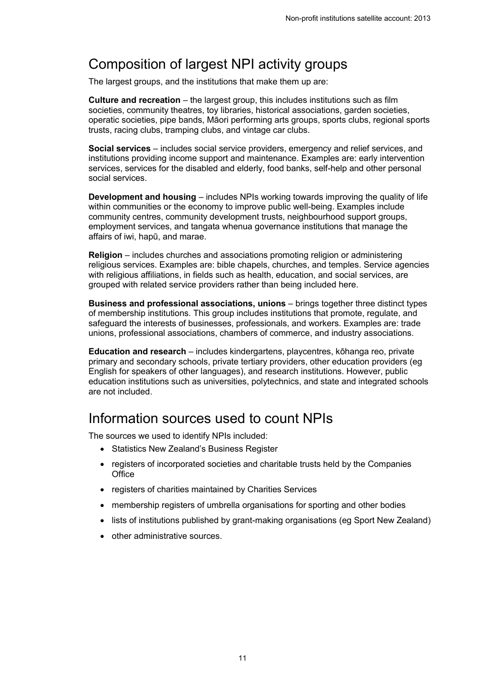## <span id="page-10-0"></span>Composition of largest NPI activity groups

The largest groups, and the institutions that make them up are:

**Culture and recreation** – the largest group, this includes institutions such as film societies, community theatres, toy libraries, historical associations, garden societies, operatic societies, pipe bands, Māori performing arts groups, sports clubs, regional sports trusts, racing clubs, tramping clubs, and vintage car clubs.

**Social services** – includes social service providers, emergency and relief services, and institutions providing income support and maintenance. Examples are: early intervention services, services for the disabled and elderly, food banks, self-help and other personal social services.

**Development and housing** – includes NPIs working towards improving the quality of life within communities or the economy to improve public well-being. Examples include community centres, community development trusts, neighbourhood support groups, employment services, and tangata whenua governance institutions that manage the affairs of iwi, hapū, and marae.

**Religion** – includes churches and associations promoting religion or administering religious services. Examples are: bible chapels, churches, and temples. Service agencies with religious affiliations, in fields such as health, education, and social services, are grouped with related service providers rather than being included here.

**Business and professional associations, unions** – brings together three distinct types of membership institutions. This group includes institutions that promote, regulate, and safeguard the interests of businesses, professionals, and workers. Examples are: trade unions, professional associations, chambers of commerce, and industry associations.

**Education and research** – includes kindergartens, playcentres, kōhanga reo, private primary and secondary schools, private tertiary providers, other education providers (eg English for speakers of other languages), and research institutions. However, public education institutions such as universities, polytechnics, and state and integrated schools are not included.

## <span id="page-10-1"></span>Information sources used to count NPIs

The sources we used to identify NPIs included:

- Statistics New Zealand's Business Register
- registers of incorporated societies and charitable trusts held by the Companies **Office**
- registers of charities maintained by Charities Services
- membership registers of umbrella organisations for sporting and other bodies
- lists of institutions published by grant-making organisations (eg Sport New Zealand)
- other administrative sources.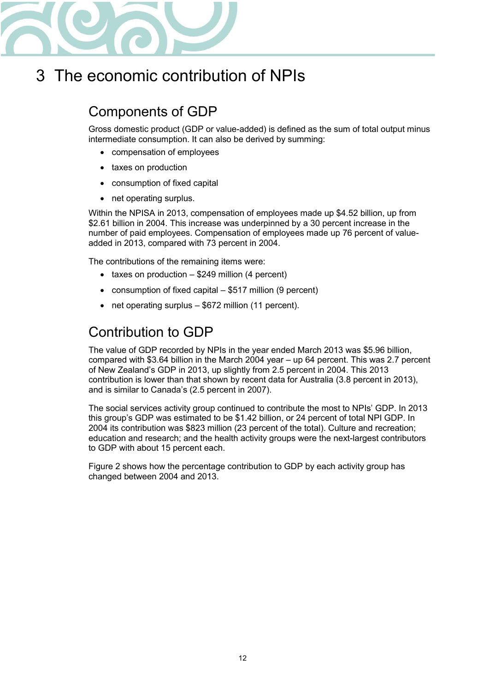

## <span id="page-11-0"></span>3 The economic contribution of NPIs

## <span id="page-11-1"></span>Components of GDP

Gross domestic product (GDP or value-added) is defined as the sum of total output minus intermediate consumption. It can also be derived by summing:

- compensation of employees
- taxes on production
- consumption of fixed capital
- $\bullet$  net operating surplus.

Within the NPISA in 2013, compensation of employees made up \$4.52 billion, up from \$2.61 billion in 2004. This increase was underpinned by a 30 percent increase in the number of paid employees. Compensation of employees made up 76 percent of valueadded in 2013, compared with 73 percent in 2004.

The contributions of the remaining items were:

- $\bullet$  taxes on production \$249 million (4 percent)
- consumption of fixed capital  $-$  \$517 million (9 percent)
- $\bullet$  net operating surplus \$672 million (11 percent).

## <span id="page-11-2"></span>Contribution to GDP

The value of GDP recorded by NPIs in the year ended March 2013 was \$5.96 billion, compared with \$3.64 billion in the March 2004 year – up 64 percent. This was 2.7 percent of New Zealand's GDP in 2013, up slightly from 2.5 percent in 2004. This 2013 contribution is lower than that shown by recent data for Australia (3.8 percent in 2013), and is similar to Canada's (2.5 percent in 2007).

The social services activity group continued to contribute the most to NPIs' GDP. In 2013 this group's GDP was estimated to be \$1.42 billion, or 24 percent of total NPI GDP. In 2004 its contribution was \$823 million (23 percent of the total). Culture and recreation; education and research; and the health activity groups were the next-largest contributors to GDP with about 15 percent each.

Figure 2 shows how the percentage contribution to GDP by each activity group has changed between 2004 and 2013.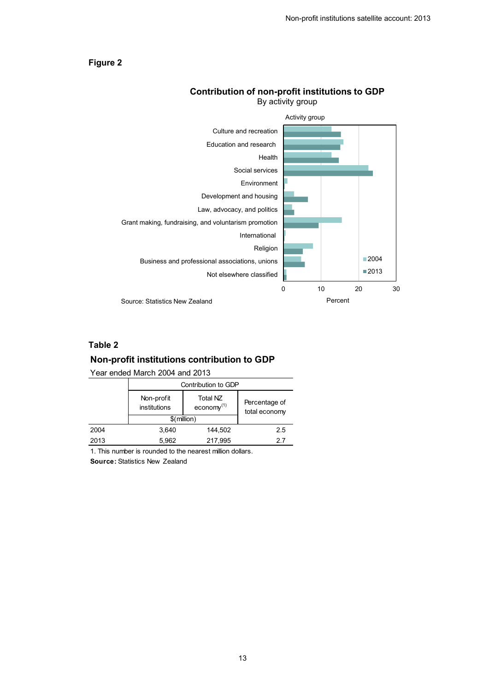#### <span id="page-12-1"></span>**Figure 2**



#### **Contribution of non-profit institutions to GDP** By activity group

### **Table 2**

#### <span id="page-12-0"></span>**Non-profit institutions contribution to GDP**

Year ended March 2004 and 2013

|      | Contribution to GDP        |                                       |                                |  |
|------|----------------------------|---------------------------------------|--------------------------------|--|
|      | Non-profit<br>institutions | Total NZ<br>$e_{\text{conomy}}^{(1)}$ | Percentage of<br>total economy |  |
|      | $$$ (million)              |                                       |                                |  |
| 2004 | 3.640                      | 144,502                               | 2.5                            |  |
| 2013 | 5,962                      | 217,995                               | 27                             |  |

1. This number is rounded to the nearest million dollars.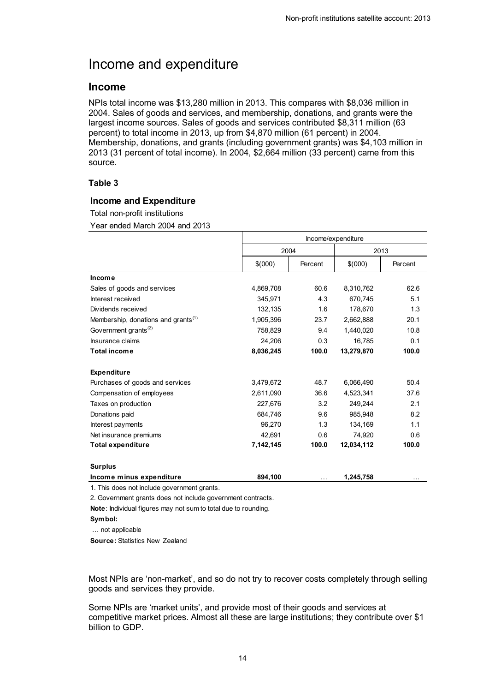## <span id="page-13-0"></span>Income and expenditure

### **Income**

NPIs total income was \$13,280 million in 2013. This compares with \$8,036 million in 2004. Sales of goods and services, and membership, donations, and grants were the largest income sources. Sales of goods and services contributed \$8,311 million (63 percent) to total income in 2013, up from \$4,870 million (61 percent) in 2004. Membership, donations, and grants (including government grants) was \$4,103 million in 2013 (31 percent of total income). In 2004, \$2,664 million (33 percent) came from this source.

### **Table 3**

#### <span id="page-13-1"></span>**Income and Expenditure**

Total non-profit institutions

Year ended March 2004 and 2013

|                                                 |           | Income/expenditure |            |         |  |  |  |
|-------------------------------------------------|-----------|--------------------|------------|---------|--|--|--|
|                                                 |           | 2004               |            |         |  |  |  |
|                                                 | \$(000)   | Percent            | \$(000)    | Percent |  |  |  |
| <b>Income</b>                                   |           |                    |            |         |  |  |  |
| Sales of goods and services                     | 4,869,708 | 60.6               | 8,310,762  | 62.6    |  |  |  |
| Interest received                               | 345,971   | 4.3                | 670,745    | 5.1     |  |  |  |
| Dividends received                              | 132,135   | 1.6                | 178,670    | 1.3     |  |  |  |
| Membership, donations and grants <sup>(1)</sup> | 1.905.396 | 23.7               | 2,662,888  | 20.1    |  |  |  |
| Government grants <sup>(2)</sup>                | 758.829   | 9.4                | 1,440,020  | 10.8    |  |  |  |
| Insurance claims                                | 24,206    | 0.3                | 16,785     | 0.1     |  |  |  |
| <b>Total income</b>                             | 8,036,245 | 100.0              | 13,279,870 | 100.0   |  |  |  |
| <b>Expenditure</b>                              |           |                    |            |         |  |  |  |
| Purchases of goods and services                 | 3,479,672 | 48.7               | 6,066,490  | 50.4    |  |  |  |
| Compensation of employees                       | 2,611,090 | 36.6               | 4,523,341  | 37.6    |  |  |  |
| Taxes on production                             | 227,676   | 3.2                | 249,244    | 2.1     |  |  |  |
| Donations paid                                  | 684,746   | 9.6                | 985,948    | 8.2     |  |  |  |
| Interest payments                               | 96.270    | 1.3                | 134.169    | 1.1     |  |  |  |
| Net insurance premiums                          | 42.691    | 0.6                | 74,920     | 0.6     |  |  |  |
| <b>Total expenditure</b>                        | 7,142,145 | 100.0              | 12,034,112 | 100.0   |  |  |  |
| <b>Surplus</b>                                  |           |                    |            |         |  |  |  |
| Income minus expenditure                        | 894,100   | $\cdots$           | 1,245,758  |         |  |  |  |

1. This does not include government grants.

2. Government grants does not include government contracts.

**Note**: Individual figures may not sum to total due to rounding.

… not applicable

**Source:** Statistics New Zealand

Most NPIs are 'non-market', and so do not try to recover costs completely through selling goods and services they provide.

Some NPIs are 'market units', and provide most of their goods and services at competitive market prices. Almost all these are large institutions; they contribute over \$1 billion to GDP.

**Symbol:**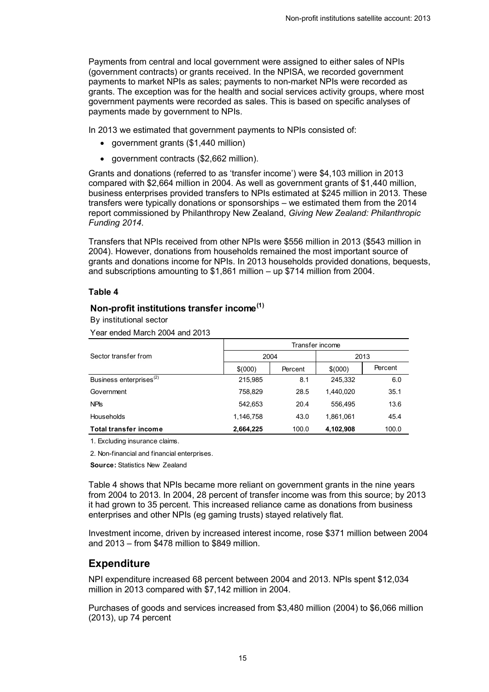Payments from central and local government were assigned to either sales of NPIs (government contracts) or grants received. In the NPISA, we recorded government payments to market NPIs as sales; payments to non-market NPIs were recorded as grants. The exception was for the health and social services activity groups, where most government payments were recorded as sales. This is based on specific analyses of payments made by government to NPIs.

In 2013 we estimated that government payments to NPIs consisted of:

- government grants  $(\$1,440$  million)
- government contracts (\$2,662 million).

Grants and donations (referred to as 'transfer income') were \$4,103 million in 2013 compared with \$2,664 million in 2004. As well as government grants of \$1,440 million, business enterprises provided transfers to NPIs estimated at \$245 million in 2013. These transfers were typically donations or sponsorships – we estimated them from the 2014 report commissioned by Philanthropy New Zealand, *Giving New Zealand: Philanthropic Funding 2014*.

Transfers that NPIs received from other NPIs were \$556 million in 2013 (\$543 million in 2004). However, donations from households remained the most important source of grants and donations income for NPIs. In 2013 households provided donations, bequests, and subscriptions amounting to \$1,861 million – up \$714 million from 2004.

### **Table 4**

### <span id="page-14-0"></span>**Non-profit institutions transfer income(1)**

By institutional sector

Year ended March 2004 and 2013

|                                     | Transfer income |         |           |         |  |  |  |
|-------------------------------------|-----------------|---------|-----------|---------|--|--|--|
| Sector transfer from                | 2004            |         | 2013      |         |  |  |  |
|                                     | \$(000)         | Percent | \$(000)   | Percent |  |  |  |
| Business enterprises <sup>(2)</sup> | 215,985         | 8.1     | 245.332   | 6.0     |  |  |  |
| Government                          | 758.829         | 28.5    | 1.440.020 | 35.1    |  |  |  |
| <b>NPIS</b>                         | 542.653         | 20.4    | 556.495   | 13.6    |  |  |  |
| <b>Households</b>                   | 1,146,758       | 43.0    | 1,861,061 | 45.4    |  |  |  |
| Total transfer income               | 2,664,225       | 100.0   | 4,102,908 | 100.0   |  |  |  |

1. Excluding insurance claims.

2. Non-financial and financial enterprises.

**Source:** Statistics New Zealand

Table 4 shows that NPIs became more reliant on government grants in the nine years from 2004 to 2013. In 2004, 28 percent of transfer income was from this source; by 2013 it had grown to 35 percent. This increased reliance came as donations from business enterprises and other NPIs (eg gaming trusts) stayed relatively flat.

Investment income, driven by increased interest income, rose \$371 million between 2004 and 2013 – from \$478 million to \$849 million.

### **Expenditure**

NPI expenditure increased 68 percent between 2004 and 2013. NPIs spent \$12,034 million in 2013 compared with \$7,142 million in 2004.

Purchases of goods and services increased from \$3,480 million (2004) to \$6,066 million (2013), up 74 percent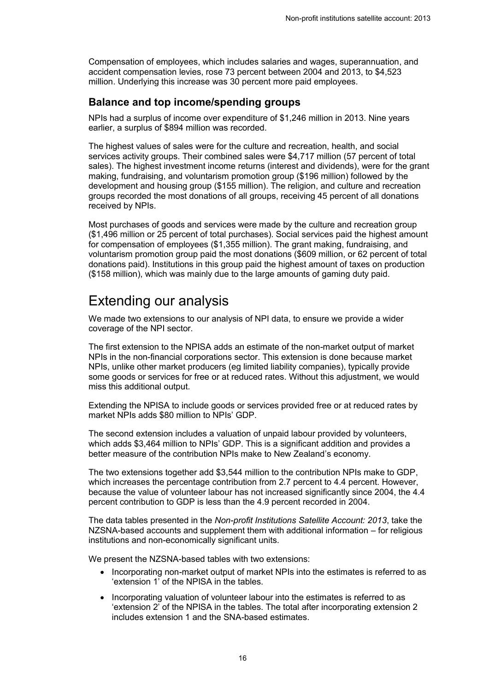Compensation of employees, which includes salaries and wages, superannuation, and accident compensation levies, rose 73 percent between 2004 and 2013, to \$4,523 million. Underlying this increase was 30 percent more paid employees.

### **Balance and top income/spending groups**

NPIs had a surplus of income over expenditure of \$1,246 million in 2013. Nine years earlier, a surplus of \$894 million was recorded.

The highest values of sales were for the culture and recreation, health, and social services activity groups. Their combined sales were \$4,717 million (57 percent of total sales). The highest investment income returns (interest and dividends), were for the grant making, fundraising, and voluntarism promotion group (\$196 million) followed by the development and housing group (\$155 million). The religion, and culture and recreation groups recorded the most donations of all groups, receiving 45 percent of all donations received by NPIs.

Most purchases of goods and services were made by the culture and recreation group (\$1,496 million or 25 percent of total purchases). Social services paid the highest amount for compensation of employees (\$1,355 million). The grant making, fundraising, and voluntarism promotion group paid the most donations (\$609 million, or 62 percent of total donations paid). Institutions in this group paid the highest amount of taxes on production (\$158 million), which was mainly due to the large amounts of gaming duty paid.

## <span id="page-15-0"></span>Extending our analysis

We made two extensions to our analysis of NPI data, to ensure we provide a wider coverage of the NPI sector.

The first extension to the NPISA adds an estimate of the non-market output of market NPIs in the non-financial corporations sector. This extension is done because market NPIs, unlike other market producers (eg limited liability companies), typically provide some goods or services for free or at reduced rates. Without this adjustment, we would miss this additional output.

Extending the NPISA to include goods or services provided free or at reduced rates by market NPIs adds \$80 million to NPIs' GDP.

The second extension includes a valuation of unpaid labour provided by volunteers, which adds \$3,464 million to NPIs' GDP. This is a significant addition and provides a better measure of the contribution NPIs make to New Zealand's economy.

The two extensions together add \$3,544 million to the contribution NPIs make to GDP, which increases the percentage contribution from 2.7 percent to 4.4 percent. However, because the value of volunteer labour has not increased significantly since 2004, the 4.4 percent contribution to GDP is less than the 4.9 percent recorded in 2004.

The data tables presented in the *Non-profit Institutions Satellite Account: 2013*, take the NZSNA-based accounts and supplement them with additional information – for religious institutions and non-economically significant units.

We present the NZSNA-based tables with two extensions:

- Incorporating non-market output of market NPIs into the estimates is referred to as 'extension 1' of the NPISA in the tables.
- Incorporating valuation of volunteer labour into the estimates is referred to as 'extension 2' of the NPISA in the tables. The total after incorporating extension 2 includes extension 1 and the SNA-based estimates.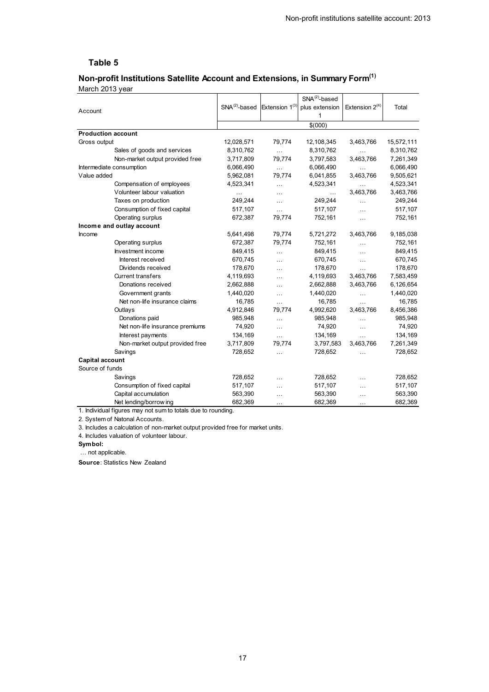## <span id="page-16-0"></span>5. Non-profit institutions satellite account and extensions, in summary form **Non-profit Institutions Satellite Account and Extensions, in Summary Form(1)**

March 2013 year

|                                 |                                                |                      | $SNA(2)$ -based |                     |            |
|---------------------------------|------------------------------------------------|----------------------|-----------------|---------------------|------------|
| Account                         | SNA $^{(2)}$ -based Extension 1 <sup>(3)</sup> |                      | plus extension  | Extension $2^{(4)}$ | Total      |
|                                 |                                                |                      | 1               |                     |            |
|                                 |                                                |                      | \$(000)         |                     |            |
| <b>Production account</b>       |                                                |                      |                 |                     |            |
| Gross output                    | 12,028,571                                     | 79,774               | 12,108,345      | 3,463,766           | 15,572,111 |
| Sales of goods and services     | 8,310,762                                      | i.                   | 8,310,762       | $\cdots$            | 8,310,762  |
| Non-market output provided free | 3,717,809                                      | 79,774               | 3,797,583       | 3,463,766           | 7,261,349  |
| Intermediate consumption        | 6,066,490                                      | i.                   | 6,066,490       | $\cdots$            | 6,066,490  |
| Value added                     | 5,962,081                                      | 79,774               | 6,041,855       | 3,463,766           | 9,505,621  |
| Compensation of employees       | 4,523,341                                      | .                    | 4,523,341       | $\cdots$            | 4,523,341  |
| Volunteer labour valuation      | $\ddotsc$                                      | $\cdots$             | $\cdots$        | 3,463,766           | 3,463,766  |
| Taxes on production             | 249,244                                        | $\cdots$             | 249,244         | $\cdots$            | 249,244    |
| Consumption of fixed capital    | 517,107                                        | $\ddot{\phantom{a}}$ | 517,107         | $\cdots$            | 517,107    |
| Operating surplus               | 672,387                                        | 79,774               | 752,161         | $\cdots$            | 752,161    |
| Income and outlay account       |                                                |                      |                 |                     |            |
| Income                          | 5,641,498                                      | 79,774               | 5,721,272       | 3,463,766           | 9,185,038  |
| Operating surplus               | 672,387                                        | 79,774               | 752,161         | $\cdots$            | 752,161    |
| Investment income               | 849,415                                        | .                    | 849,415         | $\cdots$            | 849,415    |
| Interest received               | 670,745                                        | $\ddotsc$            | 670,745         | $\ldots$            | 670,745    |
| Dividends received              | 178,670                                        | $\ddotsc$            | 178,670         | $\ddotsc$           | 178,670    |
| <b>Current transfers</b>        | 4,119,693                                      | $\ddotsc$            | 4,119,693       | 3,463,766           | 7,583,459  |
| Donations received              | 2,662,888                                      | $\ddotsc$            | 2,662,888       | 3,463,766           | 6,126,654  |
| Government grants               | 1,440,020                                      | $\ddotsc$            | 1,440,020       | $\cdots$            | 1,440,020  |
| Net non-life insurance claims   | 16,785                                         | $\ddotsc$            | 16,785          | $\ddotsc$           | 16,785     |
| Outlays                         | 4,912,846                                      | 79,774               | 4,992,620       | 3,463,766           | 8,456,386  |
| Donations paid                  | 985,948                                        | $\cdots$             | 985,948         | $\ddotsc$           | 985,948    |
| Net non-life insurance premiums | 74,920                                         | $\ddotsc$            | 74,920          | $\ldots$            | 74,920     |
| Interest payments               | 134,169                                        | $\ddot{\phantom{a}}$ | 134,169         | $\ddotsc$           | 134,169    |
| Non-market output provided free | 3,717,809                                      | 79,774               | 3,797,583       | 3,463,766           | 7,261,349  |
| Savings                         | 728,652                                        | $\cdots$             | 728,652         | $\ddotsc$           | 728,652    |
| <b>Capital account</b>          |                                                |                      |                 |                     |            |
| Source of funds                 |                                                |                      |                 |                     |            |
| Savings                         | 728,652                                        | $\cdots$             | 728,652         | $\sim$              | 728,652    |
| Consumption of fixed capital    | 517,107                                        | $\cdots$             | 517,107         | $\cdots$            | 517,107    |
| Capital accumulation            | 563,390                                        | $\ddotsc$            | 563,390         | .                   | 563,390    |
| Net lending/borrow ing          | 682,369                                        | $\cdots$             | 682,369         | $\ldots$            | 682,369    |

1. Individual figures may not sum to totals due to rounding.

2. System of Natonal Accounts.

3. Includes a calculation of non-market output provided free for market units.

4. Includes valuation of volunteer labour.

**Symbol:**

… not applicable.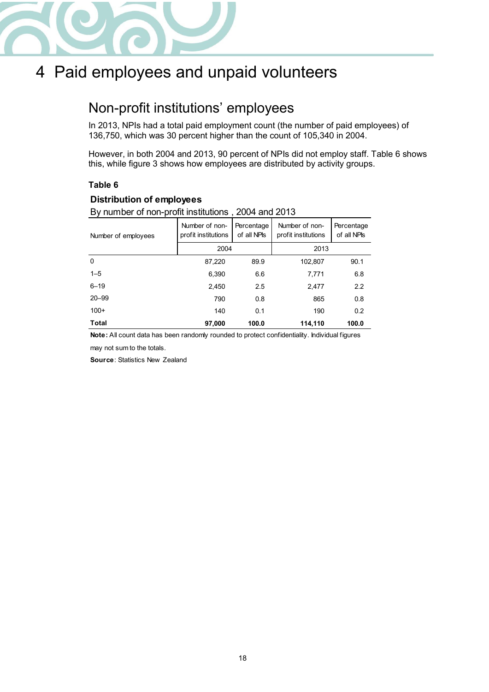

## <span id="page-17-0"></span>4 Paid employees and unpaid volunteers

## <span id="page-17-1"></span>Non-profit institutions' employees

In 2013, NPIs had a total paid employment count (the number of paid employees) of 136,750, which was 30 percent higher than the count of 105,340 in 2004.

However, in both 2004 and 2013, 90 percent of NPIs did not employ staff. Table 6 shows this, while figure 3 shows how employees are distributed by activity groups.

### **Table 6**

### <span id="page-17-2"></span>**Distribution of employees**

By number of non-profit institutions , 2004 and 2013

| Number of employees | Number of non-<br>profit institutions | Percentage<br>of all NPIs | Number of non-<br>profit institutions | Percentage<br>of all NPIs |  |
|---------------------|---------------------------------------|---------------------------|---------------------------------------|---------------------------|--|
|                     | 2004                                  |                           | 2013                                  |                           |  |
| $\mathbf 0$         | 87,220                                | 89.9                      | 102,807                               | 90.1                      |  |
| $1 - 5$             | 6,390                                 | 6.6                       | 7,771                                 | 6.8                       |  |
| $6 - 19$            | 2,450                                 | 2.5                       | 2,477                                 | 2.2                       |  |
| $20 - 99$           | 790                                   | 0.8                       | 865                                   | 0.8                       |  |
| $100+$              | 140                                   | 0.1                       | 190                                   | 0.2                       |  |
| <b>Total</b>        | 97,000                                | 100.0                     | 114,110                               | 100.0                     |  |

**Note:** All count data has been randomly rounded to protect confidentiality. Individual figures

may not sum to the totals.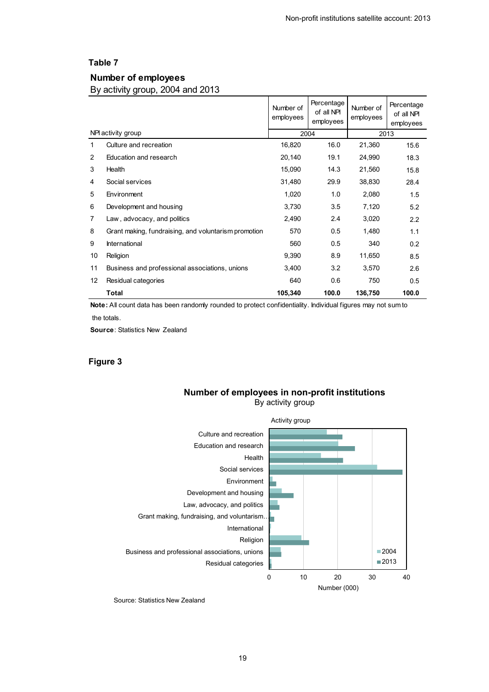#### <span id="page-18-0"></span>**Number of employees**

By activity group, 2004 and 2013

|                |                                                      | Number of<br>employees | Percentage<br>of all NPI<br>employees | Number of<br>employees | Percentage<br>of all NPI<br>employees |
|----------------|------------------------------------------------------|------------------------|---------------------------------------|------------------------|---------------------------------------|
|                | NPI activity group                                   |                        | 2004                                  |                        | 2013                                  |
| 1              | Culture and recreation                               | 16,820                 | 16.0                                  | 21,360                 | 15.6                                  |
| 2              | Education and research                               | 20,140                 | 19.1                                  | 24,990                 | 18.3                                  |
| 3              | Health                                               | 15,090                 | 14.3                                  | 21,560                 | 15.8                                  |
| 4              | Social services                                      | 31,480                 | 29.9                                  | 38,830                 | 28.4                                  |
| 5              | Environment                                          | 1,020                  | 1.0                                   | 2,080                  | 1.5                                   |
| 6              | Development and housing                              | 3,730                  | 3.5                                   | 7,120                  | 5.2                                   |
| $\overline{7}$ | Law, advocacy, and politics                          | 2,490                  | 2.4                                   | 3,020                  | 2.2                                   |
| 8              | Grant making, fundraising, and voluntarism promotion | 570                    | 0.5                                   | 1,480                  | 1.1                                   |
| 9              | International                                        | 560                    | 0.5                                   | 340                    | 0.2                                   |
| 10             | Religion                                             | 9,390                  | 8.9                                   | 11,650                 | 8.5                                   |
| 11             | Business and professional associations, unions       | 3,400                  | 3.2                                   | 3,570                  | 2.6                                   |
| 12             | Residual categories                                  | 640                    | 0.6                                   | 750                    | 0.5                                   |
|                | <b>Total</b>                                         | 105,340                | 100.0                                 | 136,750                | 100.0                                 |

**Note:** All count data has been randomly rounded to protect confidentiality. Individual figures may not sum to the totals.

**Source**: Statistics New Zealand

#### <span id="page-18-1"></span>**Figure 3**



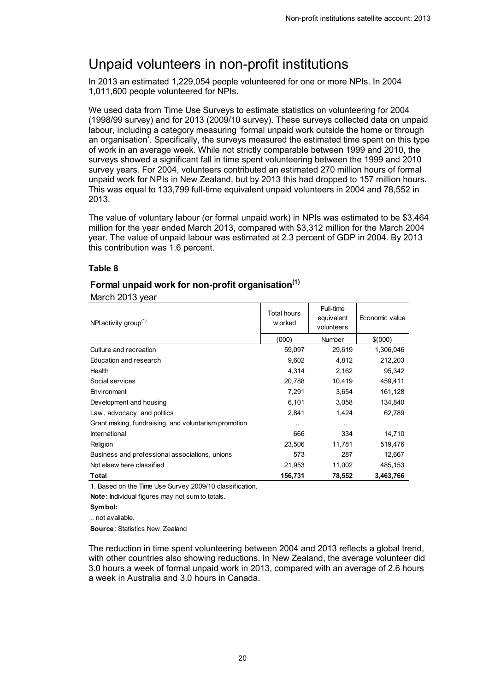## <span id="page-19-0"></span>Unpaid volunteers in non-profit institutions

In 2013 an estimated 1,229,054 people volunteered for one or more NPIs. In 2004 1,011,600 people volunteered for NPIs.

We used data from Time Use Surveys to estimate statistics on volunteering for 2004 (1998/99 survey) and for 2013 (2009/10 survey). These surveys collected data on unpaid labour, including a category measuring 'formal unpaid work outside the home or through an organisation'. Specifically, the surveys measured the estimated time spent on this type of work in an average week. While not strictly comparable between 1999 and 2010, the surveys showed a significant fall in time spent volunteering between the 1999 and 2010 survey years. For 2004, volunteers contributed an estimated 270 million hours of formal unpaid work for NPIs in New Zealand, but by 2013 this had dropped to 157 million hours. This was equal to 133,799 full-time equivalent unpaid volunteers in 2004 and 78,552 in 2013.

The value of voluntary labour (or formal unpaid work) in NPIs was estimated to be \$3,464 million for the year ended March 2013, compared with \$3,312 million for the March 2004 year. The value of unpaid labour was estimated at 2.3 percent of GDP in 2004. By 2013 this contribution was 1.6 percent.

#### **Table 8**

### <span id="page-19-1"></span>**Formal unpaid work for non-profit organisation(1)**

March 2013 year

| NPI activity group $(1)$                             | Total hours<br>w orked | Full-time<br>equivalent<br>volunteers | Economic value |  |
|------------------------------------------------------|------------------------|---------------------------------------|----------------|--|
|                                                      | (000)                  | <b>Number</b>                         | \$ (000)       |  |
| Culture and recreation                               | 59,097                 | 29,619                                | 1,306,046      |  |
| Education and research                               | 9,602                  | 4,812                                 | 212,203        |  |
| Health                                               | 4,314                  | 2,162                                 | 95,342         |  |
| Social services                                      | 20,788                 | 10,419                                | 459.411        |  |
| Environment                                          | 7,291                  | 3,654                                 | 161,128        |  |
| Development and housing                              | 6,101                  | 3,058                                 | 134,840        |  |
| Law, advocacy, and politics                          | 2,841                  | 1,424                                 | 62,789         |  |
| Grant making, fundraising, and voluntarism promotion | $\ddotsc$              | $\ddot{\phantom{a}}$                  |                |  |
| International                                        | 666                    | 334                                   | 14,710         |  |
| Religion                                             | 23,506                 | 11,781                                | 519,476        |  |
| Business and professional associations, unions       | 573                    | 287                                   | 12,667         |  |
| Not elsew here classified                            | 21,953                 | 11,002                                | 485,153        |  |
| Total                                                | 156,731                | 78,552                                | 3,463,766      |  |

1. Based on the Time Use Survey 2009/10 classification.

**Note:** Individual figures may not sum to totals.

.. not available.

**Source**: Statistics New Zealand

The reduction in time spent volunteering between 2004 and 2013 reflects a global trend, with other countries also showing reductions. In New Zealand, the average volunteer did 3.0 hours a week of formal unpaid work in 2013, compared with an average of 2.6 hours a week in Australia and 3.0 hours in Canada.

**Symbol:**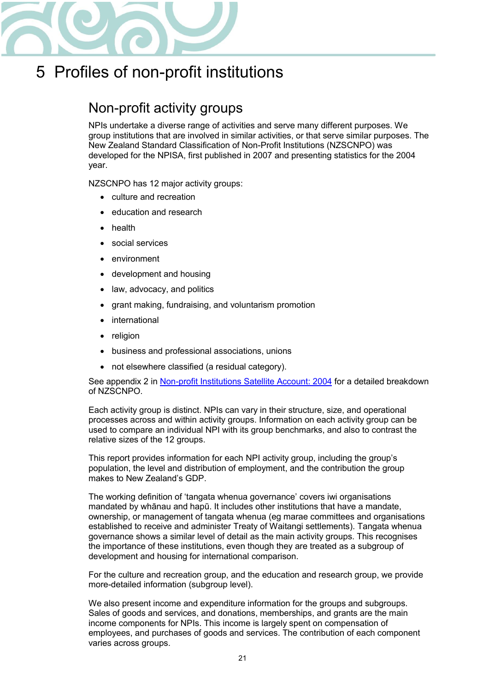

## <span id="page-20-0"></span>5 Profiles of non-profit institutions

## <span id="page-20-1"></span>Non-profit activity groups

NPIs undertake a diverse range of activities and serve many different purposes. We group institutions that are involved in similar activities, or that serve similar purposes. The New Zealand Standard Classification of Non-Profit Institutions (NZSCNPO) was developed for the NPISA, first published in 2007 and presenting statistics for the 2004 year.

NZSCNPO has 12 major activity groups:

- culture and recreation
- education and research
- health
- social services
- environment
- development and housing
- law, advocacy, and politics
- grant making, fundraising, and voluntarism promotion
- international
- religion
- business and professional associations, unions
- not elsewhere classified (a residual category).

See appendix 2 in [Non-profit Institutions Satellite Account: 2004](http://www.stats.govt.nz/tools_and_services/a-z-information-releases/non-profit-institutions-satellite-account-2004.aspx) for a detailed breakdown of NZSCNPO.

Each activity group is distinct. NPIs can vary in their structure, size, and operational processes across and within activity groups. Information on each activity group can be used to compare an individual NPI with its group benchmarks, and also to contrast the relative sizes of the 12 groups.

This report provides information for each NPI activity group, including the group's population, the level and distribution of employment, and the contribution the group makes to New Zealand's GDP.

The working definition of 'tangata whenua governance' covers iwi organisations mandated by whānau and hapū. It includes other institutions that have a mandate, ownership, or management of tangata whenua (eg marae committees and organisations established to receive and administer Treaty of Waitangi settlements). Tangata whenua governance shows a similar level of detail as the main activity groups. This recognises the importance of these institutions, even though they are treated as a subgroup of development and housing for international comparison.

For the culture and recreation group, and the education and research group, we provide more-detailed information (subgroup level).

We also present income and expenditure information for the groups and subgroups. Sales of goods and services, and donations, memberships, and grants are the main income components for NPIs. This income is largely spent on compensation of employees, and purchases of goods and services. The contribution of each component varies across groups.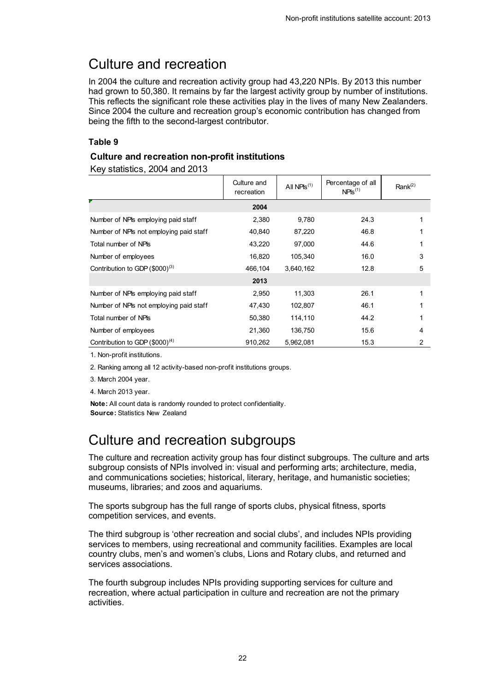## <span id="page-21-0"></span>Culture and recreation

In 2004 the culture and recreation activity group had 43,220 NPIs. By 2013 this number had grown to 50,380. It remains by far the largest activity group by number of institutions. This reflects the significant role these activities play in the lives of many New Zealanders. Since 2004 the culture and recreation group's economic contribution has changed from being the fifth to the second-largest contributor.

### **Table 9**

### <span id="page-21-2"></span>**Culture and recreation non-profit institutions**

Key statistics, 2004 and 2013

|                                         | Culture and<br>recreation | All NPIs <sup><math>(1)</math></sup> | Percentage of all<br>$NPIS^{(1)}$ | Rank <sup>(2)</sup> |
|-----------------------------------------|---------------------------|--------------------------------------|-----------------------------------|---------------------|
|                                         | 2004                      |                                      |                                   |                     |
| Number of NPIs employing paid staff     | 2,380                     | 9,780                                | 24.3                              | 1                   |
| Number of NPIs not employing paid staff | 40,840                    | 87,220                               | 46.8                              | 1                   |
| Total number of NPIs                    | 43,220                    | 97,000                               | 44.6                              | 1                   |
| Number of employees                     | 16,820                    | 105,340                              | 16.0                              | 3                   |
| Contribution to GDP $(\$000)^{(3)}$     | 466,104                   | 3,640,162                            | 12.8                              | 5                   |
|                                         | 2013                      |                                      |                                   |                     |
| Number of NPIs employing paid staff     | 2,950                     | 11,303                               | 26.1                              | 1                   |
| Number of NPIs not employing paid staff | 47,430                    | 102,807                              | 46.1                              | 1                   |
| Total number of NPIs                    | 50,380                    | 114,110                              | 44.2                              | 1                   |
| Number of employees                     | 21,360                    | 136,750                              | 15.6                              | 4                   |
| Contribution to GDP $(\$000)^{(4)}$     | 910,262                   | 5,962,081                            | 15.3                              | $\overline{c}$      |

1. Non-profit institutions.

2. Ranking among all 12 activity-based non-profit institutions groups.

3. March 2004 year.

4. March 2013 year.

**Note:** All count data is randomly rounded to protect confidentiality. **Source:** Statistics New Zealand

## <span id="page-21-1"></span>Culture and recreation subgroups

The culture and recreation activity group has four distinct subgroups. The culture and arts subgroup consists of NPIs involved in: visual and performing arts; architecture, media, and communications societies; historical, literary, heritage, and humanistic societies; museums, libraries; and zoos and aquariums.

The sports subgroup has the full range of sports clubs, physical fitness, sports competition services, and events.

The third subgroup is 'other recreation and social clubs', and includes NPIs providing services to members, using recreational and community facilities. Examples are local country clubs, men's and women's clubs, Lions and Rotary clubs, and returned and services associations.

The fourth subgroup includes NPIs providing supporting services for culture and recreation, where actual participation in culture and recreation are not the primary activities.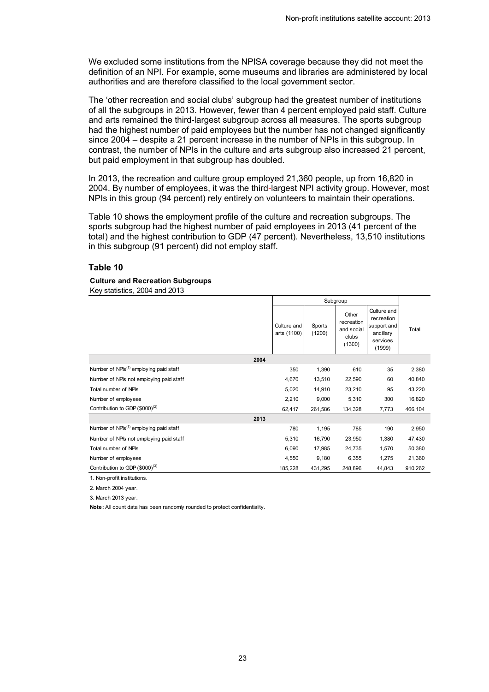We excluded some institutions from the NPISA coverage because they did not meet the definition of an NPI. For example, some museums and libraries are administered by local authorities and are therefore classified to the local government sector.

The 'other recreation and social clubs' subgroup had the greatest number of institutions of all the subgroups in 2013. However, fewer than 4 percent employed paid staff. Culture and arts remained the third-largest subgroup across all measures. The sports subgroup had the highest number of paid employees but the number has not changed significantly since 2004 – despite a 21 percent increase in the number of NPIs in this subgroup. In contrast, the number of NPIs in the culture and arts subgroup also increased 21 percent, but paid employment in that subgroup has doubled.

In 2013, the recreation and culture group employed 21,360 people, up from 16,820 in 2004. By number of employees, it was the third-largest NPI activity group. However, most NPIs in this group (94 percent) rely entirely on volunteers to maintain their operations.

Table 10 shows the employment profile of the culture and recreation subgroups. The sports subgroup had the highest number of paid employees in 2013 (41 percent of the total) and the highest contribution to GDP (47 percent). Nevertheless, 13,510 institutions in this subgroup (91 percent) did not employ staff.

#### **Table 10**

#### <span id="page-22-0"></span>**Culture and Recreation Subgroups**

Key statistics, 2004 and 2013

|                                                    | Subgroup                   |                  |                                                      |                                                                             |         |
|----------------------------------------------------|----------------------------|------------------|------------------------------------------------------|-----------------------------------------------------------------------------|---------|
|                                                    | Culture and<br>arts (1100) | Sports<br>(1200) | Other<br>recreation<br>and social<br>clubs<br>(1300) | Culture and<br>recreation<br>support and<br>ancillary<br>services<br>(1999) | Total   |
| 2004                                               |                            |                  |                                                      |                                                                             |         |
| Number of NPIs <sup>(1)</sup> employing paid staff | 350                        | 1,390            | 610                                                  | 35                                                                          | 2,380   |
| Number of NPIs not employing paid staff            | 4,670                      | 13,510           | 22,590                                               | 60                                                                          | 40,840  |
| Total number of NPIs                               | 5,020                      | 14,910           | 23,210                                               | 95                                                                          | 43,220  |
| Number of employees                                | 2,210                      | 9,000            | 5,310                                                | 300                                                                         | 16,820  |
| Contribution to GDP $(\$000)^{(2)}$                | 62,417                     | 261,586          | 134,328                                              | 7,773                                                                       | 466,104 |
| 2013                                               |                            |                  |                                                      |                                                                             |         |
| Number of NPIs <sup>(1)</sup> employing paid staff | 780                        | 1,195            | 785                                                  | 190                                                                         | 2,950   |
| Number of NPIs not employing paid staff            | 5,310                      | 16,790           | 23,950                                               | 1,380                                                                       | 47,430  |
| Total number of NPIs                               | 6,090                      | 17,985           | 24,735                                               | 1,570                                                                       | 50,380  |
| Number of employees                                | 4,550                      | 9,180            | 6,355                                                | 1,275                                                                       | 21,360  |
| Contribution to GDP $(\$000)^{(3)}$                | 185,228                    | 431,295          | 248,896                                              | 44,843                                                                      | 910,262 |

1. Non-profit institutions.

2. March 2004 year.

3. March 2013 year.

**Note:** All count data has been randomly rounded to protect confidentiality.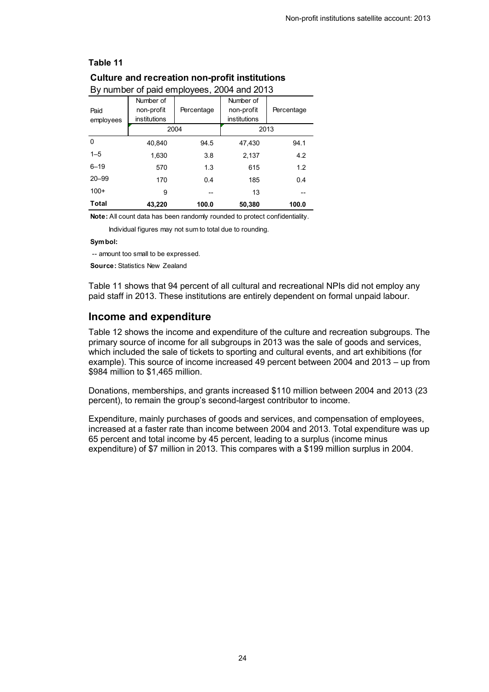| By number of paid employees, 2004 and 2013 |              |            |              |            |  |
|--------------------------------------------|--------------|------------|--------------|------------|--|
|                                            | Number of    |            | Number of    |            |  |
| Paid                                       | non-profit   | Percentage | non-profit   | Percentage |  |
| employees                                  | institutions |            | institutions |            |  |
|                                            |              | 2004       |              | 2013       |  |
| 0                                          | 40.840       | 94.5       | 47.430       | 94.1       |  |
| $1 - 5$                                    | 1.630        | 3.8        | 2.137        | 4.2        |  |
| $6 - 19$                                   | 570          | 1.3        | 615          | 1.2        |  |
| $20 - 99$                                  | 170          | 0.4        | 185          | 0.4        |  |
| $100+$                                     | 9            |            | 13           |            |  |
| Total                                      | 43,220       | 100.0      | 50,380       | 100.0      |  |

## <span id="page-23-0"></span>**Culture and recreation non-profit institutions**

**Note:** All count data has been randomly rounded to protect confidentiality.

Individual figures may not sum to total due to rounding.

#### **Symbol:**

-- amount too small to be expressed.

**Source:** Statistics New Zealand

Table 11 shows that 94 percent of all cultural and recreational NPIs did not employ any paid staff in 2013. These institutions are entirely dependent on formal unpaid labour.

#### **Income and expenditure**

Table 12 shows the income and expenditure of the culture and recreation subgroups. The primary source of income for all subgroups in 2013 was the sale of goods and services, which included the sale of tickets to sporting and cultural events, and art exhibitions (for example). This source of income increased 49 percent between 2004 and 2013 – up from \$984 million to \$1,465 million.

Donations, memberships, and grants increased \$110 million between 2004 and 2013 (23 percent), to remain the group's second-largest contributor to income.

Expenditure, mainly purchases of goods and services, and compensation of employees, increased at a faster rate than income between 2004 and 2013. Total expenditure was up 65 percent and total income by 45 percent, leading to a surplus (income minus expenditure) of \$7 million in 2013. This compares with a \$199 million surplus in 2004.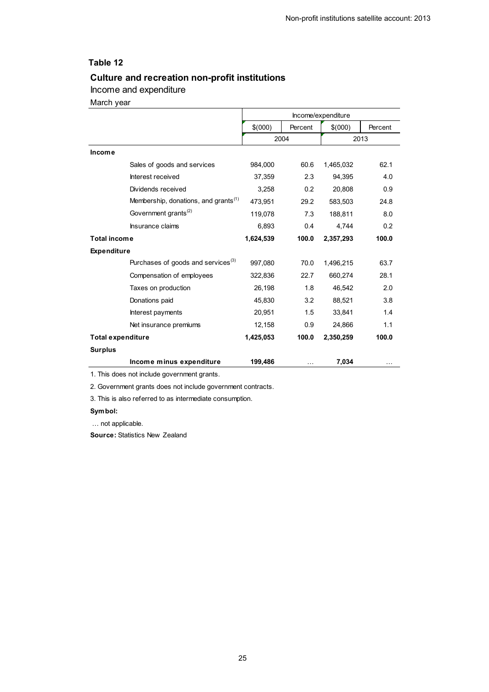### <span id="page-24-0"></span>**Culture and recreation non-profit institutions**

### Income and expenditure

March year

|                          |                                                  | Income/expenditure |         |           |         |
|--------------------------|--------------------------------------------------|--------------------|---------|-----------|---------|
|                          |                                                  | \$(000)            | Percent | \$(000)   | Percent |
|                          |                                                  | 2004               |         |           | 2013    |
| Income                   |                                                  |                    |         |           |         |
|                          | Sales of goods and services                      | 984,000            | 60.6    | 1,465,032 | 62.1    |
|                          | Interest received                                | 37,359             | 2.3     | 94,395    | 4.0     |
|                          | Dividends received                               | 3,258              | 0.2     | 20,808    | 0.9     |
|                          | Membership, donations, and grants <sup>(1)</sup> | 473,951            | 29.2    | 583,503   | 24.8    |
|                          | Government grants <sup>(2)</sup>                 | 119,078            | 7.3     | 188,811   | 8.0     |
|                          | Insurance claims                                 | 6,893              | 0.4     | 4,744     | 0.2     |
| <b>Total income</b>      |                                                  | 1,624,539          | 100.0   | 2,357,293 | 100.0   |
| <b>Expenditure</b>       |                                                  |                    |         |           |         |
|                          | Purchases of goods and services <sup>(3)</sup>   | 997,080            | 70.0    | 1,496,215 | 63.7    |
|                          | Compensation of employees                        | 322,836            | 22.7    | 660,274   | 28.1    |
|                          | Taxes on production                              | 26,198             | 1.8     | 46,542    | 2.0     |
|                          | Donations paid                                   | 45,830             | 3.2     | 88.521    | 3.8     |
|                          | Interest payments                                | 20,951             | 1.5     | 33.841    | 1.4     |
|                          | Net insurance premiums                           | 12,158             | 0.9     | 24,866    | 1.1     |
| <b>Total expenditure</b> |                                                  | 1,425,053          | 100.0   | 2,350,259 | 100.0   |
| <b>Surplus</b>           |                                                  |                    |         |           |         |
|                          | Income minus expenditure                         | 199,486            |         | 7,034     |         |

1. This does not include government grants.

2. Government grants does not include government contracts.

3. This is also referred to as intermediate consumption.

#### **Symbol:**

… not applicable.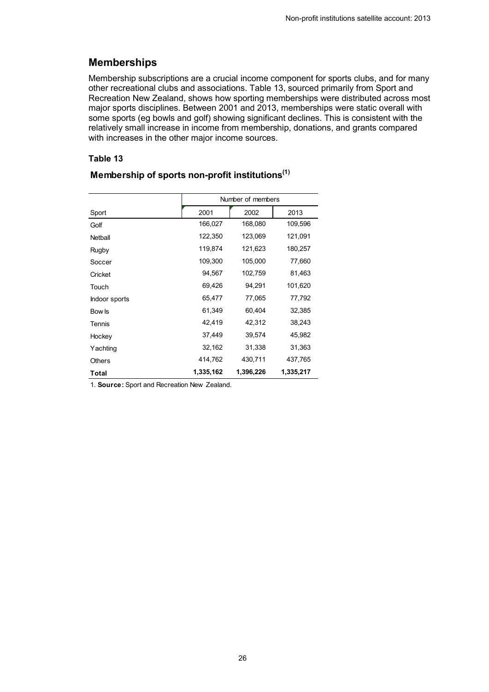## **Memberships**

Membership subscriptions are a crucial income component for sports clubs, and for many other recreational clubs and associations. Table 13, sourced primarily from Sport and Recreation New Zealand, shows how sporting memberships were distributed across most major sports disciplines. Between 2001 and 2013, memberships were static overall with some sports (eg bowls and golf) showing significant declines. This is consistent with the relatively small increase in income from membership, donations, and grants compared with increases in the other major income sources.

#### **Table 13**

|               | Number of members |           |           |  |
|---------------|-------------------|-----------|-----------|--|
| Sport         | 2001              | 2002      | 2013      |  |
| Golf          | 166,027           | 168,080   | 109,596   |  |
| Netball       | 122,350           | 123,069   | 121,091   |  |
| Rugby         | 119,874           | 121,623   | 180,257   |  |
| Soccer        | 109,300           | 105,000   | 77,660    |  |
| Cricket       | 94,567            | 102,759   | 81,463    |  |
| Touch         | 69,426            | 94,291    | 101,620   |  |
| Indoor sports | 65,477            | 77,065    | 77,792    |  |
| Bow Is        | 61,349            | 60,404    | 32,385    |  |
| Tennis        | 42,419            | 42,312    | 38,243    |  |
| Hockey        | 37,449            | 39,574    | 45,982    |  |
| Yachting      | 32,162            | 31,338    | 31,363    |  |
| <b>Others</b> | 414,762           | 430,711   | 437,765   |  |
| Total         | 1,335,162         | 1,396,226 | 1,335,217 |  |

### <span id="page-25-0"></span>**Membership of sports non-profit institutions(1)**

1. **Source:** Sport and Recreation New Zealand.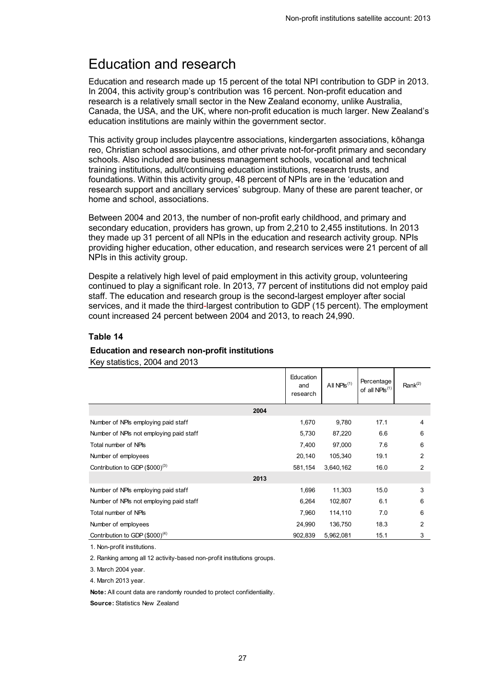## <span id="page-26-0"></span>Education and research

Education and research made up 15 percent of the total NPI contribution to GDP in 2013. In 2004, this activity group's contribution was 16 percent. Non-profit education and research is a relatively small sector in the New Zealand economy, unlike Australia, Canada, the USA, and the UK, where non-profit education is much larger. New Zealand's education institutions are mainly within the government sector.

This activity group includes playcentre associations, kindergarten associations, kōhanga reo, Christian school associations, and other private not-for-profit primary and secondary schools. Also included are business management schools, vocational and technical training institutions, adult/continuing education institutions, research trusts, and foundations. Within this activity group, 48 percent of NPIs are in the 'education and research support and ancillary services' subgroup. Many of these are parent teacher, or home and school, associations.

Between 2004 and 2013, the number of non-profit early childhood, and primary and secondary education, providers has grown, up from 2,210 to 2,455 institutions. In 2013 they made up 31 percent of all NPIs in the education and research activity group. NPIs providing higher education, other education, and research services were 21 percent of all NPIs in this activity group.

Despite a relatively high level of paid employment in this activity group, volunteering continued to play a significant role. In 2013, 77 percent of institutions did not employ paid staff. The education and research group is the second-largest employer after social services, and it made the third-largest contribution to GDP (15 percent). The employment count increased 24 percent between 2004 and 2013, to reach 24,990.

#### **Table 14**

## <span id="page-26-1"></span>**Education and research non-profit institutions**

Key statistics, 2004 and 2013

|                                         |      | Education<br>and<br>research | All $NPIS^{(1)}$ | Percentage<br>of all NPIs <sup>(1)</sup> | Rank <sup>(2)</sup> |
|-----------------------------------------|------|------------------------------|------------------|------------------------------------------|---------------------|
|                                         | 2004 |                              |                  |                                          |                     |
| Number of NPIs employing paid staff     |      | 1,670                        | 9,780            | 17.1                                     | 4                   |
| Number of NPIs not employing paid staff |      | 5,730                        | 87,220           | 6.6                                      | 6                   |
| Total number of NPIs                    |      | 7,400                        | 97,000           | 7.6                                      | 6                   |
| Number of employees                     |      | 20,140                       | 105,340          | 19.1                                     | $\overline{2}$      |
| Contribution to GDP $(\$000)^{(3)}$     |      | 581,154                      | 3,640,162        | 16.0                                     | $\overline{2}$      |
|                                         | 2013 |                              |                  |                                          |                     |
| Number of NPIs employing paid staff     |      | 1,696                        | 11,303           | 15.0                                     | 3                   |
| Number of NPIs not employing paid staff |      | 6,264                        | 102,807          | 6.1                                      | 6                   |
| Total number of NPIs                    |      | 7,960                        | 114,110          | 7.0                                      | 6                   |
| Number of employees                     |      | 24,990                       | 136,750          | 18.3                                     | $\overline{2}$      |
| Contribution to GDP $(\$000)^{(4)}$     |      | 902,839                      | 5,962,081        | 15.1                                     | 3                   |

1. Non-profit institutions.

2. Ranking among all 12 activity-based non-profit institutions groups.

3. March 2004 year.

4. March 2013 year.

**Note:** All count data are randomly rounded to protect confidentiality.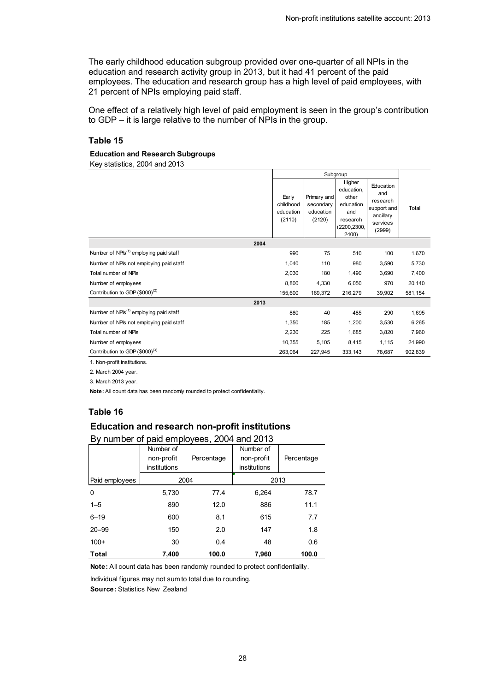The early childhood education subgroup provided over one-quarter of all NPIs in the education and research activity group in 2013, but it had 41 percent of the paid employees. The education and research group has a high level of paid employees, with 21 percent of NPIs employing paid staff.

One effect of a relatively high level of paid employment is seen in the group's contribution to GDP – it is large relative to the number of NPIs in the group.

#### **Table 15**

#### <span id="page-27-0"></span>**Education and Research Subgroups**

Key statistics, 2004 and 2013

|                                                                                                                 | Subgroup                                  |                                                 |                                                                                       |                                                                                |         |
|-----------------------------------------------------------------------------------------------------------------|-------------------------------------------|-------------------------------------------------|---------------------------------------------------------------------------------------|--------------------------------------------------------------------------------|---------|
|                                                                                                                 | Early<br>childhood<br>education<br>(2110) | Primary and<br>secondary<br>education<br>(2120) | Higher<br>education.<br>other<br>education<br>and<br>research<br>(2200,2300,<br>2400) | Education<br>and<br>research<br>support and<br>ancillary<br>services<br>(2999) | Total   |
| 2004                                                                                                            |                                           |                                                 |                                                                                       |                                                                                |         |
| Number of NPIs <sup>(1)</sup> employing paid staff                                                              | 990                                       | 75                                              | 510                                                                                   | 100                                                                            | 1,670   |
| Number of NPIs not employing paid staff                                                                         | 1,040                                     | 110                                             | 980                                                                                   | 3,590                                                                          | 5,730   |
| Total number of NPIs                                                                                            | 2,030                                     | 180                                             | 1,490                                                                                 | 3,690                                                                          | 7,400   |
| Number of employees                                                                                             | 8,800                                     | 4,330                                           | 6,050                                                                                 | 970                                                                            | 20,140  |
| Contribution to GDP $(\$000)^{(2)}$                                                                             | 155,600                                   | 169,372                                         | 216,279                                                                               | 39,902                                                                         | 581,154 |
| 2013                                                                                                            |                                           |                                                 |                                                                                       |                                                                                |         |
| Number of NPIs <sup>(1)</sup> employing paid staff                                                              | 880                                       | 40                                              | 485                                                                                   | 290                                                                            | 1,695   |
| Number of NPIs not employing paid staff                                                                         | 1,350                                     | 185                                             | 1,200                                                                                 | 3,530                                                                          | 6,265   |
| Total number of NPIs                                                                                            | 2,230                                     | 225                                             | 1,685                                                                                 | 3,820                                                                          | 7,960   |
| Number of employees                                                                                             | 10,355                                    | 5,105                                           | 8,415                                                                                 | 1,115                                                                          | 24,990  |
| Contribution to GDP $(\$000)^{(3)}$                                                                             | 263,064                                   | 227,945                                         | 333,143                                                                               | 78,687                                                                         | 902,839 |
| a war and a state of the state of the state of the state of the state of the state of the state of the state of |                                           |                                                 |                                                                                       |                                                                                |         |

1. Non-profit institutions.

2. March 2004 year.

3. March 2013 year.

**Note:** All count data has been randomly rounded to protect confidentiality.

#### **Table 16**

#### <span id="page-27-1"></span>**Education and research non-profit institutions**

| By number of paid employees, 2004 and 2013 |              |            |              |            |  |
|--------------------------------------------|--------------|------------|--------------|------------|--|
|                                            | Number of    |            | Number of    |            |  |
|                                            | non-profit   | Percentage | non-profit   | Percentage |  |
|                                            | institutions |            | institutions |            |  |
| Paid employees                             | 2004         |            | 2013         |            |  |
| 0                                          | 5.730        | 77.4       | 6.264        | 78.7       |  |
| $1 - 5$                                    | 890          | 12.0       | 886          | 11.1       |  |
| $6 - 19$                                   | 600          | 8.1        | 615          | 7.7        |  |
| $20 - 99$                                  | 150          | 2.0        | 147          | 1.8        |  |
| $100+$                                     | 30           | 0.4        | 48           | 0.6        |  |
| Total                                      | 7.400        | 100.0      | 7,960        | 100.0      |  |

**Note:** All count data has been randomly rounded to protect confidentiality.

Individual figures may not sum to total due to rounding.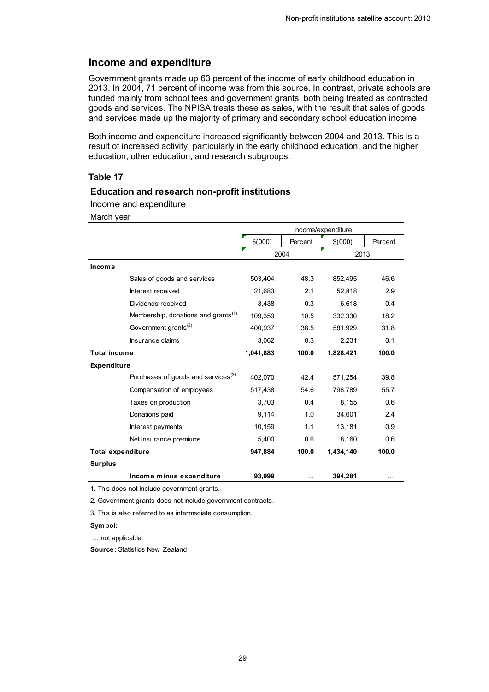#### **Income and expenditure**

Government grants made up 63 percent of the income of early childhood education in 2013. In 2004, 71 percent of income was from this source. In contrast, private schools are funded mainly from school fees and government grants, both being treated as contracted goods and services. The NPISA treats these as sales, with the result that sales of goods and services made up the majority of primary and secondary school education income.

Both income and expenditure increased significantly between 2004 and 2013. This is a result of increased activity, particularly in the early childhood education, and the higher education, other education, and research subgroups.

#### **Table 17**

#### <span id="page-28-0"></span>**Education and research non-profit institutions**

Income and expenditure

March year

|                          |                                                 | Income/expenditure |         |           |         |
|--------------------------|-------------------------------------------------|--------------------|---------|-----------|---------|
|                          |                                                 | \$(000)            | Percent | \$(000)   | Percent |
|                          |                                                 |                    | 2004    | 2013      |         |
| Income                   |                                                 |                    |         |           |         |
|                          | Sales of goods and services                     | 503,404            | 48.3    | 852,495   | 46.6    |
|                          | Interest received                               | 21,683             | 2.1     | 52,818    | 2.9     |
|                          | Dividends received                              | 3,438              | 0.3     | 6,618     | 0.4     |
|                          | Membership, donations and grants <sup>(1)</sup> | 109.359            | 10.5    | 332,330   | 18.2    |
|                          | Government grants <sup>(2)</sup>                | 400,937            | 38.5    | 581,929   | 31.8    |
|                          | Insurance claims                                | 3,062              | 0.3     | 2,231     | 0.1     |
| <b>Total income</b>      |                                                 | 1,041,883          | 100.0   | 1,828,421 | 100.0   |
| <b>Expenditure</b>       |                                                 |                    |         |           |         |
|                          | Purchases of goods and services <sup>(3)</sup>  | 402.070            | 42.4    | 571,254   | 39.8    |
|                          | Compensation of employees                       | 517,438            | 54.6    | 798,789   | 55.7    |
|                          | Taxes on production                             | 3,703              | 0.4     | 8.155     | 0.6     |
|                          | Donations paid                                  | 9,114              | 1.0     | 34,601    | 2.4     |
|                          | Interest payments                               | 10,159             | 1.1     | 13,181    | 0.9     |
|                          | Net insurance premiums                          | 5,400              | 0.6     | 8,160     | 0.6     |
| <b>Total expenditure</b> |                                                 | 947,884            | 100.0   | 1,434,140 | 100.0   |
| <b>Surplus</b>           |                                                 |                    |         |           |         |
|                          | Income minus expenditure                        | 93,999             |         | 394,281   |         |

1. This does not include government grants.

2. Government grants does not include government contracts.

3. This is also referred to as intermediate consumption.

#### **Symbol:**

… not applicable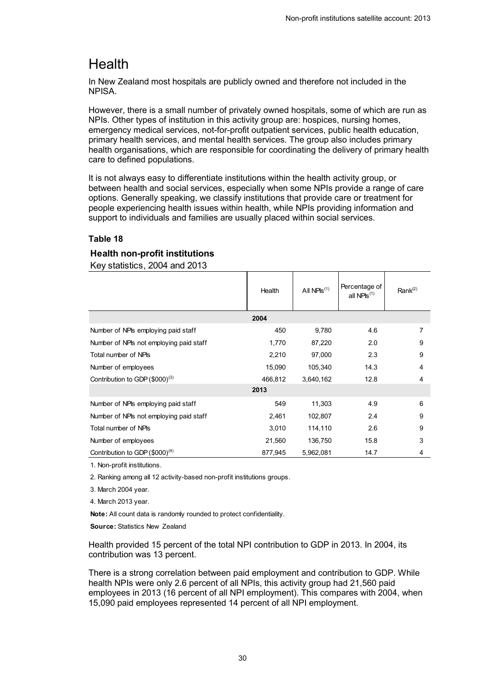## <span id="page-29-0"></span>**Health**

In New Zealand most hospitals are publicly owned and therefore not included in the NPISA.

However, there is a small number of privately owned hospitals, some of which are run as NPIs. Other types of institution in this activity group are: hospices, nursing homes, emergency medical services, not-for-profit outpatient services, public health education, primary health services, and mental health services. The group also includes primary health organisations, which are responsible for coordinating the delivery of primary health care to defined populations.

It is not always easy to differentiate institutions within the health activity group, or between health and social services, especially when some NPIs provide a range of care options. Generally speaking, we classify institutions that provide care or treatment for people experiencing health issues within health, while NPIs providing information and support to individuals and families are usually placed within social services.

#### **Table 18**

#### <span id="page-29-1"></span>**Health non-profit institutions**

Key statistics, 2004 and 2013

|                                            | Health  | All $NPIS^{(1)}$ | Percentage of<br>all NPIs $(1)$ | Rank $(2)$ |
|--------------------------------------------|---------|------------------|---------------------------------|------------|
|                                            | 2004    |                  |                                 |            |
| Number of NPIs employing paid staff        | 450     | 9,780            | 4.6                             | 7          |
| Number of NPIs not employing paid staff    | 1,770   | 87,220           | 2.0                             | 9          |
| Total number of NPIs                       | 2,210   | 97,000           | 2.3                             | 9          |
| Number of employees                        | 15,090  | 105,340          | 14.3                            | 4          |
| Contribution to GDP (\$000) <sup>(3)</sup> | 466,812 | 3,640,162        | 12.8                            | 4          |
|                                            | 2013    |                  |                                 |            |
| Number of NPIs employing paid staff        | 549     | 11,303           | 4.9                             | 6          |
| Number of NPIs not employing paid staff    | 2,461   | 102,807          | 2.4                             | 9          |
| Total number of NPIs                       | 3,010   | 114,110          | 2.6                             | 9          |
| Number of employees                        | 21,560  | 136,750          | 15.8                            | 3          |
| Contribution to GDP (\$000) <sup>(4)</sup> | 877,945 | 5,962,081        | 14.7                            | 4          |

1. Non-profit institutions.

2. Ranking among all 12 activity-based non-profit institutions groups.

3. March 2004 year.

4. March 2013 year.

**Note:** All count data is randomly rounded to protect confidentiality.

**Source:** Statistics New Zealand

Health provided 15 percent of the total NPI contribution to GDP in 2013. In 2004, its contribution was 13 percent.

There is a strong correlation between paid employment and contribution to GDP. While health NPIs were only 2.6 percent of all NPIs, this activity group had 21,560 paid employees in 2013 (16 percent of all NPI employment). This compares with 2004, when 15,090 paid employees represented 14 percent of all NPI employment.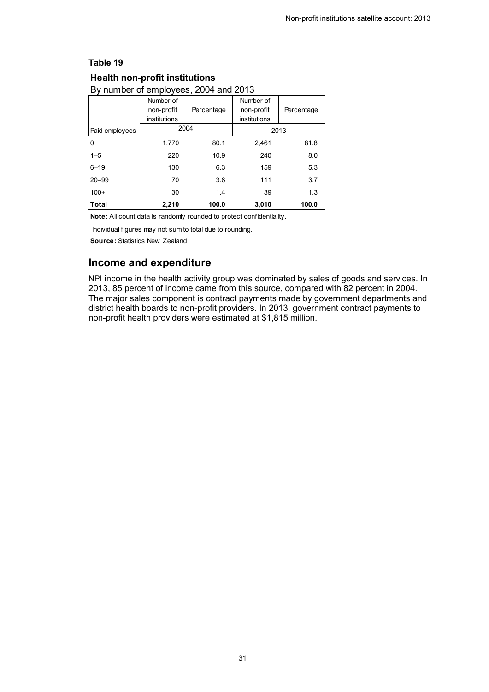#### <span id="page-30-0"></span>**Health non-profit institutions**

### By number of employees, 2004 and 2013

|                | Number of    |            | Number of           |            |
|----------------|--------------|------------|---------------------|------------|
|                | non-profit   | Percentage | non-profit          | Percentage |
|                | institutions |            | <i>institutions</i> |            |
| Paid employees |              | 2004       |                     | 2013       |
| 0              | 1,770        | 80.1       | 2,461               | 81.8       |
| $1 - 5$        | 220          | 10.9       | 240                 | 8.0        |
| $6 - 19$       | 130          | 6.3        | 159                 | 5.3        |
| $20 - 99$      | 70           | 3.8        | 111                 | 3.7        |
| $100+$         | 30           | 1.4        | 39                  | 1.3        |
| Total          | 2,210        | 100.0      | 3,010               | 100.0      |

**Note:** All count data is randomly rounded to protect confidentiality.

Individual figures may not sum to total due to rounding.

**Source:** Statistics New Zealand

### **Income and expenditure**

NPI income in the health activity group was dominated by sales of goods and services. In 2013, 85 percent of income came from this source, compared with 82 percent in 2004. The major sales component is contract payments made by government departments and district health boards to non-profit providers. In 2013, government contract payments to non-profit health providers were estimated at \$1,815 million.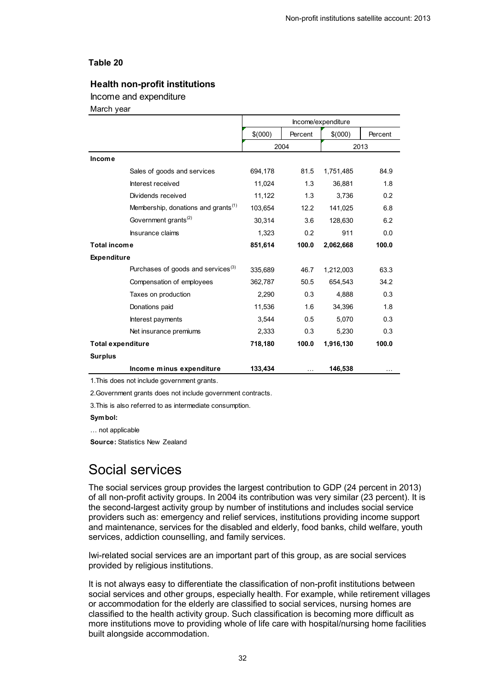#### <span id="page-31-1"></span>**Health non-profit institutions**

Income and expenditure

March year

|                          |                                                 | Income/expenditure |         |           |          |
|--------------------------|-------------------------------------------------|--------------------|---------|-----------|----------|
|                          |                                                 | \$(000)            | Percent | \$(000)   | Percent  |
|                          |                                                 | 2004               |         |           | 2013     |
| <b>Income</b>            |                                                 |                    |         |           |          |
|                          | Sales of goods and services                     | 694,178            | 81.5    | 1,751,485 | 84.9     |
|                          | Interest received                               | 11,024             | 1.3     | 36,881    | 1.8      |
|                          | Dividends received                              | 11,122             | 1.3     | 3,736     | 0.2      |
|                          | Membership, donations and grants <sup>(1)</sup> | 103,654            | 12.2    | 141,025   | 6.8      |
|                          | Government grants <sup>(2)</sup>                | 30,314             | 3.6     | 128,630   | 6.2      |
|                          | Insurance claims                                | 1,323              | 0.2     | 911       | 0.0      |
| <b>Total income</b>      |                                                 | 851,614            | 100.0   | 2,062,668 | 100.0    |
| <b>Expenditure</b>       |                                                 |                    |         |           |          |
|                          | Purchases of goods and services <sup>(3)</sup>  | 335,689            | 46.7    | 1,212,003 | 63.3     |
|                          | Compensation of employees                       | 362,787            | 50.5    | 654,543   | 34.2     |
|                          | Taxes on production                             | 2,290              | 0.3     | 4,888     | 0.3      |
|                          | Donations paid                                  | 11,536             | 1.6     | 34,396    | 1.8      |
|                          | Interest payments                               | 3,544              | 0.5     | 5,070     | 0.3      |
|                          | Net insurance premiums                          | 2,333              | 0.3     | 5,230     | 0.3      |
| <b>Total expenditure</b> |                                                 | 718,180            | 100.0   | 1,916,130 | 100.0    |
| <b>Surplus</b>           |                                                 |                    |         |           |          |
|                          | Income minus expenditure                        | 133,434            | .       | 146,538   | $\cdots$ |

1.This does not include government grants.

2.Government grants does not include government contracts.

3.This is also referred to as intermediate consumption.

**Symbol:** 

… not applicable

**Source:** Statistics New Zealand

## <span id="page-31-0"></span>Social services

The social services group provides the largest contribution to GDP (24 percent in 2013) of all non-profit activity groups. In 2004 its contribution was very similar (23 percent). It is the second-largest activity group by number of institutions and includes social service providers such as: emergency and relief services, institutions providing income support and maintenance, services for the disabled and elderly, food banks, child welfare, youth services, addiction counselling, and family services.

Iwi-related social services are an important part of this group, as are social services provided by religious institutions.

It is not always easy to differentiate the classification of non-profit institutions between social services and other groups, especially health. For example, while retirement villages or accommodation for the elderly are classified to social services, nursing homes are classified to the health activity group. Such classification is becoming more difficult as more institutions move to providing whole of life care with hospital/nursing home facilities built alongside accommodation.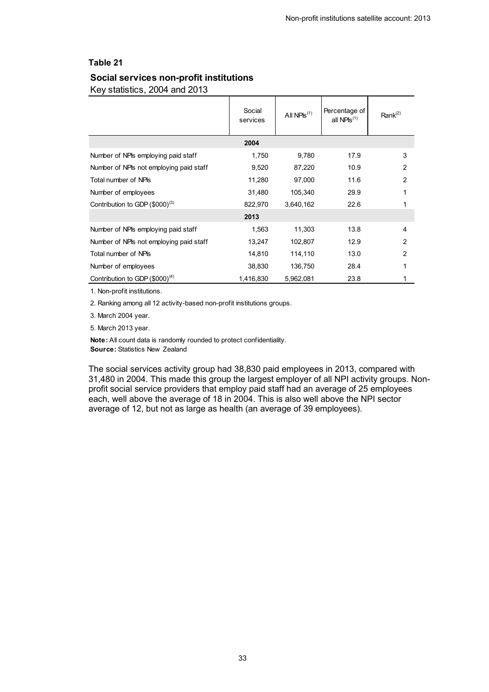### <span id="page-32-0"></span>**Table 21 Social services non-profit institutions**

Key statistics, 2004 and 2013

|                                         | Social<br>services | All $NPIS^{(1)}$ | Percentage of<br>all $NPIs^{(1)}$ | Rank $(2)$     |
|-----------------------------------------|--------------------|------------------|-----------------------------------|----------------|
|                                         | 2004               |                  |                                   |                |
| Number of NPIs employing paid staff     | 1,750              | 9,780            | 17.9                              | 3              |
| Number of NPIs not employing paid staff | 9,520              | 87,220           | 10.9                              | $\overline{2}$ |
| Total number of NPIs                    | 11,280             | 97,000           | 11.6                              | $\overline{2}$ |
| Number of employees                     | 31,480             | 105,340          | 29.9                              |                |
| Contribution to GDP $(\$000)^{(3)}$     | 822,970            | 3,640,162        | 22.6                              |                |
|                                         | 2013               |                  |                                   |                |
| Number of NPIs employing paid staff     | 1,563              | 11,303           | 13.8                              | 4              |
| Number of NPIs not employing paid staff | 13,247             | 102,807          | 12.9                              | $\overline{2}$ |
| Total number of NPIs                    | 14,810             | 114,110          | 13.0                              | 2              |
| Number of employees                     | 38,830             | 136,750          | 28.4                              |                |
| Contribution to GDP $(\$000)^{(4)}$     | 1,416,830          | 5,962,081        | 23.8                              |                |

1. Non-profit institutions.

2. Ranking among all 12 activity-based non-profit institutions groups.

3. March 2004 year.

5. March 2013 year.

**Note:** All count data is randomly rounded to protect confidentiality. **Source:** Statistics New Zealand

The social services activity group had 38,830 paid employees in 2013, compared with 31,480 in 2004. This made this group the largest employer of all NPI activity groups. Nonprofit social service providers that employ paid staff had an average of 25 employees each, well above the average of 18 in 2004. This is also well above the NPI sector average of 12, but not as large as health (an average of 39 employees).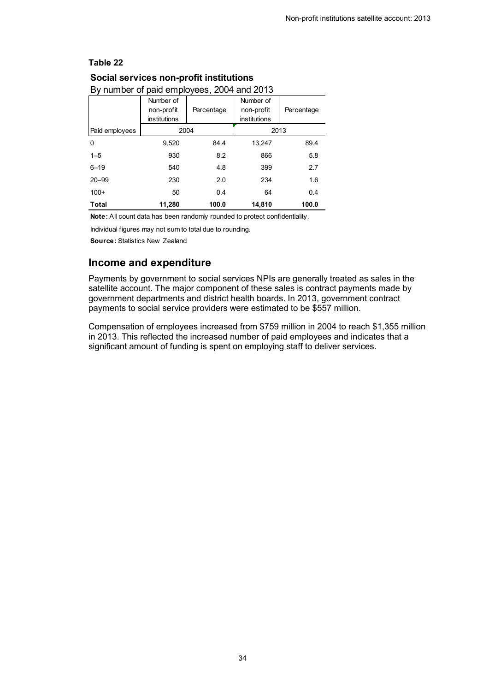#### <span id="page-33-0"></span>**Social services non-profit institutions**

| Dy Hurliber of paid employees, 2004 and 2013 |              |            |              |            |  |  |
|----------------------------------------------|--------------|------------|--------------|------------|--|--|
|                                              | Number of    |            | Number of    |            |  |  |
|                                              | non-profit   | Percentage | non-profit   | Percentage |  |  |
|                                              | institutions |            | institutions |            |  |  |
| Paid employees                               | 2004         |            | 2013         |            |  |  |
| 0                                            | 9,520        | 84.4       | 13,247       | 89.4       |  |  |
| $1 - 5$                                      | 930          | 8.2        | 866          | 5.8        |  |  |
| $6 - 19$                                     | 540          | 4.8        | 399          | 2.7        |  |  |
| $20 - 99$                                    | 230          | 2.0        | 234          | 1.6        |  |  |
| $100+$                                       | 50           | 0.4        | 64           | 0.4        |  |  |
| Total                                        | 11.280       | 100.0      | 14,810       | 100.0      |  |  |

## By number of paid employees, 2004 and 2013

**Note:** All count data has been randomly rounded to protect confidentiality.

Individual figures may not sum to total due to rounding.

**Source:** Statistics New Zealand

#### **Income and expenditure**

Payments by government to social services NPIs are generally treated as sales in the satellite account. The major component of these sales is contract payments made by government departments and district health boards. In 2013, government contract payments to social service providers were estimated to be \$557 million.

Compensation of employees increased from \$759 million in 2004 to reach \$1,355 million in 2013. This reflected the increased number of paid employees and indicates that a significant amount of funding is spent on employing staff to deliver services.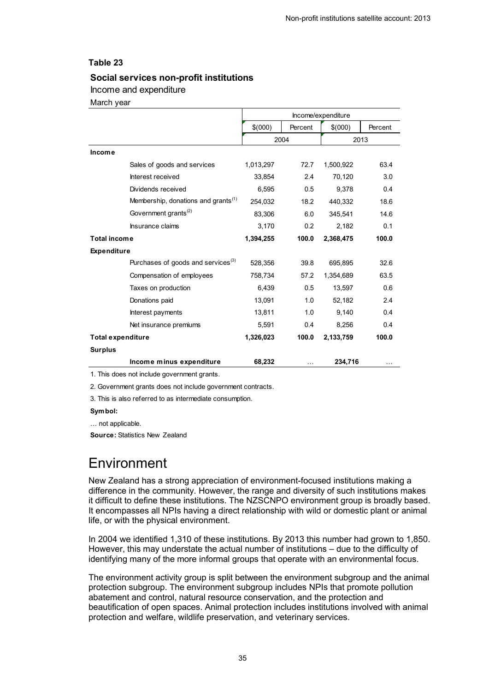#### <span id="page-34-1"></span>**Social services non-profit institutions**

#### Income and expenditure

March year

|                          |                                                 | Income/expenditure |         |           |         |
|--------------------------|-------------------------------------------------|--------------------|---------|-----------|---------|
|                          |                                                 | \$(000)            | Percent | \$(000)   | Percent |
|                          |                                                 |                    | 2004    | 2013      |         |
| Income                   |                                                 |                    |         |           |         |
|                          | Sales of goods and services                     | 1,013,297          | 72.7    | 1,500,922 | 63.4    |
|                          | Interest received                               | 33,854             | 2.4     | 70,120    | 3.0     |
|                          | Dividends received                              | 6.595              | 0.5     | 9.378     | 0.4     |
|                          | Membership, donations and grants <sup>(1)</sup> | 254,032            | 18.2    | 440,332   | 18.6    |
|                          | Government grants <sup>(2)</sup>                | 83,306             | 6.0     | 345,541   | 14.6    |
|                          | Insurance claims                                | 3,170              | 0.2     | 2,182     | 0.1     |
| <b>Total income</b>      |                                                 | 1,394,255          | 100.0   | 2,368,475 | 100.0   |
| <b>Expenditure</b>       |                                                 |                    |         |           |         |
|                          | Purchases of goods and services <sup>(3)</sup>  | 528,356            | 39.8    | 695,895   | 32.6    |
|                          | Compensation of employees                       | 758,734            | 57.2    | 1,354,689 | 63.5    |
|                          | Taxes on production                             | 6,439              | 0.5     | 13,597    | 0.6     |
|                          | Donations paid                                  | 13,091             | 1.0     | 52,182    | 2.4     |
|                          | Interest payments                               | 13,811             | 1.0     | 9,140     | 0.4     |
|                          | Net insurance premiums                          | 5,591              | 0.4     | 8.256     | 0.4     |
| <b>Total expenditure</b> |                                                 | 1,326,023          | 100.0   | 2,133,759 | 100.0   |
| <b>Surplus</b>           |                                                 |                    |         |           |         |
|                          | Income minus expenditure                        | 68,232             |         | 234,716   |         |

1. This does not include government grants.

2. Government grants does not include government contracts.

3. This is also referred to as intermediate consumption.

#### **Symbol:**

… not applicable.

**Source:** Statistics New Zealand

## <span id="page-34-0"></span>Environment

New Zealand has a strong appreciation of environment-focused institutions making a difference in the community. However, the range and diversity of such institutions makes it difficult to define these institutions. The NZSCNPO environment group is broadly based. It encompasses all NPIs having a direct relationship with wild or domestic plant or animal life, or with the physical environment.

In 2004 we identified 1,310 of these institutions. By 2013 this number had grown to 1,850. However, this may understate the actual number of institutions – due to the difficulty of identifying many of the more informal groups that operate with an environmental focus.

The environment activity group is split between the environment subgroup and the animal protection subgroup. The environment subgroup includes NPIs that promote pollution abatement and control, natural resource conservation, and the protection and beautification of open spaces. Animal protection includes institutions involved with animal protection and welfare, wildlife preservation, and veterinary services.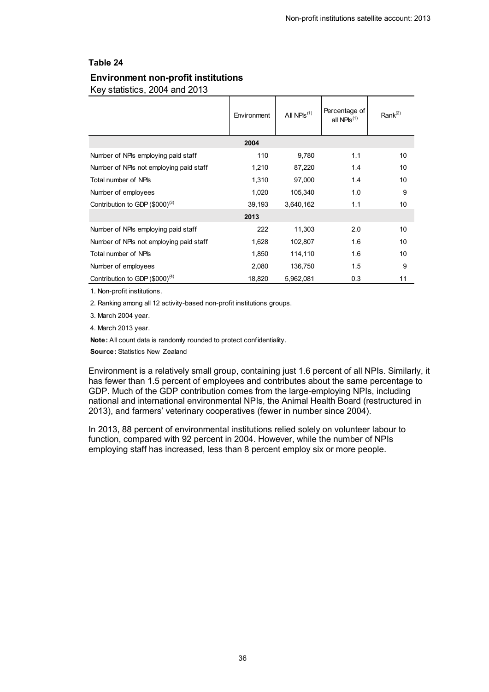#### <span id="page-35-0"></span>**Environment non-profit institutions**

Key statistics, 2004 and 2013

|                                         | Environment | All $NPIS^{(1)}$ | Percentage of<br>all $NPIs^{(1)}$ | Rank <sup>(2)</sup> |
|-----------------------------------------|-------------|------------------|-----------------------------------|---------------------|
|                                         | 2004        |                  |                                   |                     |
| Number of NPIs employing paid staff     | 110         | 9,780            | 1.1                               | 10                  |
| Number of NPIs not employing paid staff | 1,210       | 87,220           | 1.4                               | 10                  |
| Total number of NPIs                    | 1,310       | 97,000           | 1.4                               | 10                  |
| Number of employees                     | 1,020       | 105,340          | 1.0                               | 9                   |
| Contribution to GDP $(\$000)^{(3)}$     | 39,193      | 3,640,162        | 1.1                               | 10                  |
|                                         | 2013        |                  |                                   |                     |
| Number of NPIs employing paid staff     | 222         | 11,303           | 2.0                               | 10                  |
| Number of NPIs not employing paid staff | 1,628       | 102,807          | 1.6                               | 10                  |
| Total number of NPIs                    | 1,850       | 114,110          | 1.6                               | 10                  |
| Number of employees                     | 2,080       | 136,750          | 1.5                               | 9                   |
| Contribution to GDP $(\$000)^{(4)}$     | 18,820      | 5,962,081        | 0.3                               | 11                  |

1. Non-profit institutions.

2. Ranking among all 12 activity-based non-profit institutions groups.

3. March 2004 year.

4. March 2013 year.

**Note:** All count data is randomly rounded to protect confidentiality.

**Source:** Statistics New Zealand

Environment is a relatively small group, containing just 1.6 percent of all NPIs. Similarly, it has fewer than 1.5 percent of employees and contributes about the same percentage to GDP. Much of the GDP contribution comes from the large-employing NPIs, including national and international environmental NPIs, the Animal Health Board (restructured in 2013), and farmers' veterinary cooperatives (fewer in number since 2004).

In 2013, 88 percent of environmental institutions relied solely on volunteer labour to function, compared with 92 percent in 2004. However, while the number of NPIs employing staff has increased, less than 8 percent employ six or more people.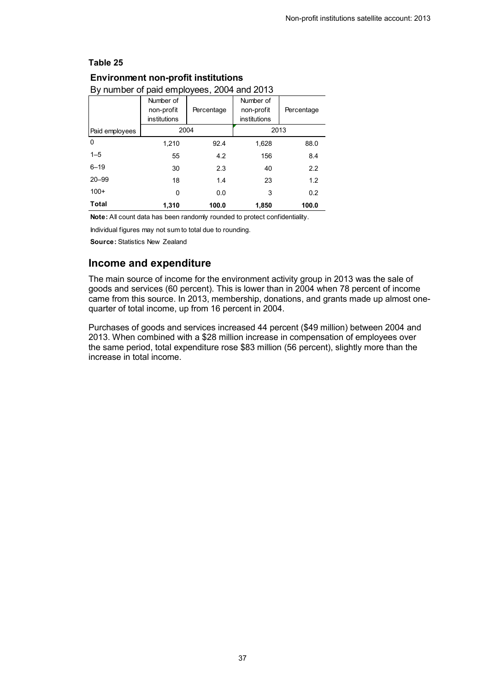#### <span id="page-36-0"></span>**Environment non-profit institutions**

| By number of paid employees, 2004 and 2013 |              |            |              |            |  |  |
|--------------------------------------------|--------------|------------|--------------|------------|--|--|
|                                            | Number of    |            | Number of    |            |  |  |
|                                            | non-profit   | Percentage | non-profit   | Percentage |  |  |
|                                            | institutions |            | institutions |            |  |  |
| Paid employees                             | 2004         |            | 2013         |            |  |  |
| 0                                          | 1,210        | 92.4       | 1,628        | 88.0       |  |  |
| $1 - 5$                                    | 55           | 4.2        | 156          | 8.4        |  |  |
| $6 - 19$                                   | 30           | 2.3        | 40           | 2.2        |  |  |
| $20 - 99$                                  | 18           | 1.4        | 23           | 1.2        |  |  |
| $100+$                                     | 0            | 0.0        | 3            | 0.2        |  |  |
| <b>Total</b>                               | 1,310        | 100.0      | 1,850        | 100.0      |  |  |

#### By number of paid employees, 2004 and 2013

**Note:** All count data has been randomly rounded to protect confidentiality.

Individual figures may not sum to total due to rounding.

**Source:** Statistics New Zealand

#### **Income and expenditure**

The main source of income for the environment activity group in 2013 was the sale of goods and services (60 percent). This is lower than in 2004 when 78 percent of income came from this source. In 2013, membership, donations, and grants made up almost onequarter of total income, up from 16 percent in 2004.

Purchases of goods and services increased 44 percent (\$49 million) between 2004 and 2013. When combined with a \$28 million increase in compensation of employees over the same period, total expenditure rose \$83 million (56 percent), slightly more than the increase in total income.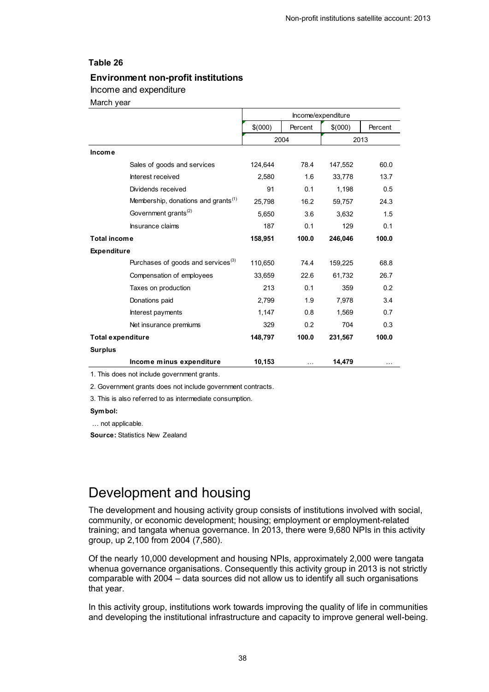#### <span id="page-37-1"></span>**Environment non-profit institutions**

#### Income and expenditure

March year

|                          |                                                 | Income/expenditure |          |         |         |
|--------------------------|-------------------------------------------------|--------------------|----------|---------|---------|
|                          |                                                 | \$(000)            | Percent  | \$(000) | Percent |
|                          |                                                 |                    | 2004     |         | 2013    |
| Income                   |                                                 |                    |          |         |         |
|                          | Sales of goods and services                     | 124,644            | 78.4     | 147,552 | 60.0    |
|                          | Interest received                               | 2,580              | 1.6      | 33,778  | 13.7    |
|                          | Dividends received                              | 91                 | 0.1      | 1,198   | 0.5     |
|                          | Membership, donations and grants <sup>(1)</sup> | 25,798             | 16.2     | 59,757  | 24.3    |
|                          | Government grants <sup>(2)</sup>                | 5,650              | 3.6      | 3,632   | 1.5     |
|                          | Insurance claims                                | 187                | 0.1      | 129     | 0.1     |
| <b>Total income</b>      |                                                 | 158,951            | 100.0    | 246,046 | 100.0   |
| <b>Expenditure</b>       |                                                 |                    |          |         |         |
|                          | Purchases of goods and services <sup>(3)</sup>  | 110,650            | 74.4     | 159,225 | 68.8    |
|                          | Compensation of employees                       | 33,659             | 22.6     | 61,732  | 26.7    |
|                          | Taxes on production                             | 213                | 0.1      | 359     | 0.2     |
|                          | Donations paid                                  | 2,799              | 1.9      | 7,978   | 3.4     |
|                          | Interest payments                               | 1,147              | 0.8      | 1.569   | 0.7     |
|                          | Net insurance premiums                          | 329                | 0.2      | 704     | 0.3     |
| <b>Total expenditure</b> |                                                 | 148,797            | 100.0    | 231,567 | 100.0   |
| <b>Surplus</b>           |                                                 |                    |          |         |         |
|                          | Income minus expenditure                        | 10,153             | $\cdots$ | 14,479  |         |

1. This does not include government grants.

2. Government grants does not include government contracts.

3. This is also referred to as intermediate consumption.

#### **Symbol:**

… not applicable.

**Source:** Statistics New Zealand

## <span id="page-37-0"></span>Development and housing

The development and housing activity group consists of institutions involved with social, community, or economic development; housing; employment or employment-related training; and tangata whenua governance. In 2013, there were 9,680 NPIs in this activity group, up 2,100 from 2004 (7,580).

Of the nearly 10,000 development and housing NPIs, approximately 2,000 were tangata whenua governance organisations. Consequently this activity group in 2013 is not strictly comparable with 2004 – data sources did not allow us to identify all such organisations that year.

In this activity group, institutions work towards improving the quality of life in communities and developing the institutional infrastructure and capacity to improve general well-being.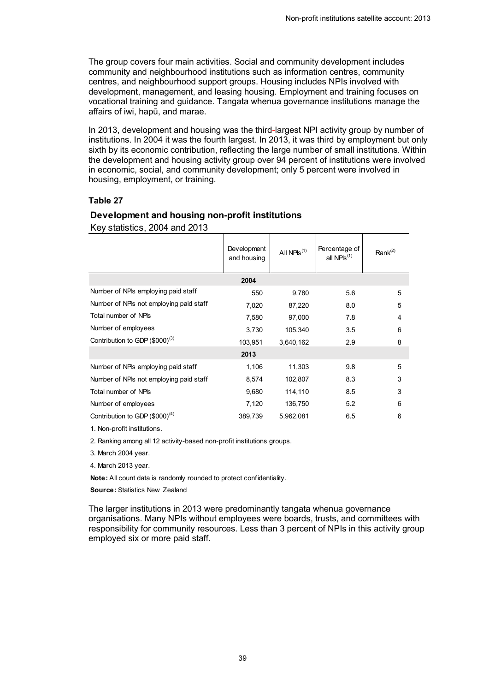The group covers four main activities. Social and community development includes community and neighbourhood institutions such as information centres, community centres, and neighbourhood support groups. Housing includes NPIs involved with development, management, and leasing housing. Employment and training focuses on vocational training and guidance. Tangata whenua governance institutions manage the affairs of iwi, hapū, and marae.

In 2013, development and housing was the third-largest NPI activity group by number of institutions. In 2004 it was the fourth largest. In 2013, it was third by employment but only sixth by its economic contribution, reflecting the large number of small institutions. Within the development and housing activity group over 94 percent of institutions were involved in economic, social, and community development; only 5 percent were involved in housing, employment, or training.

### **Table 27**

#### <span id="page-38-0"></span>**Development and housing non-profit institutions**

Key statistics, 2004 and 2013

|                                         | Development<br>and housing | All $NPIS^{(1)}$ | Percentage of<br>all NPIs <sup>(1)</sup> | Rank $(2)$ |
|-----------------------------------------|----------------------------|------------------|------------------------------------------|------------|
|                                         | 2004                       |                  |                                          |            |
| Number of NPIs employing paid staff     | 550                        | 9,780            | 5.6                                      | 5          |
| Number of NPIs not employing paid staff | 7,020                      | 87,220           | 8.0                                      | 5          |
| Total number of NPIs                    | 7,580                      | 97,000           | 7.8                                      | 4          |
| Number of employees                     | 3,730                      | 105,340          | 3.5                                      | 6          |
| Contribution to GDP $(\$000)^{(3)}$     | 103,951                    | 3,640,162        | 2.9                                      | 8          |
|                                         | 2013                       |                  |                                          |            |
| Number of NPIs employing paid staff     | 1,106                      | 11,303           | 9.8                                      | 5          |
| Number of NPIs not employing paid staff | 8,574                      | 102,807          | 8.3                                      | 3          |
| Total number of NPIs                    | 9,680                      | 114,110          | 8.5                                      | 3          |
| Number of employees                     | 7,120                      | 136,750          | 5.2                                      | 6          |
| Contribution to GDP $(\$000)^{(4)}$     | 389,739                    | 5,962,081        | 6.5                                      | 6          |

1. Non-profit institutions.

2. Ranking among all 12 activity-based non-profit institutions groups.

3. March 2004 year.

4. March 2013 year.

**Note:** All count data is randomly rounded to protect confidentiality.

**Source:** Statistics New Zealand

The larger institutions in 2013 were predominantly tangata whenua governance organisations. Many NPIs without employees were boards, trusts, and committees with responsibility for community resources. Less than 3 percent of NPIs in this activity group employed six or more paid staff.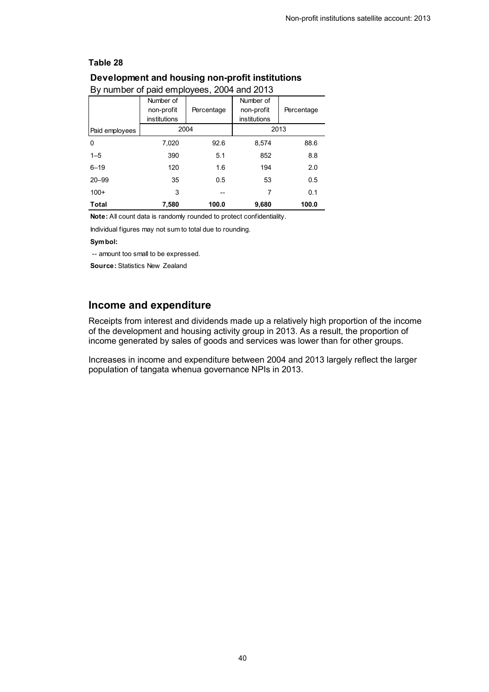#### <span id="page-39-0"></span>**Development and housing non-profit institutions**

| Dy Hurliber Of paid employees, 2004 and 2013 |              |            |              |            |  |  |
|----------------------------------------------|--------------|------------|--------------|------------|--|--|
|                                              | Number of    |            | Number of    |            |  |  |
|                                              | non-profit   | Percentage | non-profit   | Percentage |  |  |
|                                              | institutions |            | institutions |            |  |  |
| Paid employees                               | 2004         |            | 2013         |            |  |  |
| 0                                            | 7,020        | 92.6       | 8,574        | 88.6       |  |  |
| $1 - 5$                                      | 390          | 5.1        | 852          | 8.8        |  |  |
| $6 - 19$                                     | 120          | 1.6        | 194          | 2.0        |  |  |
| $20 - 99$                                    | 35           | 0.5        | 53           | 0.5        |  |  |
| $100+$                                       | 3            | --         | 7            | 0.1        |  |  |
| Total                                        | 7,580        | 100.0      | 9,680        | 100.0      |  |  |

#### By number of paid employees, 2004 and 2013

**Note:** All count data is randomly rounded to protect confidentiality.

Individual figures may not sum to total due to rounding.

#### **Symbol:**

-- amount too small to be expressed.

**Source:** Statistics New Zealand

### **Income and expenditure**

Receipts from interest and dividends made up a relatively high proportion of the income of the development and housing activity group in 2013. As a result, the proportion of income generated by sales of goods and services was lower than for other groups.

Increases in income and expenditure between 2004 and 2013 largely reflect the larger population of tangata whenua governance NPIs in 2013.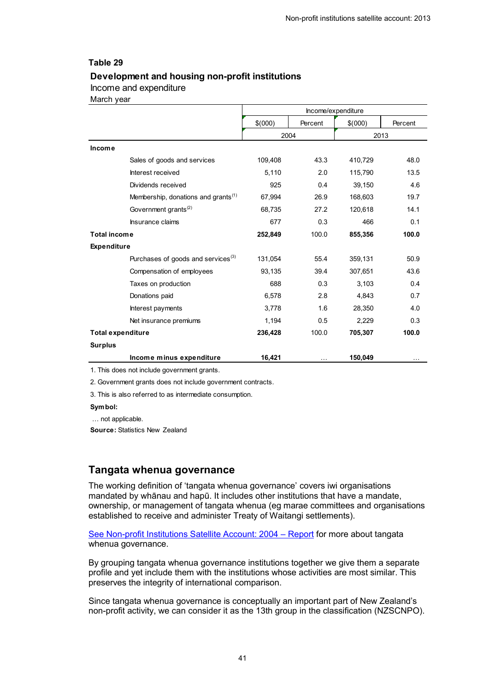#### <span id="page-40-0"></span>**Development and housing non-profit institutions**

#### Income and expenditure

March year

|                          |                                                 | Income/expenditure |          |         |          |
|--------------------------|-------------------------------------------------|--------------------|----------|---------|----------|
|                          |                                                 | \$(000)            | Percent  | \$(000) | Percent  |
|                          |                                                 |                    | 2004     |         | 2013     |
| Income                   |                                                 |                    |          |         |          |
|                          | Sales of goods and services                     | 109,408            | 43.3     | 410,729 | 48.0     |
|                          | Interest received                               | 5,110              | 2.0      | 115,790 | 13.5     |
|                          | Dividends received                              | 925                | 0.4      | 39,150  | 4.6      |
|                          | Membership, donations and grants <sup>(1)</sup> | 67,994             | 26.9     | 168,603 | 19.7     |
|                          | Government grants <sup>(2)</sup>                | 68,735             | 27.2     | 120,618 | 14.1     |
|                          | Insurance claims                                | 677                | 0.3      | 466     | 0.1      |
| <b>Total income</b>      |                                                 | 252,849            | 100.0    | 855,356 | 100.0    |
| <b>Expenditure</b>       |                                                 |                    |          |         |          |
|                          | Purchases of goods and services <sup>(3)</sup>  | 131,054            | 55.4     | 359,131 | 50.9     |
|                          | Compensation of employees                       | 93,135             | 39.4     | 307,651 | 43.6     |
|                          | Taxes on production                             | 688                | 0.3      | 3,103   | 0.4      |
|                          | Donations paid                                  | 6,578              | 2.8      | 4,843   | 0.7      |
|                          | Interest payments                               | 3,778              | 1.6      | 28,350  | 4.0      |
|                          | Net insurance premiums                          | 1,194              | 0.5      | 2,229   | 0.3      |
| <b>Total expenditure</b> |                                                 | 236,428            | 100.0    | 705,307 | 100.0    |
| <b>Surplus</b>           |                                                 |                    |          |         |          |
|                          | Income minus expenditure                        | 16,421             | $\cdots$ | 150,049 | $\cdots$ |
|                          | 1. This does not include government grants.     |                    |          |         |          |

2. Government grants does not include government contracts.

3. This is also referred to as intermediate consumption.

#### **Symbol:**

… not applicable.

**Source:** Statistics New Zealand

### **Tangata whenua governance**

The working definition of 'tangata whenua governance' covers iwi organisations mandated by whānau and hapū. It includes other institutions that have a mandate, ownership, or management of tangata whenua (eg marae committees and organisations established to receive and administer Treaty of Waitangi settlements).

[See Non-profit Institutions Satellite Account: 2004](http://www.stats.govt.nz/tools_and_services/a-z-information-releases/non-profit-institutions-satellite-account-2004.aspx) – Report for more about tangata whenua governance.

By grouping tangata whenua governance institutions together we give them a separate profile and yet include them with the institutions whose activities are most similar. This preserves the integrity of international comparison.

Since tangata whenua governance is conceptually an important part of New Zealand's non-profit activity, we can consider it as the 13th group in the classification (NZSCNPO).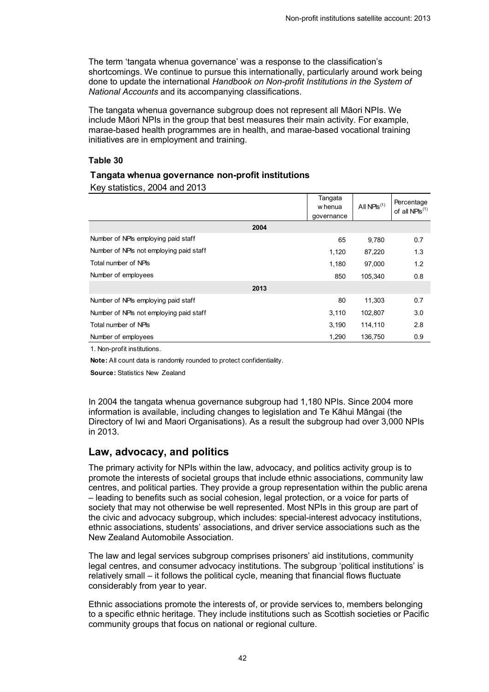The term 'tangata whenua governance' was a response to the classification's shortcomings. We continue to pursue this internationally, particularly around work being done to update the international *Handbook on Non-profit Institutions in the System of National Accounts* and its accompanying classifications.

The tangata whenua governance subgroup does not represent all Māori NPIs. We include Māori NPIs in the group that best measures their main activity. For example, marae-based health programmes are in health, and marae-based vocational training initiatives are in employment and training.

#### **Table 30**

#### <span id="page-41-0"></span>**Tangata whenua governance non-profit institutions**

Key statistics, 2004 and 2013

|                                         | Tangata<br>w henua | All $NPIs^{(1)}$ | Percentage<br>of all NPIs $^{(1)}$ |
|-----------------------------------------|--------------------|------------------|------------------------------------|
| 2004                                    | qovernance         |                  |                                    |
| Number of NPIs employing paid staff     | 65                 | 9,780            | 0.7                                |
| Number of NPIs not employing paid staff | 1,120              | 87,220           | 1.3                                |
| Total number of NPIs                    | 1,180              | 97,000           | 1.2                                |
| Number of employees                     | 850                | 105.340          | 0.8                                |
| 2013                                    |                    |                  |                                    |
| Number of NPIs employing paid staff     | 80                 | 11,303           | 0.7                                |
| Number of NPIs not employing paid staff | 3,110              | 102,807          | 3.0                                |
| Total number of NPIs                    | 3,190              | 114,110          | 2.8                                |
| Number of employees                     | 1,290              | 136,750          | 0.9                                |

1. Non-profit institutions.

**Note:** All count data is randomly rounded to protect confidentiality.

**Source:** Statistics New Zealand

In 2004 the tangata whenua governance subgroup had 1,180 NPIs. Since 2004 more information is available, including changes to legislation and Te Kāhui Māngai (the Directory of Iwi and Maori Organisations). As a result the subgroup had over 3,000 NPIs in 2013.

### **Law, advocacy, and politics**

The primary activity for NPIs within the law, advocacy, and politics activity group is to promote the interests of societal groups that include ethnic associations, community law centres, and political parties. They provide a group representation within the public arena – leading to benefits such as social cohesion, legal protection, or a voice for parts of society that may not otherwise be well represented. Most NPIs in this group are part of the civic and advocacy subgroup, which includes: special-interest advocacy institutions, ethnic associations, students' associations, and driver service associations such as the New Zealand Automobile Association.

The law and legal services subgroup comprises prisoners' aid institutions, community legal centres, and consumer advocacy institutions. The subgroup 'political institutions' is relatively small – it follows the political cycle, meaning that financial flows fluctuate considerably from year to year.

Ethnic associations promote the interests of, or provide services to, members belonging to a specific ethnic heritage. They include institutions such as Scottish societies or Pacific community groups that focus on national or regional culture.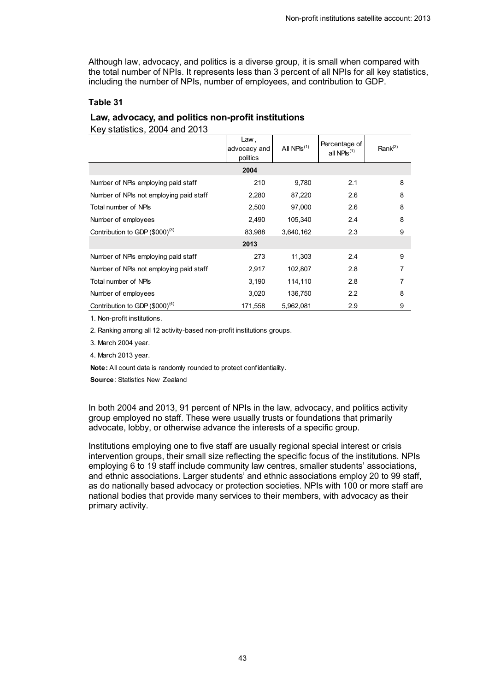Although law, advocacy, and politics is a diverse group, it is small when compared with the total number of NPIs. It represents less than 3 percent of all NPIs for all key statistics, including the number of NPIs, number of employees, and contribution to GDP.

#### **Table 31**

#### <span id="page-42-0"></span>**Law, advocacy, and politics non-profit institutions**

Key statistics, 2004 and 2013

|                                         | Law,<br>advocacy and<br>politics | All $NPIS^{(1)}$ | Percentage of<br>all NPIs $(1)$ | Rank $(2)$ |
|-----------------------------------------|----------------------------------|------------------|---------------------------------|------------|
|                                         | 2004                             |                  |                                 |            |
| Number of NPIs employing paid staff     | 210                              | 9,780            | 2.1                             | 8          |
| Number of NPIs not employing paid staff | 2,280                            | 87,220           | 2.6                             | 8          |
| Total number of NPIs                    | 2,500                            | 97,000           | 2.6                             | 8          |
| Number of employees                     | 2,490                            | 105,340          | 2.4                             | 8          |
| Contribution to GDP $(\$000)^{(3)}$     | 83,988                           | 3,640,162        | 2.3                             | 9          |
|                                         | 2013                             |                  |                                 |            |
| Number of NPIs employing paid staff     | 273                              | 11,303           | 2.4                             | 9          |
| Number of NPIs not employing paid staff | 2,917                            | 102,807          | 2.8                             | 7          |
| Total number of NPIs                    | 3,190                            | 114,110          | 2.8                             | 7          |
| Number of employees                     | 3,020                            | 136,750          | 2.2                             | 8          |
| Contribution to GDP $(\$000)^{(4)}$     | 171,558                          | 5.962.081        | 2.9                             | 9          |

1. Non-profit institutions.

2. Ranking among all 12 activity-based non-profit institutions groups.

3. March 2004 year.

4. March 2013 year.

**Note:** All count data is randomly rounded to protect confidentiality.

**Source**: Statistics New Zealand

In both 2004 and 2013, 91 percent of NPIs in the law, advocacy, and politics activity group employed no staff. These were usually trusts or foundations that primarily advocate, lobby, or otherwise advance the interests of a specific group.

Institutions employing one to five staff are usually regional special interest or crisis intervention groups, their small size reflecting the specific focus of the institutions. NPIs employing 6 to 19 staff include community law centres, smaller students' associations, and ethnic associations. Larger students' and ethnic associations employ 20 to 99 staff, as do nationally based advocacy or protection societies. NPIs with 100 or more staff are national bodies that provide many services to their members, with advocacy as their primary activity.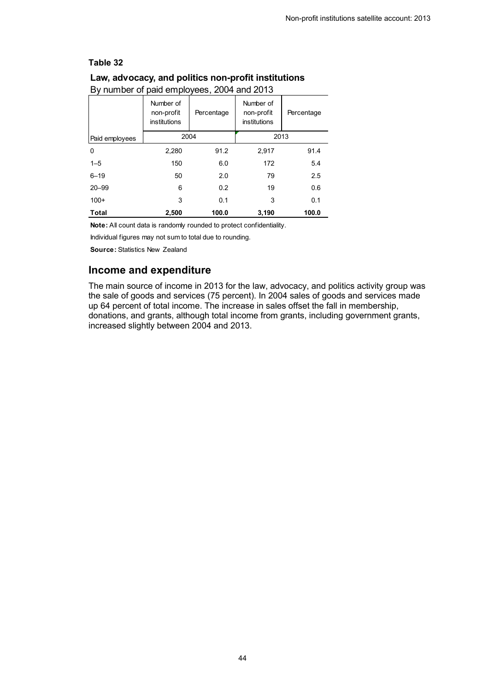<span id="page-43-0"></span>

| Dy Harnoch or paid chiployced, 2004 and 2010 |                                         |            |                                         |            |  |  |
|----------------------------------------------|-----------------------------------------|------------|-----------------------------------------|------------|--|--|
|                                              | Number of<br>non-profit<br>institutions | Percentage | Number of<br>non-profit<br>institutions | Percentage |  |  |
| Paid employees                               | 2004                                    |            | 2013                                    |            |  |  |
| 0                                            | 2,280                                   | 91.2       | 2,917                                   | 91.4       |  |  |
| $1 - 5$                                      | 150                                     | 6.0        | 172                                     | 5.4        |  |  |
| $6 - 19$                                     | 50                                      | 2.0        | 79                                      | 2.5        |  |  |
| $20 - 99$                                    | 6                                       | 0.2        | 19                                      | 0.6        |  |  |
| $100+$                                       | 3                                       | 0.1        | 3                                       | 0.1        |  |  |
| Total                                        | 2,500                                   | 100.0      | 3,190                                   | 100.0      |  |  |

By number of paid employees, 2004 and 2013

**Note:** All count data is randomly rounded to protect confidentiality.

Individual figures may not sum to total due to rounding.

**Source:** Statistics New Zealand

### **Income and expenditure**

The main source of income in 2013 for the law, advocacy, and politics activity group was the sale of goods and services (75 percent). In 2004 sales of goods and services made up 64 percent of total income. The increase in sales offset the fall in membership, donations, and grants, although total income from grants, including government grants, increased slightly between 2004 and 2013.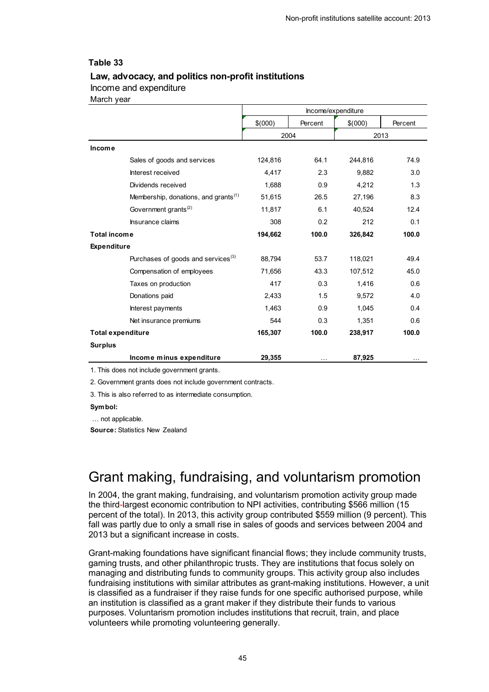#### <span id="page-44-1"></span>**Law, advocacy, and politics non-profit institutions**

#### Income and expenditure

March year

|                          |                                                  | Income/expenditure |          |         |          |
|--------------------------|--------------------------------------------------|--------------------|----------|---------|----------|
|                          |                                                  | \$(000)            | Percent  | \$(000) | Percent  |
|                          |                                                  | 2004               |          | 2013    |          |
| <b>Income</b>            |                                                  |                    |          |         |          |
|                          | Sales of goods and services                      | 124,816            | 64.1     | 244,816 | 74.9     |
|                          | Interest received                                | 4,417              | 2.3      | 9,882   | 3.0      |
|                          | Dividends received                               | 1,688              | 0.9      | 4,212   | 1.3      |
|                          | Membership, donations, and grants <sup>(1)</sup> | 51,615             | 26.5     | 27,196  | 8.3      |
|                          | Government grants <sup>(2)</sup>                 | 11,817             | 6.1      | 40,524  | 12.4     |
|                          | Insurance claims                                 | 308                | 0.2      | 212     | 0.1      |
| <b>Total income</b>      |                                                  | 194,662            | 100.0    | 326,842 | 100.0    |
| <b>Expenditure</b>       |                                                  |                    |          |         |          |
|                          | Purchases of goods and services <sup>(3)</sup>   | 88,794             | 53.7     | 118,021 | 49.4     |
|                          | Compensation of employees                        | 71,656             | 43.3     | 107,512 | 45.0     |
|                          | Taxes on production                              | 417                | 0.3      | 1,416   | 0.6      |
|                          | Donations paid                                   | 2,433              | 1.5      | 9,572   | 4.0      |
|                          | Interest payments                                | 1,463              | 0.9      | 1,045   | 0.4      |
|                          | Net insurance premiums                           | 544                | 0.3      | 1,351   | 0.6      |
| <b>Total expenditure</b> |                                                  | 165,307            | 100.0    | 238,917 | 100.0    |
| <b>Surplus</b>           |                                                  |                    |          |         |          |
|                          | Income minus expenditure                         | 29,355             | $\cdots$ | 87,925  | $\cdots$ |
|                          |                                                  |                    |          |         |          |

1. This does not include government grants.

2. Government grants does not include government contracts.

3. This is also referred to as intermediate consumption.

#### **Symbol:**

… not applicable.

**Source:** Statistics New Zealand

## <span id="page-44-0"></span>Grant making, fundraising, and voluntarism promotion

In 2004, the grant making, fundraising, and voluntarism promotion activity group made the third-largest economic contribution to NPI activities, contributing \$566 million (15 percent of the total). In 2013, this activity group contributed \$559 million (9 percent). This fall was partly due to only a small rise in sales of goods and services between 2004 and 2013 but a significant increase in costs.

Grant-making foundations have significant financial flows; they include community trusts, gaming trusts, and other philanthropic trusts. They are institutions that focus solely on managing and distributing funds to community groups. This activity group also includes fundraising institutions with similar attributes as grant-making institutions. However, a unit is classified as a fundraiser if they raise funds for one specific authorised purpose, while an institution is classified as a grant maker if they distribute their funds to various purposes. Voluntarism promotion includes institutions that recruit, train, and place volunteers while promoting volunteering generally.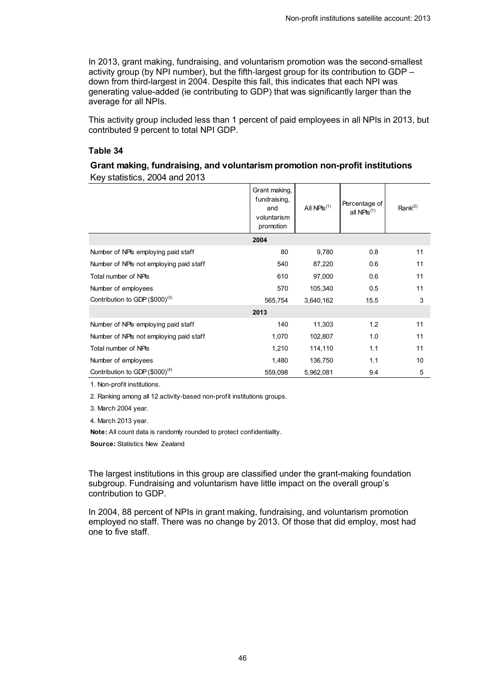In 2013, grant making, fundraising, and voluntarism promotion was the second-smallest activity group (by NPI number), but the fifth-largest group for its contribution to GDP – down from third-largest in 2004. Despite this fall, this indicates that each NPI was generating value-added (ie contributing to GDP) that was significantly larger than the average for all NPIs.

This activity group included less than 1 percent of paid employees in all NPIs in 2013, but contributed 9 percent to total NPI GDP.

#### **Table 34**

#### <span id="page-45-0"></span>**Grant making, fundraising, and voluntarism promotion non-profit institutions**  Key statistics, 2004 and 2013

|                                            | Grant making,<br>fundraising,<br>and<br>voluntarism<br>promotion | All $NPIs^{(1)}$ | Percentage of<br>all $NPIs^{(1)}$ | Rank $^{(2)}$ |
|--------------------------------------------|------------------------------------------------------------------|------------------|-----------------------------------|---------------|
|                                            | 2004                                                             |                  |                                   |               |
| Number of NPIs employing paid staff        | 80                                                               | 9,780            | 0.8                               | 11            |
| Number of NPIs not employing paid staff    | 540                                                              | 87,220           | 0.6                               | 11            |
| Total number of NPIs                       | 610                                                              | 97,000           | 0.6                               | 11            |
| Number of employees                        | 570                                                              | 105,340          | 0.5                               | 11            |
| Contribution to GDP (\$000) <sup>(3)</sup> | 565,754                                                          | 3,640,162        | 15.5                              | 3             |
|                                            | 2013                                                             |                  |                                   |               |
| Number of NPIs employing paid staff        | 140                                                              | 11,303           | 1.2                               | 11            |
| Number of NPIs not employing paid staff    | 1,070                                                            | 102,807          | 1.0                               | 11            |
| Total number of NPIs                       | 1,210                                                            | 114,110          | 1.1                               | 11            |
| Number of employees                        | 1,480                                                            | 136,750          | 1.1                               | 10            |
| Contribution to GDP $(\$000)^{(4)}$        | 559,098                                                          | 5,962,081        | 9.4                               | 5             |

1. Non-profit institutions.

2. Ranking among all 12 activity-based non-profit institutions groups.

3. March 2004 year.

4. March 2013 year.

**Note:** All count data is randomly rounded to protect confidentiality.

**Source:** Statistics New Zealand

The largest institutions in this group are classified under the grant-making foundation subgroup. Fundraising and voluntarism have little impact on the overall group's contribution to GDP.

In 2004, 88 percent of NPIs in grant making, fundraising, and voluntarism promotion employed no staff. There was no change by 2013. Of those that did employ, most had one to five staff.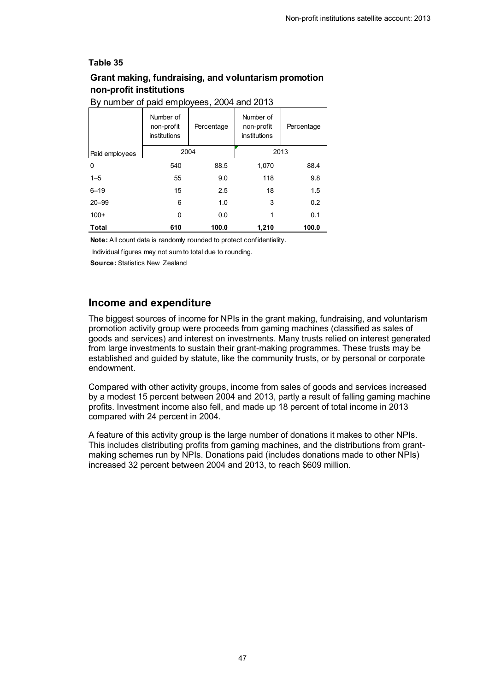### <span id="page-46-0"></span>**Grant making, fundraising, and voluntarism promotion non-profit institutions**

| Dy Harnbor or paid chiployced, 200 Faild 2010 |                                         |            |                                         |            |  |
|-----------------------------------------------|-----------------------------------------|------------|-----------------------------------------|------------|--|
|                                               | Number of<br>non-profit<br>institutions | Percentage | Number of<br>non-profit<br>institutions | Percentage |  |
| Paid employees                                | 2004                                    |            | 2013                                    |            |  |
| $\Omega$                                      | 540                                     | 88.5       | 1,070                                   | 88.4       |  |
| $1 - 5$                                       | 55                                      | 9.0        | 118                                     | 9.8        |  |
| $6 - 19$                                      | 15                                      | 2.5        | 18                                      | 1.5        |  |
| $20 - 99$                                     | 6                                       | 1.0        | 3                                       | 0.2        |  |
| $100+$                                        | 0                                       | 0.0        | 1                                       | 0.1        |  |
| <b>Total</b>                                  | 610                                     | 100.0      | 1,210                                   | 100.0      |  |

#### By number of paid employees, 2004 and 2013

**Note:** All count data is randomly rounded to protect confidentiality.

Individual figures may not sum to total due to rounding.

**Source:** Statistics New Zealand

### **Income and expenditure**

The biggest sources of income for NPIs in the grant making, fundraising, and voluntarism promotion activity group were proceeds from gaming machines (classified as sales of goods and services) and interest on investments. Many trusts relied on interest generated from large investments to sustain their grant-making programmes. These trusts may be established and guided by statute, like the community trusts, or by personal or corporate endowment.

Compared with other activity groups, income from sales of goods and services increased by a modest 15 percent between 2004 and 2013, partly a result of falling gaming machine profits. Investment income also fell, and made up 18 percent of total income in 2013 compared with 24 percent in 2004.

A feature of this activity group is the large number of donations it makes to other NPIs. This includes distributing profits from gaming machines, and the distributions from grantmaking schemes run by NPIs. Donations paid (includes donations made to other NPIs) increased 32 percent between 2004 and 2013, to reach \$609 million.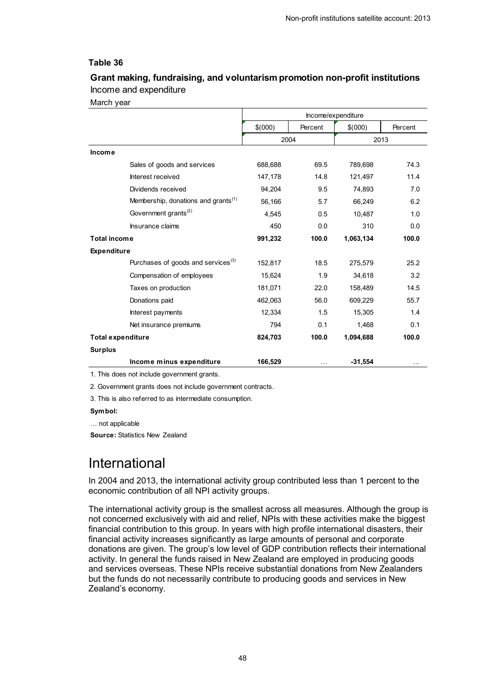### <span id="page-47-1"></span>**Grant making, fundraising, and voluntarism promotion non-profit institutions** Income and expenditure

March year

|                          |                                                 | Income/expenditure |         |           |         |
|--------------------------|-------------------------------------------------|--------------------|---------|-----------|---------|
|                          |                                                 | \$(000)            | Percent | \$(000)   | Percent |
|                          |                                                 | 2004               |         |           | 2013    |
| <b>Income</b>            |                                                 |                    |         |           |         |
|                          | Sales of goods and services                     | 688,688            | 69.5    | 789,698   | 74.3    |
|                          | Interest received                               | 147,178            | 14.8    | 121,497   | 11.4    |
|                          | Dividends received                              | 94,204             | 9.5     | 74,893    | 7.0     |
|                          | Membership, donations and grants <sup>(1)</sup> | 56,166             | 5.7     | 66,249    | 6.2     |
|                          | Government grants <sup>(2)</sup>                | 4,545              | 0.5     | 10,487    | 1.0     |
|                          | Insurance claims                                | 450                | 0.0     | 310       | 0.0     |
| <b>Total income</b>      |                                                 | 991,232            | 100.0   | 1,063,134 | 100.0   |
| <b>Expenditure</b>       |                                                 |                    |         |           |         |
|                          | Purchases of goods and services <sup>(3)</sup>  | 152,817            | 18.5    | 275,579   | 25.2    |
|                          | Compensation of employees                       | 15,624             | 1.9     | 34.618    | 3.2     |
|                          | Taxes on production                             | 181,071            | 22.0    | 158,489   | 14.5    |
|                          | Donations paid                                  | 462,063            | 56.0    | 609,229   | 55.7    |
|                          | Interest payments                               | 12,334             | 1.5     | 15,305    | 1.4     |
|                          | Net insurance premiums                          | 794                | 0.1     | 1,468     | 0.1     |
| <b>Total expenditure</b> |                                                 | 824,703            | 100.0   | 1,094,688 | 100.0   |
| <b>Surplus</b>           |                                                 |                    |         |           |         |
|                          | Income minus expenditure                        | 166,529            |         | $-31,554$ |         |

1. This does not include government grants.

2. Government grants does not include government contracts.

3. This is also referred to as intermediate consumption.

#### **Symbol:**

… not applicable

**Source:** Statistics New Zealand

## <span id="page-47-0"></span>International

In 2004 and 2013, the international activity group contributed less than 1 percent to the economic contribution of all NPI activity groups.

The international activity group is the smallest across all measures. Although the group is not concerned exclusively with aid and relief, NPIs with these activities make the biggest financial contribution to this group. In years with high profile international disasters, their financial activity increases significantly as large amounts of personal and corporate donations are given. The group's low level of GDP contribution reflects their international activity. In general the funds raised in New Zealand are employed in producing goods and services overseas. These NPIs receive substantial donations from New Zealanders but the funds do not necessarily contribute to producing goods and services in New Zealand's economy.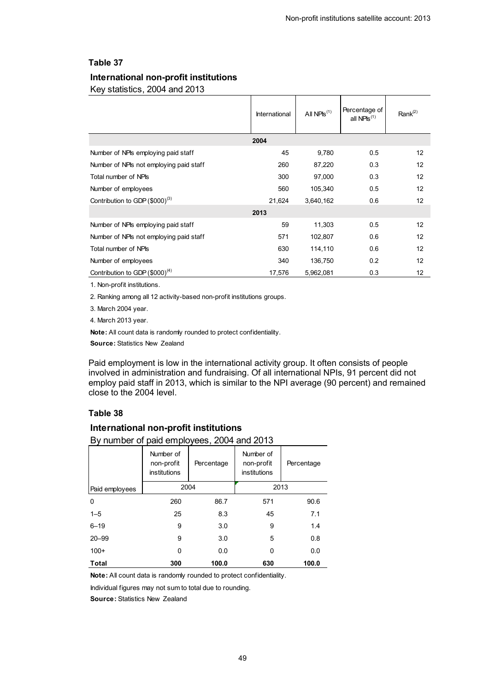### <span id="page-48-0"></span>**International non-profit institutions**

Key statistics, 2004 and 2013

|                                         | International | All $NPIS^{(1)}$ | Percentage of<br>all NPIs $(1)$ | Rank <sup>(2)</sup> |
|-----------------------------------------|---------------|------------------|---------------------------------|---------------------|
|                                         | 2004          |                  |                                 |                     |
| Number of NPIs employing paid staff     | 45            | 9,780            | 0.5                             | 12                  |
| Number of NPIs not employing paid staff | 260           | 87,220           | 0.3                             | 12                  |
| Total number of NPIs                    | 300           | 97,000           | 0.3                             | 12                  |
| Number of employees                     | 560           | 105,340          | 0.5                             | 12                  |
| Contribution to GDP $(\$000)^{(3)}$     | 21,624        | 3,640,162        | 0.6                             | 12                  |
|                                         | 2013          |                  |                                 |                     |
| Number of NPIs employing paid staff     | 59            | 11,303           | 0.5                             | 12                  |
| Number of NPIs not employing paid staff | 571           | 102,807          | 0.6                             | 12                  |
| Total number of NPIs                    | 630           | 114,110          | 0.6                             | 12                  |
| Number of employees                     | 340           | 136,750          | 0.2                             | 12                  |
| Contribution to GDP $(\$000)^{(4)}$     | 17,576        | 5,962,081        | 0.3                             | 12                  |

1. Non-profit institutions.

2. Ranking among all 12 activity-based non-profit institutions groups.

3. March 2004 year.

4. March 2013 year.

**Note:** All count data is randomly rounded to protect confidentiality.

**Source:** Statistics New Zealand

Paid employment is low in the international activity group. It often consists of people involved in administration and fundraising. Of all international NPIs, 91 percent did not employ paid staff in 2013, which is similar to the NPI average (90 percent) and remained close to the 2004 level.

#### **Table 38**

#### <span id="page-48-1"></span>**International non-profit institutions**

| By number of paid employees, 2004 and 2013 |                                         |            |                                         |            |  |  |
|--------------------------------------------|-----------------------------------------|------------|-----------------------------------------|------------|--|--|
|                                            | Number of<br>non-profit<br>institutions | Percentage | Number of<br>non-profit<br>institutions | Percentage |  |  |
| Paid employees                             | 2004                                    |            | 2013                                    |            |  |  |
| 0                                          | 260                                     | 86.7       | 571                                     | 90.6       |  |  |
| $1 - 5$                                    | 25                                      | 8.3        | 45                                      | 7.1        |  |  |
| $6 - 19$                                   | 9                                       | 3.0        | 9                                       | 1.4        |  |  |
| $20 - 99$                                  | 9                                       | 3.0        | 5                                       | 0.8        |  |  |
| $100+$                                     | 0                                       | 0.0        | 0                                       | 0.0        |  |  |
| Total                                      | 300                                     | 100.0      | 630                                     | 100.0      |  |  |

**Note:** All count data is randomly rounded to protect confidentiality.

Individual figures may not sum to total due to rounding.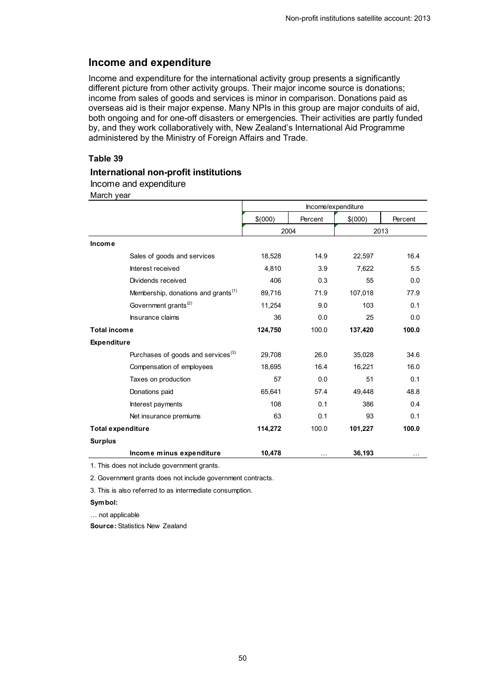### **Income and expenditure**

Income and expenditure for the international activity group presents a significantly different picture from other activity groups. Their major income source is donations; income from sales of goods and services is minor in comparison. Donations paid as overseas aid is their major expense. Many NPIs in this group are major conduits of aid, both ongoing and for one-off disasters or emergencies. Their activities are partly funded by, and they work collaboratively with, New Zealand's International Aid Programme administered by the Ministry of Foreign Affairs and Trade.

#### **Table 39**

#### <span id="page-49-0"></span>**International non-profit institutions**

Income and expenditure

March year

|                          |                                                 | Income/expenditure |          |         |          |
|--------------------------|-------------------------------------------------|--------------------|----------|---------|----------|
|                          |                                                 | \$(000)            | Percent  | \$(000) | Percent  |
|                          |                                                 |                    | 2004     |         | 2013     |
| Income                   |                                                 |                    |          |         |          |
|                          | Sales of goods and services                     | 18,528             | 14.9     | 22,597  | 16.4     |
|                          | Interest received                               | 4,810              | 3.9      | 7,622   | 5.5      |
|                          | Dividends received                              | 406                | 0.3      | 55      | 0.0      |
|                          | Membership, donations and grants <sup>(1)</sup> | 89,716             | 71.9     | 107,018 | 77.9     |
|                          | Government grants <sup>(2)</sup>                | 11.254             | 9.0      | 103     | 0.1      |
|                          | Insurance claims                                | 36                 | 0.0      | 25      | 0.0      |
| <b>Total income</b>      |                                                 | 124,750            | 100.0    | 137,420 | 100.0    |
| <b>Expenditure</b>       |                                                 |                    |          |         |          |
|                          | Purchases of goods and services <sup>(3)</sup>  | 29,708             | 26.0     | 35,028  | 34.6     |
|                          | Compensation of employees                       | 18,695             | 16.4     | 16,221  | 16.0     |
|                          | Taxes on production                             | 57                 | 0.0      | 51      | 0.1      |
|                          | Donations paid                                  | 65,641             | 57.4     | 49,448  | 48.8     |
|                          | Interest payments                               | 108                | 0.1      | 386     | 0.4      |
|                          | Net insurance premiums                          | 63                 | 0.1      | 93      | 0.1      |
| <b>Total expenditure</b> |                                                 | 114,272            | 100.0    | 101,227 | 100.0    |
| <b>Surplus</b>           |                                                 |                    |          |         |          |
|                          | Income minus expenditure                        | 10,478             | $\cdots$ | 36,193  | $\cdots$ |

1. This does not include government grants.

2. Government grants does not include government contracts.

3. This is also referred to as intermediate consumption.

#### **Symbol:**

… not applicable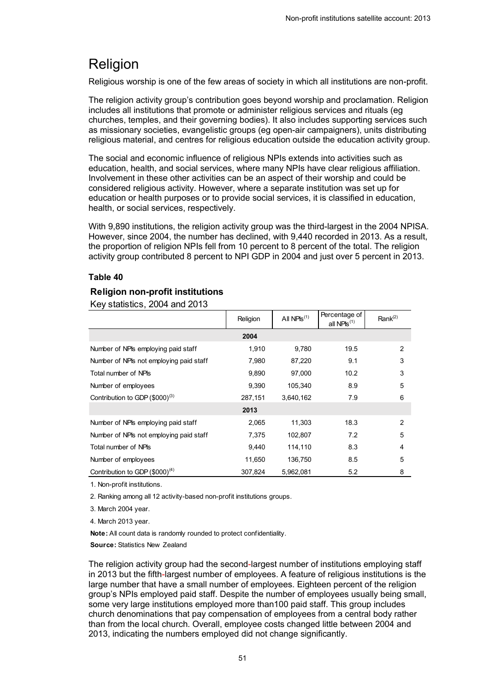## <span id="page-50-0"></span>Religion

Religious worship is one of the few areas of society in which all institutions are non-profit.

The religion activity group's contribution goes beyond worship and proclamation. Religion includes all institutions that promote or administer religious services and rituals (eg churches, temples, and their governing bodies). It also includes supporting services such as missionary societies, evangelistic groups (eg open-air campaigners), units distributing religious material, and centres for religious education outside the education activity group.

The social and economic influence of religious NPIs extends into activities such as education, health, and social services, where many NPIs have clear religious affiliation. Involvement in these other activities can be an aspect of their worship and could be considered religious activity. However, where a separate institution was set up for education or health purposes or to provide social services, it is classified in education, health, or social services, respectively.

With 9,890 institutions, the religion activity group was the third-largest in the 2004 NPISA. However, since 2004, the number has declined, with 9,440 recorded in 2013. As a result, the proportion of religion NPIs fell from 10 percent to 8 percent of the total. The religion activity group contributed 8 percent to NPI GDP in 2004 and just over 5 percent in 2013.

#### **Table 40**

#### <span id="page-50-1"></span>**Religion non-profit institutions**

Key statistics, 2004 and 2013

|                                            | Religion | All $NPIS^{(1)}$ | Percentage of<br>all NPIs $(1)$ | Rank $(2)$     |
|--------------------------------------------|----------|------------------|---------------------------------|----------------|
|                                            | 2004     |                  |                                 |                |
| Number of NPIs employing paid staff        | 1.910    | 9,780            | 19.5                            | $\overline{2}$ |
| Number of NPIs not employing paid staff    | 7,980    | 87,220           | 9.1                             | 3              |
| Total number of NPIs                       | 9,890    | 97,000           | 10.2                            | 3              |
| Number of employees                        | 9.390    | 105,340          | 8.9                             | 5              |
| Contribution to GDP $(\$000)^{(3)}$        | 287,151  | 3,640,162        | 7.9                             | 6              |
|                                            | 2013     |                  |                                 |                |
| Number of NPIs employing paid staff        | 2,065    | 11,303           | 18.3                            | 2              |
| Number of NPIs not employing paid staff    | 7,375    | 102.807          | 7.2                             | 5              |
| Total number of NPIs                       | 9,440    | 114,110          | 8.3                             | $\overline{4}$ |
| Number of employees                        | 11,650   | 136,750          | 8.5                             | 5              |
| Contribution to GDP (\$000) <sup>(4)</sup> | 307,824  | 5,962,081        | 5.2                             | 8              |

1. Non-profit institutions.

2. Ranking among all 12 activity-based non-profit institutions groups.

3. March 2004 year.

4. March 2013 year.

**Note:** All count data is randomly rounded to protect confidentiality. **Source:** Statistics New Zealand

The religion activity group had the second-largest number of institutions employing staff in 2013 but the fifth-largest number of employees. A feature of religious institutions is the large number that have a small number of employees. Eighteen percent of the religion group's NPIs employed paid staff. Despite the number of employees usually being small, some very large institutions employed more than100 paid staff. This group includes church denominations that pay compensation of employees from a central body rather than from the local church. Overall, employee costs changed little between 2004 and 2013, indicating the numbers employed did not change significantly.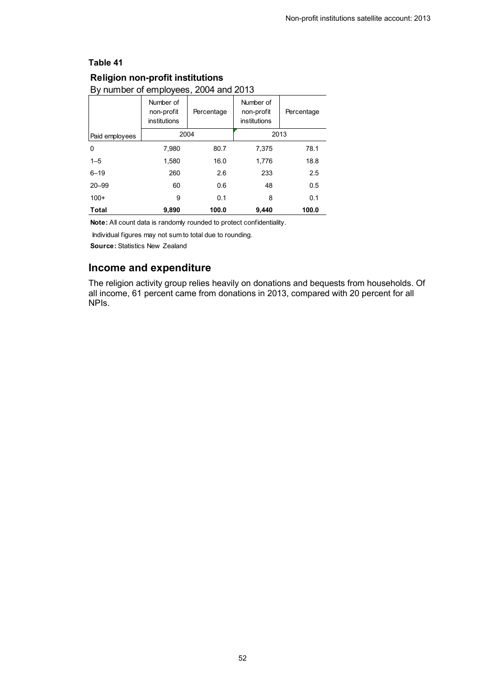### <span id="page-51-0"></span>**Religion non-profit institutions**

By number of employees, 2004 and 2013

|                | Number of<br>non-profit<br>institutions | Percentage | Number of<br>non-profit<br>institutions | Percentage |  |
|----------------|-----------------------------------------|------------|-----------------------------------------|------------|--|
| Paid employees |                                         | 2004       | 2013                                    |            |  |
| 0              | 7,980                                   | 80.7       | 7.375                                   | 78.1       |  |
| $1 - 5$        | 1,580                                   | 16.0       | 1,776                                   | 18.8       |  |
| $6 - 19$       | 260                                     | 2.6        | 233                                     | 2.5        |  |
| $20 - 99$      | 60                                      | 0.6        | 48                                      | 0.5        |  |
| $100+$         | 9                                       | 0.1        | 8                                       | 0.1        |  |
| Total          | 9,890                                   | 100.0      | 9,440                                   | 100.0      |  |

**Note:** All count data is randomly rounded to protect confidentiality.

Individual figures may not sum to total due to rounding.

**Source:** Statistics New Zealand

## **Income and expenditure**

The religion activity group relies heavily on donations and bequests from households. Of all income, 61 percent came from donations in 2013, compared with 20 percent for all NPIs.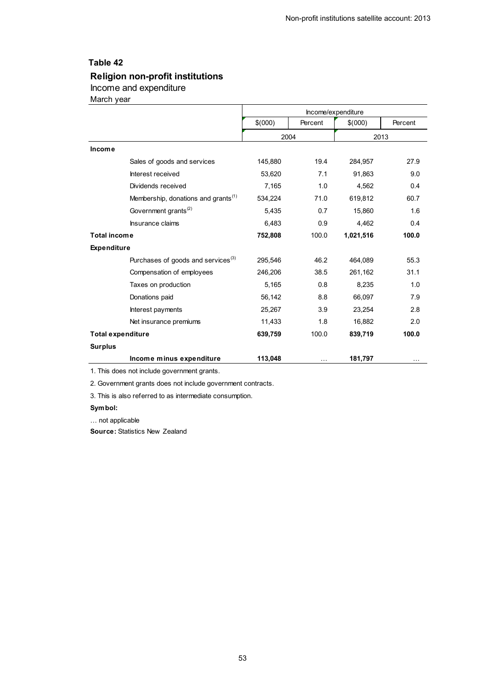## <span id="page-52-0"></span>42. Religion non-profit institutions, income and expenditure **Religion non-profit institutions**

#### Income and expenditure

March year

|                          |                                                 |         |           | Income/expenditure |         |
|--------------------------|-------------------------------------------------|---------|-----------|--------------------|---------|
|                          |                                                 | \$(000) | Percent   | \$(000)            | Percent |
|                          |                                                 | 2004    |           |                    | 2013    |
| <b>Income</b>            |                                                 |         |           |                    |         |
|                          | Sales of goods and services                     | 145,880 | 19.4      | 284,957            | 27.9    |
|                          | Interest received                               | 53,620  | 7.1       | 91,863             | 9.0     |
|                          | Dividends received                              | 7,165   | 1.0       | 4,562              | 0.4     |
|                          | Membership, donations and grants <sup>(1)</sup> | 534,224 | 71.0      | 619,812            | 60.7    |
|                          | Government grants <sup>(2)</sup>                | 5,435   | 0.7       | 15,860             | 1.6     |
|                          | Insurance claims                                | 6,483   | 0.9       | 4,462              | 0.4     |
| <b>Total income</b>      |                                                 | 752,808 | 100.0     | 1,021,516          | 100.0   |
| <b>Expenditure</b>       |                                                 |         |           |                    |         |
|                          | Purchases of goods and services <sup>(3)</sup>  | 295,546 | 46.2      | 464,089            | 55.3    |
|                          | Compensation of employees                       | 246,206 | 38.5      | 261,162            | 31.1    |
|                          | Taxes on production                             | 5,165   | 0.8       | 8,235              | 1.0     |
|                          | Donations paid                                  | 56,142  | 8.8       | 66,097             | 7.9     |
|                          | Interest payments                               | 25,267  | 3.9       | 23,254             | 2.8     |
|                          | Net insurance premiums                          | 11,433  | 1.8       | 16,882             | 2.0     |
| <b>Total expenditure</b> |                                                 | 639,759 | 100.0     | 839,719            | 100.0   |
| <b>Surplus</b>           |                                                 |         |           |                    |         |
|                          | Income minus expenditure                        | 113,048 | $\ddotsc$ | 181,797            | .       |
|                          |                                                 |         |           |                    |         |

1. This does not include government grants.

2. Government grants does not include government contracts.

3. This is also referred to as intermediate consumption.

#### **Symbol:**

… not applicable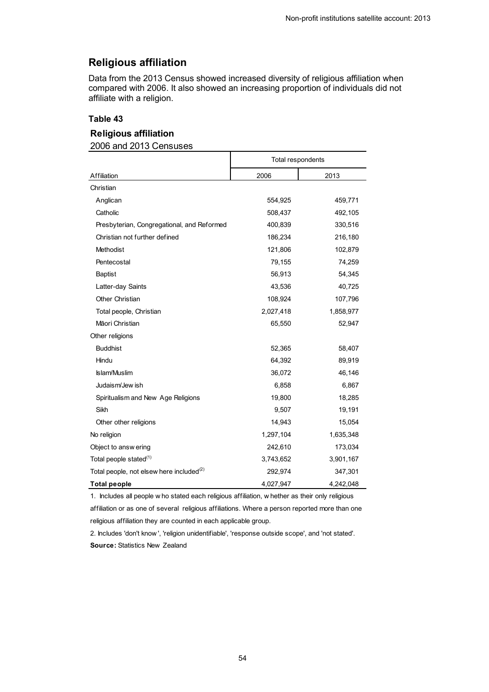## **Religious affiliation**

Data from the 2013 Census showed increased diversity of religious affiliation when compared with 2006. It also showed an increasing proportion of individuals did not affiliate with a religion.

#### **Table 43**

### <span id="page-53-0"></span>**Religious affiliation**

2006 and 2013 Censuses

|                                                      | Total respondents |           |  |
|------------------------------------------------------|-------------------|-----------|--|
| Affiliation                                          | 2006              | 2013      |  |
| Christian                                            |                   |           |  |
| Anglican                                             | 554,925           | 459,771   |  |
| Catholic                                             | 508,437           | 492,105   |  |
| Presbyterian, Congregational, and Reformed           | 400,839           | 330,516   |  |
| Christian not further defined                        | 186,234           | 216,180   |  |
| Methodist                                            | 121,806           | 102,879   |  |
| Pentecostal                                          | 79,155            | 74,259    |  |
| <b>Baptist</b>                                       | 56,913            | 54,345    |  |
| Latter-day Saints                                    | 43,536            | 40,725    |  |
| <b>Other Christian</b>                               | 108,924           | 107,796   |  |
| Total people, Christian                              | 2,027,418         | 1,858,977 |  |
| Māori Christian                                      | 65,550            | 52,947    |  |
| Other religions                                      |                   |           |  |
| <b>Buddhist</b>                                      | 52,365            | 58,407    |  |
| Hindu                                                | 64,392            | 89,919    |  |
| <b>Islam/Muslim</b>                                  | 36,072            | 46,146    |  |
| Judaism/Jew ish                                      | 6,858             | 6,867     |  |
| Spiritualism and New Age Religions                   | 19,800            | 18,285    |  |
| Sikh                                                 | 9,507             | 19,191    |  |
| Other other religions                                | 14,943            | 15,054    |  |
| No religion                                          | 1,297,104         | 1,635,348 |  |
| Object to answ ering                                 | 242,610           | 173,034   |  |
| Total people stated <sup>(1)</sup>                   | 3,743,652         | 3,901,167 |  |
| Total people, not elsew here included <sup>(2)</sup> | 292,974           | 347,301   |  |
| <b>Total people</b>                                  | 4,027,947         | 4,242,048 |  |

1. Includes all people w ho stated each religious affiliation, w hether as their only religious

affiliation or as one of several religious affiliations. Where a person reported more than one religious affiliation they are counted in each applicable group.

2. Includes 'don't know ', 'religion unidentifiable', 'response outside scope', and 'not stated'.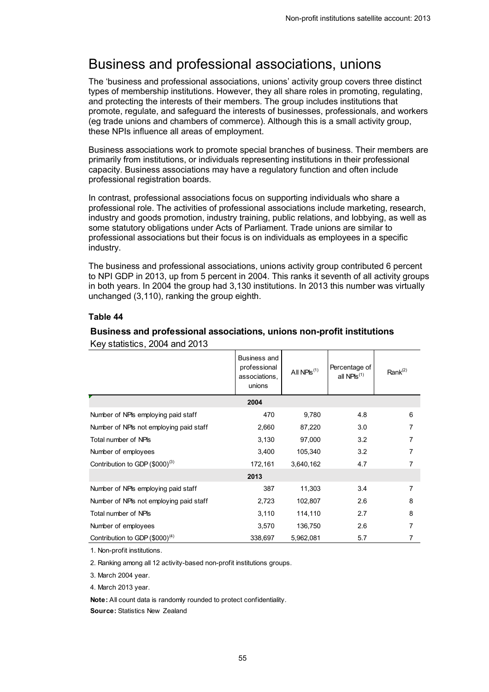## <span id="page-54-0"></span>Business and professional associations, unions

The 'business and professional associations, unions' activity group covers three distinct types of membership institutions. However, they all share roles in promoting, regulating, and protecting the interests of their members. The group includes institutions that promote, regulate, and safeguard the interests of businesses, professionals, and workers (eg trade unions and chambers of commerce). Although this is a small activity group, these NPIs influence all areas of employment.

Business associations work to promote special branches of business. Their members are primarily from institutions, or individuals representing institutions in their professional capacity. Business associations may have a regulatory function and often include professional registration boards.

In contrast, professional associations focus on supporting individuals who share a professional role. The activities of professional associations include marketing, research, industry and goods promotion, industry training, public relations, and lobbying, as well as some statutory obligations under Acts of Parliament. Trade unions are similar to professional associations but their focus is on individuals as employees in a specific industry.

The business and professional associations, unions activity group contributed 6 percent to NPI GDP in 2013, up from 5 percent in 2004. This ranks it seventh of all activity groups in both years. In 2004 the group had 3,130 institutions. In 2013 this number was virtually unchanged (3,110), ranking the group eighth.

#### **Table 44**

## <span id="page-54-1"></span>**Business and professional associations, unions non-profit institutions**

|                                         | Business and<br>professional<br>associations,<br>unions | All $NPIs^{(1)}$ | Percentage of<br>all NPIs <sup>(1)</sup> | Rank $(2)$ |
|-----------------------------------------|---------------------------------------------------------|------------------|------------------------------------------|------------|
|                                         | 2004                                                    |                  |                                          |            |
| Number of NPIs employing paid staff     | 470                                                     | 9,780            | 4.8                                      | 6          |
| Number of NPIs not employing paid staff | 2,660                                                   | 87,220           | 3.0                                      | 7          |
| Total number of NPIs                    | 3,130                                                   | 97,000           | 3.2                                      | 7          |
| Number of employees                     | 3,400                                                   | 105,340          | 3.2                                      | 7          |
| Contribution to GDP $(\$000)^{(3)}$     | 172,161                                                 | 3,640,162        | 4.7                                      | 7          |
|                                         | 2013                                                    |                  |                                          |            |
| Number of NPIs employing paid staff     | 387                                                     | 11,303           | 3.4                                      | 7          |
| Number of NPIs not employing paid staff | 2,723                                                   | 102,807          | 2.6                                      | 8          |
| Total number of NPIs                    | 3,110                                                   | 114,110          | 2.7                                      | 8          |
| Number of employees                     | 3,570                                                   | 136,750          | 2.6                                      | 7          |
| Contribution to GDP $(\$000)^{(4)}$     | 338,697                                                 | 5,962,081        | 5.7                                      | 7          |

Key statistics, 2004 and 2013

1. Non-profit institutions.

2. Ranking among all 12 activity-based non-profit institutions groups.

3. March 2004 year.

4. March 2013 year.

**Note:** All count data is randomly rounded to protect confidentiality.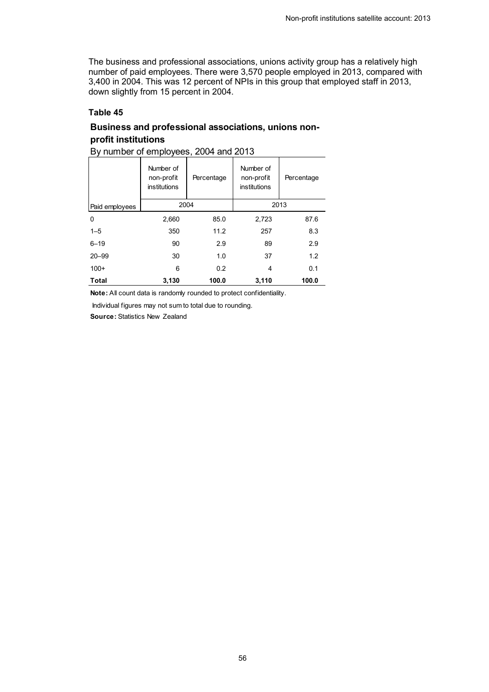The business and professional associations, unions activity group has a relatively high number of paid employees. There were 3,570 people employed in 2013, compared with 3,400 in 2004. This was 12 percent of NPIs in this group that employed staff in 2013, down slightly from 15 percent in 2004.

### **Table 45**

### <span id="page-55-0"></span>**Business and professional associations, unions nonprofit institutions**

| Dy Humber OF Employees, 2004 and 2013 |                                                |            |                                         |            |  |
|---------------------------------------|------------------------------------------------|------------|-----------------------------------------|------------|--|
|                                       | Number of<br>non-profit<br><i>institutions</i> | Percentage | Number of<br>non-profit<br>institutions | Percentage |  |
| Paid employees                        | 2004                                           |            |                                         | 2013       |  |
| 0                                     | 2,660                                          | 85.0       | 2,723                                   | 87.6       |  |
| $1 - 5$                               | 350                                            | 11.2       | 257                                     | 8.3        |  |
| $6 - 19$                              | 90                                             | 2.9        | 89                                      | 2.9        |  |
| $20 - 99$                             | 30                                             | 1.0        | 37                                      | 1.2        |  |
| $100+$                                | 6                                              | 0.2        | 4                                       | 0.1        |  |
| Total                                 | 3,130                                          | 100.0      | 3,110                                   | 100.0      |  |

By number of employees, 2004 and 2013

**Note:** All count data is randomly rounded to protect confidentiality.

Individual figures may not sum to total due to rounding.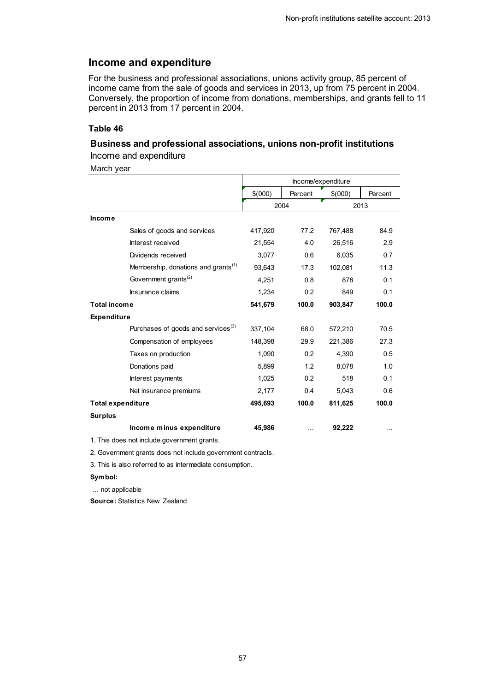### **Income and expenditure**

For the business and professional associations, unions activity group, 85 percent of income came from the sale of goods and services in 2013, up from 75 percent in 2004. Conversely, the proportion of income from donations, memberships, and grants fell to 11 percent in 2013 from 17 percent in 2004.

#### **Table 46**

### <span id="page-56-0"></span>**Business and professional associations, unions non-profit institutions** Income and expenditure

March year

|                                  |                                                 | Income/expenditure |         |         |         |
|----------------------------------|-------------------------------------------------|--------------------|---------|---------|---------|
|                                  |                                                 | \$(000)            | Percent | \$(000) | Percent |
|                                  |                                                 |                    | 2004    | 2013    |         |
| Income                           |                                                 |                    |         |         |         |
| Sales of goods and services      |                                                 | 417,920            | 77.2    | 767,488 | 84.9    |
| Interest received                |                                                 | 21,554             | 4.0     | 26,516  | 2.9     |
| Dividends received               |                                                 | 3,077              | 0.6     | 6,035   | 0.7     |
|                                  | Membership, donations and grants <sup>(1)</sup> | 93,643             | 17.3    | 102,081 | 11.3    |
| Government grants <sup>(2)</sup> |                                                 | 4,251              | 0.8     | 878     | 0.1     |
| Insurance claims                 |                                                 | 1,234              | 0.2     | 849     | 0.1     |
| <b>Total income</b>              | 541,679<br>100.0                                |                    | 903,847 | 100.0   |         |
| <b>Expenditure</b>               |                                                 |                    |         |         |         |
|                                  | Purchases of goods and services <sup>(3)</sup>  | 337,104            | 68.0    | 572,210 | 70.5    |
| Compensation of employees        |                                                 | 148,398            | 29.9    | 221,386 | 27.3    |
| Taxes on production              |                                                 | 1,090              | 0.2     | 4,390   | 0.5     |
| Donations paid                   |                                                 | 5,899              | 1.2     | 8,078   | 1.0     |
| Interest payments                |                                                 | 1,025              | 0.2     | 518     | 0.1     |
| Net insurance premiums           |                                                 | 2,177              | 0.4     | 5,043   | 0.6     |
| <b>Total expenditure</b>         |                                                 | 495,693            | 100.0   | 811,625 | 100.0   |
| <b>Surplus</b>                   |                                                 |                    |         |         |         |
|                                  | Income minus expenditure                        | 45,986             | .       | 92,222  | .       |

1. This does not include government grants.

2. Government grants does not include government contracts.

3. This is also referred to as intermediate consumption.

#### **Symbol:**

… not applicable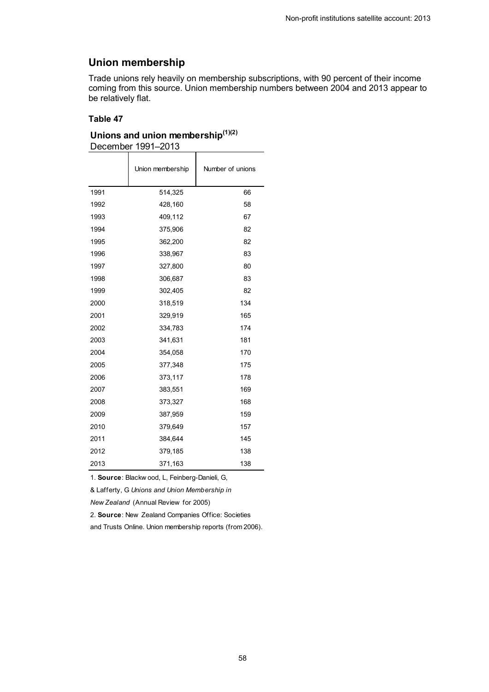## **Union membership**

Trade unions rely heavily on membership subscriptions, with 90 percent of their income coming from this source. Union membership numbers between 2004 and 2013 appear to be relatively flat.

#### **Table 47**

### <span id="page-57-0"></span>**Unions and union membership(1)(2)** December 1991–2013

|      | Union membership | Number of unions |
|------|------------------|------------------|
| 1991 | 514,325          | 66               |
| 1992 | 428,160          | 58               |
| 1993 | 409,112          | 67               |
| 1994 | 375,906          | 82               |
| 1995 | 362,200          | 82               |
| 1996 | 338,967          | 83               |
| 1997 | 327,800          | 80               |
| 1998 | 306,687          | 83               |
| 1999 | 302,405          | 82               |
| 2000 | 318,519          | 134              |
| 2001 | 329,919          | 165              |
| 2002 | 334,783          | 174              |
| 2003 | 341,631          | 181              |
| 2004 | 354,058          | 170              |
| 2005 | 377,348          | 175              |
| 2006 | 373,117          | 178              |
| 2007 | 383,551          | 169              |
| 2008 | 373,327          | 168              |
| 2009 | 387,959          | 159              |
| 2010 | 379,649          | 157              |
| 2011 | 384,644          | 145              |
| 2012 | 379,185          | 138              |
| 2013 | 371,163          | 138              |

1. **Source**: Blackw ood, L, Feinberg-Danieli, G,

& Lafferty, G *Unions and Union Membership in* 

*New Zealand* (Annual Review for 2005)

2. **Source**: New Zealand Companies Office: Societies

and Trusts Online. Union membership reports (from 2006).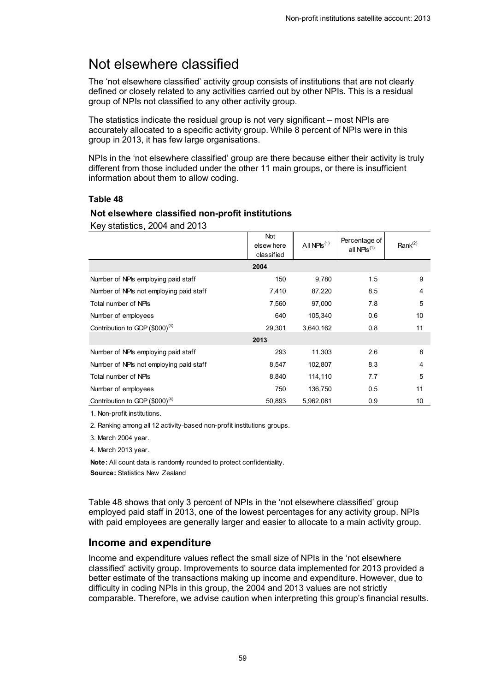## <span id="page-58-0"></span>Not elsewhere classified

The 'not elsewhere classified' activity group consists of institutions that are not clearly defined or closely related to any activities carried out by other NPIs. This is a residual group of NPIs not classified to any other activity group.

The statistics indicate the residual group is not very significant – most NPIs are accurately allocated to a specific activity group. While 8 percent of NPIs were in this group in 2013, it has few large organisations.

NPIs in the 'not elsewhere classified' group are there because either their activity is truly different from those included under the other 11 main groups, or there is insufficient information about them to allow coding.

#### **Table 48**

#### <span id="page-58-1"></span>**Not elsewhere classified non-profit institutions**

Key statistics, 2004 and 2013

|                                         | Not<br>elsew here<br>classified | All $NPIS^{(1)}$ | Percentage of<br>all NPIs $(1)$ | Rank <sup>(2)</sup> |
|-----------------------------------------|---------------------------------|------------------|---------------------------------|---------------------|
|                                         | 2004                            |                  |                                 |                     |
| Number of NPIs employing paid staff     | 150                             | 9,780            | 1.5                             | 9                   |
| Number of NPIs not employing paid staff | 7,410                           | 87,220           | 8.5                             | 4                   |
| Total number of NPIs                    | 7,560                           | 97,000           | 7.8                             | 5                   |
| Number of employees                     | 640                             | 105,340          | 0.6                             | 10                  |
| Contribution to GDP $(\$000)^{(3)}$     | 29,301                          | 3,640,162        | 0.8                             | 11                  |
|                                         | 2013                            |                  |                                 |                     |
| Number of NPIs employing paid staff     | 293                             | 11,303           | 2.6                             | 8                   |
| Number of NPIs not employing paid staff | 8,547                           | 102,807          | 8.3                             | 4                   |
| Total number of NPIs                    | 8,840                           | 114,110          | 7.7                             | 5                   |
| Number of employees                     | 750                             | 136,750          | 0.5                             | 11                  |
| Contribution to GDP $(\$000)^{(4)}$     | 50,893                          | 5,962,081        | 0.9                             | 10                  |

1. Non-profit institutions.

2. Ranking among all 12 activity-based non-profit institutions groups.

3. March 2004 year.

4. March 2013 year.

**Note:** All count data is randomly rounded to protect confidentiality.

**Source:** Statistics New Zealand

Table 48 shows that only 3 percent of NPIs in the 'not elsewhere classified' group employed paid staff in 2013, one of the lowest percentages for any activity group. NPIs with paid employees are generally larger and easier to allocate to a main activity group.

### **Income and expenditure**

Income and expenditure values reflect the small size of NPIs in the 'not elsewhere classified' activity group. Improvements to source data implemented for 2013 provided a better estimate of the transactions making up income and expenditure. However, due to difficulty in coding NPIs in this group, the 2004 and 2013 values are not strictly comparable. Therefore, we advise caution when interpreting this group's financial results.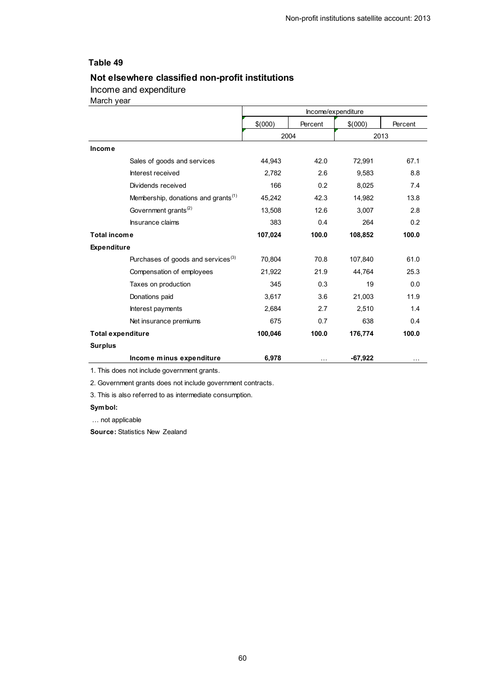### <span id="page-59-0"></span>**Not elsewhere classified non-profit institutions**

Income and expenditure

March year

|                          |                                                 | Income/expenditure |         |           |         |
|--------------------------|-------------------------------------------------|--------------------|---------|-----------|---------|
|                          |                                                 | \$(000)            | Percent | \$(000)   | Percent |
|                          |                                                 | 2004               |         |           | 2013    |
| <b>Income</b>            |                                                 |                    |         |           |         |
|                          | Sales of goods and services                     | 44,943             | 42.0    | 72,991    | 67.1    |
|                          | Interest received                               | 2,782              | 2.6     | 9,583     | 8.8     |
|                          | Dividends received                              | 166                | 0.2     | 8,025     | 7.4     |
|                          | Membership, donations and grants <sup>(1)</sup> | 45,242             | 42.3    | 14,982    | 13.8    |
|                          | Government grants <sup>(2)</sup>                | 13,508             | 12.6    | 3,007     | 2.8     |
|                          | Insurance claims                                | 383                | 0.4     | 264       | 0.2     |
| <b>Total income</b>      |                                                 | 107,024            | 100.0   | 108,852   | 100.0   |
| <b>Expenditure</b>       |                                                 |                    |         |           |         |
|                          | Purchases of goods and services <sup>(3)</sup>  | 70,804             | 70.8    | 107,840   | 61.0    |
|                          | Compensation of employees                       | 21,922             | 21.9    | 44,764    | 25.3    |
|                          | Taxes on production                             | 345                | 0.3     | 19        | 0.0     |
|                          | Donations paid                                  | 3,617              | 3.6     | 21,003    | 11.9    |
|                          | Interest payments                               | 2,684              | 2.7     | 2,510     | 1.4     |
|                          | Net insurance premiums                          | 675                | 0.7     | 638       | 0.4     |
| <b>Total expenditure</b> |                                                 | 100,046            | 100.0   | 176,774   | 100.0   |
| <b>Surplus</b>           |                                                 |                    |         |           |         |
|                          | Income minus expenditure                        | 6,978              |         | $-67,922$ |         |

1. This does not include government grants.

2. Government grants does not include government contracts.

3. This is also referred to as intermediate consumption.

#### **Symbol:**

… not applicable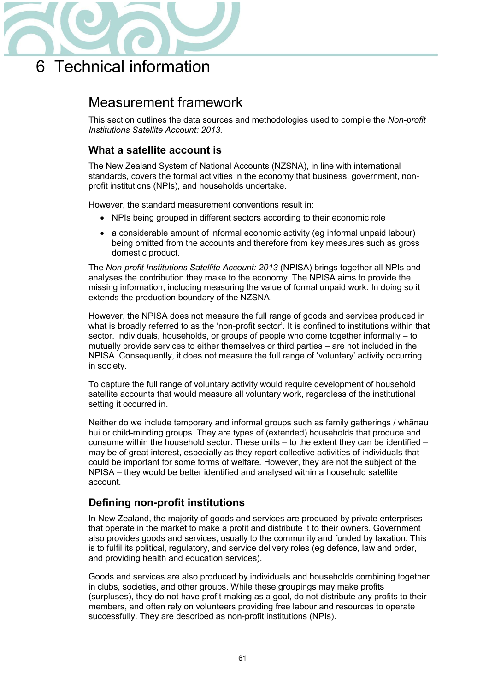

## <span id="page-60-1"></span><span id="page-60-0"></span>Measurement framework

This section outlines the data sources and methodologies used to compile the *Non-profit Institutions Satellite Account: 2013.*

### **What a satellite account is**

The New Zealand System of National Accounts (NZSNA), in line with international standards, covers the formal activities in the economy that business, government, nonprofit institutions (NPIs), and households undertake.

However, the standard measurement conventions result in:

- NPIs being grouped in different sectors according to their economic role
- a considerable amount of informal economic activity (eg informal unpaid labour) being omitted from the accounts and therefore from key measures such as gross domestic product.

The *Non-profit Institutions Satellite Account: 2013* (NPISA) brings together all NPIs and analyses the contribution they make to the economy. The NPISA aims to provide the missing information, including measuring the value of formal unpaid work. In doing so it extends the production boundary of the NZSNA.

However, the NPISA does not measure the full range of goods and services produced in what is broadly referred to as the 'non-profit sector'. It is confined to institutions within that sector. Individuals, households, or groups of people who come together informally – to mutually provide services to either themselves or third parties – are not included in the NPISA. Consequently, it does not measure the full range of 'voluntary' activity occurring in society.

To capture the full range of voluntary activity would require development of household satellite accounts that would measure all voluntary work, regardless of the institutional setting it occurred in.

Neither do we include temporary and informal groups such as family gatherings / whānau hui or child-minding groups. They are types of (extended) households that produce and consume within the household sector. These units – to the extent they can be identified – may be of great interest, especially as they report collective activities of individuals that could be important for some forms of welfare. However, they are not the subject of the NPISA – they would be better identified and analysed within a household satellite account.

### **Defining non-profit institutions**

In New Zealand, the majority of goods and services are produced by private enterprises that operate in the market to make a profit and distribute it to their owners. Government also provides goods and services, usually to the community and funded by taxation. This is to fulfil its political, regulatory, and service delivery roles (eg defence, law and order, and providing health and education services).

Goods and services are also produced by individuals and households combining together in clubs, societies, and other groups. While these groupings may make profits (surpluses), they do not have profit-making as a goal, do not distribute any profits to their members, and often rely on volunteers providing free labour and resources to operate successfully. They are described as non-profit institutions (NPIs).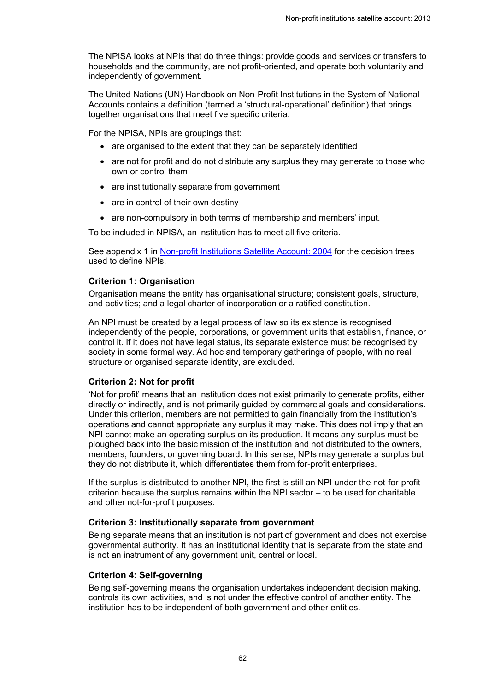The NPISA looks at NPIs that do three things: provide goods and services or transfers to households and the community, are not profit-oriented, and operate both voluntarily and independently of government.

The United Nations (UN) Handbook on Non-Profit Institutions in the System of National Accounts contains a definition (termed a 'structural-operational' definition) that brings together organisations that meet five specific criteria.

For the NPISA, NPIs are groupings that:

- are organised to the extent that they can be separately identified
- are not for profit and do not distribute any surplus they may generate to those who own or control them
- are institutionally separate from government
- $\bullet$  are in control of their own destiny
- are non-compulsory in both terms of membership and members' input.

To be included in NPISA, an institution has to meet all five criteria.

See appendix 1 in [Non-profit Institutions Satellite Account: 2004](http://www.stats.govt.nz/tools_and_services/a-z-information-releases/non-profit-institutions-satellite-account-2004.aspx) for the decision trees used to define NPIs.

#### **Criterion 1: Organisation**

Organisation means the entity has organisational structure; consistent goals, structure, and activities; and a legal charter of incorporation or a ratified constitution.

An NPI must be created by a legal process of law so its existence is recognised independently of the people, corporations, or government units that establish, finance, or control it. If it does not have legal status, its separate existence must be recognised by society in some formal way. Ad hoc and temporary gatherings of people, with no real structure or organised separate identity, are excluded.

#### **Criterion 2: Not for profit**

'Not for profit' means that an institution does not exist primarily to generate profits, either directly or indirectly, and is not primarily guided by commercial goals and considerations. Under this criterion, members are not permitted to gain financially from the institution's operations and cannot appropriate any surplus it may make. This does not imply that an NPI cannot make an operating surplus on its production. It means any surplus must be ploughed back into the basic mission of the institution and not distributed to the owners, members, founders, or governing board. In this sense, NPIs may generate a surplus but they do not distribute it, which differentiates them from for-profit enterprises.

If the surplus is distributed to another NPI, the first is still an NPI under the not-for-profit criterion because the surplus remains within the NPI sector – to be used for charitable and other not-for-profit purposes.

#### **Criterion 3: Institutionally separate from government**

Being separate means that an institution is not part of government and does not exercise governmental authority. It has an institutional identity that is separate from the state and is not an instrument of any government unit, central or local.

### **Criterion 4: Self-governing**

Being self-governing means the organisation undertakes independent decision making, controls its own activities, and is not under the effective control of another entity. The institution has to be independent of both government and other entities.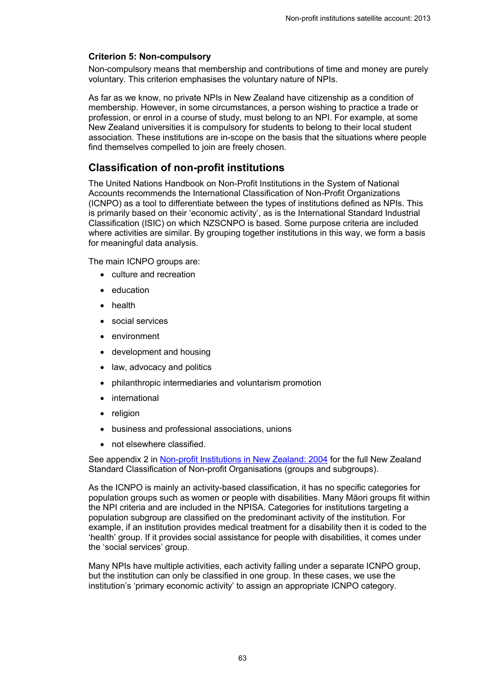### **Criterion 5: Non-compulsory**

Non-compulsory means that membership and contributions of time and money are purely voluntary. This criterion emphasises the voluntary nature of NPIs.

As far as we know, no private NPIs in New Zealand have citizenship as a condition of membership. However, in some circumstances, a person wishing to practice a trade or profession, or enrol in a course of study, must belong to an NPI. For example, at some New Zealand universities it is compulsory for students to belong to their local student association. These institutions are in-scope on the basis that the situations where people find themselves compelled to join are freely chosen.

## **Classification of non-profit institutions**

The United Nations Handbook on Non-Profit Institutions in the System of National Accounts recommends the International Classification of Non-Profit Organizations (ICNPO) as a tool to differentiate between the types of institutions defined as NPIs. This is primarily based on their 'economic activity', as is the International Standard Industrial Classification (ISIC) on which NZSCNPO is based. Some purpose criteria are included where activities are similar. By grouping together institutions in this way, we form a basis for meaningful data analysis.

The main ICNPO groups are:

- culture and recreation
- education
- health
- social services
- environment
- development and housing
- law, advocacy and politics
- x philanthropic intermediaries and voluntarism promotion
- international
- religion
- business and professional associations, unions
- not elsewhere classified.

See appendix 2 in [Non-profit Institutions in New Zealand: 2004](http://www.stats.govt.nz/tools_and_services/a-z-information-releases/non-profit-institutions-satellite-account-2004.aspx) for the full New Zealand Standard Classification of Non-profit Organisations (groups and subgroups).

As the ICNPO is mainly an activity-based classification, it has no specific categories for population groups such as women or people with disabilities. Many Māori groups fit within the NPI criteria and are included in the NPISA. Categories for institutions targeting a population subgroup are classified on the predominant activity of the institution. For example, if an institution provides medical treatment for a disability then it is coded to the 'health' group. If it provides social assistance for people with disabilities, it comes under the 'social services' group.

Many NPIs have multiple activities, each activity falling under a separate ICNPO group, but the institution can only be classified in one group. In these cases, we use the institution's 'primary economic activity' to assign an appropriate ICNPO category.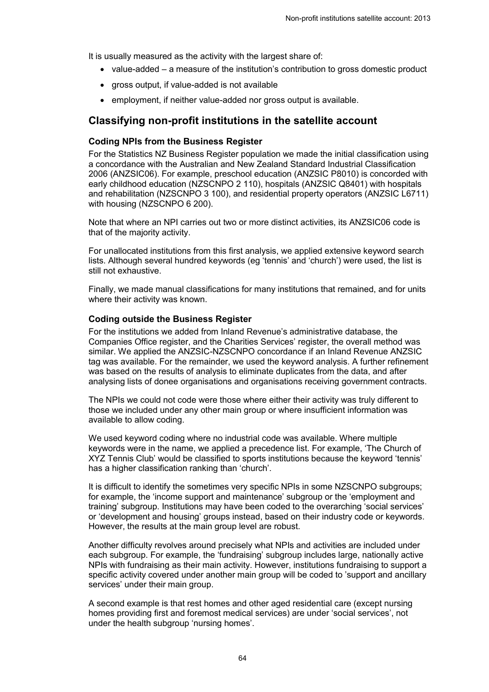It is usually measured as the activity with the largest share of:

- $\bullet$  value-added a measure of the institution's contribution to gross domestic product
- gross output, if value-added is not available
- employment, if neither value-added nor gross output is available.

### **Classifying non-profit institutions in the satellite account**

### **Coding NPIs from the Business Register**

For the Statistics NZ Business Register population we made the initial classification using a concordance with the Australian and New Zealand Standard Industrial Classification 2006 (ANZSIC06). For example, preschool education (ANZSIC P8010) is concorded with early childhood education (NZSCNPO 2 110), hospitals (ANZSIC Q8401) with hospitals and rehabilitation (NZSCNPO 3 100), and residential property operators (ANZSIC L6711) with housing (NZSCNPO 6 200).

Note that where an NPI carries out two or more distinct activities, its ANZSIC06 code is that of the majority activity.

For unallocated institutions from this first analysis, we applied extensive keyword search lists. Although several hundred keywords (eg 'tennis' and 'church') were used, the list is still not exhaustive.

Finally, we made manual classifications for many institutions that remained, and for units where their activity was known.

#### **Coding outside the Business Register**

For the institutions we added from Inland Revenue's administrative database, the Companies Office register, and the Charities Services' register, the overall method was similar. We applied the ANZSIC-NZSCNPO concordance if an Inland Revenue ANZSIC tag was available. For the remainder, we used the keyword analysis. A further refinement was based on the results of analysis to eliminate duplicates from the data, and after analysing lists of donee organisations and organisations receiving government contracts.

The NPIs we could not code were those where either their activity was truly different to those we included under any other main group or where insufficient information was available to allow coding.

We used keyword coding where no industrial code was available. Where multiple keywords were in the name, we applied a precedence list. For example, 'The Church of XYZ Tennis Club' would be classified to sports institutions because the keyword 'tennis' has a higher classification ranking than 'church'.

It is difficult to identify the sometimes very specific NPIs in some NZSCNPO subgroups; for example, the 'income support and maintenance' subgroup or the 'employment and training' subgroup. Institutions may have been coded to the overarching 'social services' or 'development and housing' groups instead, based on their industry code or keywords. However, the results at the main group level are robust.

Another difficulty revolves around precisely what NPIs and activities are included under each subgroup. For example, the 'fundraising' subgroup includes large, nationally active NPIs with fundraising as their main activity. However, institutions fundraising to support a specific activity covered under another main group will be coded to 'support and ancillary services' under their main group.

A second example is that rest homes and other aged residential care (except nursing homes providing first and foremost medical services) are under 'social services', not under the health subgroup 'nursing homes'.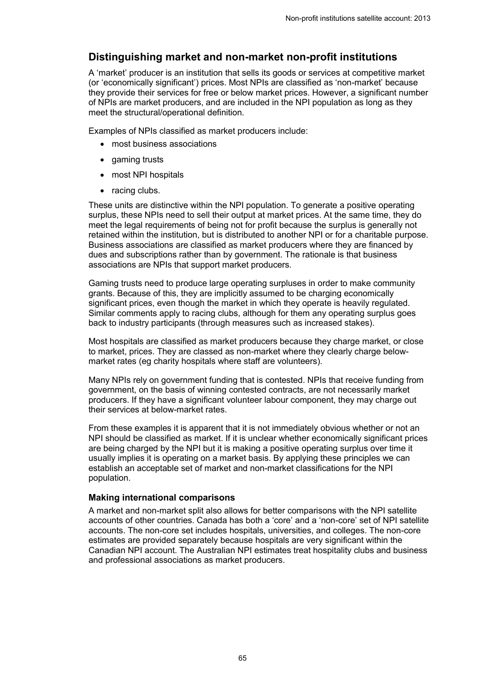### **Distinguishing market and non-market non-profit institutions**

A 'market' producer is an institution that sells its goods or services at competitive market (or 'economically significant') prices. Most NPIs are classified as 'non-market' because they provide their services for free or below market prices. However, a significant number of NPIs are market producers, and are included in the NPI population as long as they meet the structural/operational definition.

Examples of NPIs classified as market producers include:

- most business associations
- $\bullet$  gaming trusts
- most NPI hospitals
- $\bullet$  racing clubs.

These units are distinctive within the NPI population. To generate a positive operating surplus, these NPIs need to sell their output at market prices. At the same time, they do meet the legal requirements of being not for profit because the surplus is generally not retained within the institution, but is distributed to another NPI or for a charitable purpose. Business associations are classified as market producers where they are financed by dues and subscriptions rather than by government. The rationale is that business associations are NPIs that support market producers.

Gaming trusts need to produce large operating surpluses in order to make community grants. Because of this, they are implicitly assumed to be charging economically significant prices, even though the market in which they operate is heavily regulated. Similar comments apply to racing clubs, although for them any operating surplus goes back to industry participants (through measures such as increased stakes).

Most hospitals are classified as market producers because they charge market, or close to market, prices. They are classed as non-market where they clearly charge belowmarket rates (eg charity hospitals where staff are volunteers).

Many NPIs rely on government funding that is contested. NPIs that receive funding from government, on the basis of winning contested contracts, are not necessarily market producers. If they have a significant volunteer labour component, they may charge out their services at below-market rates.

From these examples it is apparent that it is not immediately obvious whether or not an NPI should be classified as market. If it is unclear whether economically significant prices are being charged by the NPI but it is making a positive operating surplus over time it usually implies it is operating on a market basis. By applying these principles we can establish an acceptable set of market and non-market classifications for the NPI population.

### **Making international comparisons**

A market and non-market split also allows for better comparisons with the NPI satellite accounts of other countries. Canada has both a 'core' and a 'non-core' set of NPI satellite accounts. The non-core set includes hospitals, universities, and colleges. The non-core estimates are provided separately because hospitals are very significant within the Canadian NPI account. The Australian NPI estimates treat hospitality clubs and business and professional associations as market producers.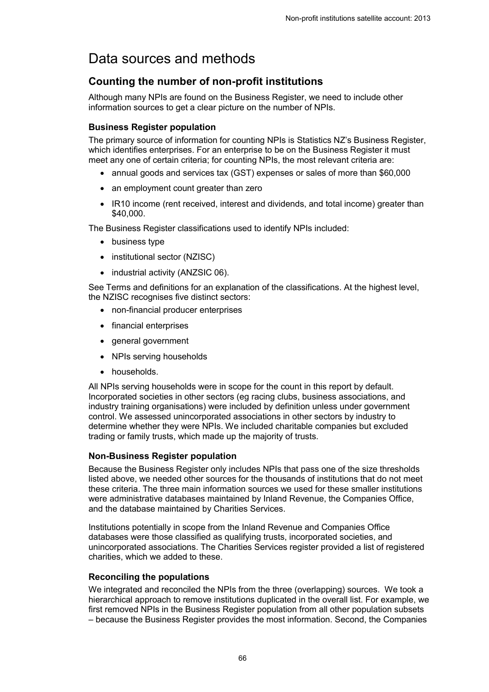## <span id="page-65-0"></span>Data sources and methods

## **Counting the number of non-profit institutions**

Although many NPIs are found on the Business Register, we need to include other information sources to get a clear picture on the number of NPIs.

#### **Business Register population**

The primary source of information for counting NPIs is Statistics NZ's Business Register, which identifies enterprises. For an enterprise to be on the Business Register it must meet any one of certain criteria; for counting NPIs, the most relevant criteria are:

- annual goods and services tax (GST) expenses or sales of more than \$60,000
- an employment count greater than zero
- IR10 income (rent received, interest and dividends, and total income) greater than \$40,000.

The Business Register classifications used to identify NPIs included:

- $\bullet$  business type
- institutional sector (NZISC)
- $\bullet$  industrial activity (ANZSIC 06).

See Terms and definitions for an explanation of the classifications. At the highest level, the NZISC recognises five distinct sectors:

- non-financial producer enterprises
- financial enterprises
- general government
- NPIs serving households
- households.

All NPIs serving households were in scope for the count in this report by default. Incorporated societies in other sectors (eg racing clubs, business associations, and industry training organisations) were included by definition unless under government control. We assessed unincorporated associations in other sectors by industry to determine whether they were NPIs. We included charitable companies but excluded trading or family trusts, which made up the majority of trusts.

#### **Non-Business Register population**

Because the Business Register only includes NPIs that pass one of the size thresholds listed above, we needed other sources for the thousands of institutions that do not meet these criteria. The three main information sources we used for these smaller institutions were administrative databases maintained by Inland Revenue, the Companies Office, and the database maintained by Charities Services.

Institutions potentially in scope from the Inland Revenue and Companies Office databases were those classified as qualifying trusts, incorporated societies, and unincorporated associations. The Charities Services register provided a list of registered charities, which we added to these.

#### **Reconciling the populations**

We integrated and reconciled the NPIs from the three (overlapping) sources. We took a hierarchical approach to remove institutions duplicated in the overall list. For example, we first removed NPIs in the Business Register population from all other population subsets – because the Business Register provides the most information. Second, the Companies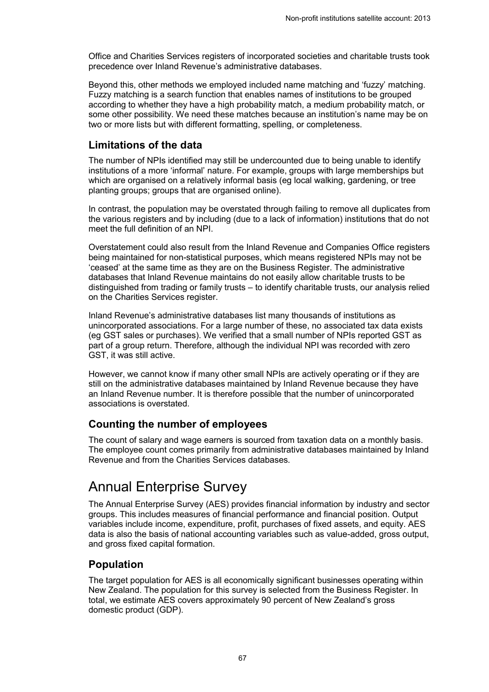Office and Charities Services registers of incorporated societies and charitable trusts took precedence over Inland Revenue's administrative databases.

Beyond this, other methods we employed included name matching and 'fuzzy' matching. Fuzzy matching is a search function that enables names of institutions to be grouped according to whether they have a high probability match, a medium probability match, or some other possibility. We need these matches because an institution's name may be on two or more lists but with different formatting, spelling, or completeness.

### **Limitations of the data**

The number of NPIs identified may still be undercounted due to being unable to identify institutions of a more 'informal' nature. For example, groups with large memberships but which are organised on a relatively informal basis (eg local walking, gardening, or tree planting groups; groups that are organised online).

In contrast, the population may be overstated through failing to remove all duplicates from the various registers and by including (due to a lack of information) institutions that do not meet the full definition of an NPI.

Overstatement could also result from the Inland Revenue and Companies Office registers being maintained for non-statistical purposes, which means registered NPIs may not be 'ceased' at the same time as they are on the Business Register. The administrative databases that Inland Revenue maintains do not easily allow charitable trusts to be distinguished from trading or family trusts – to identify charitable trusts, our analysis relied on the Charities Services register.

Inland Revenue's administrative databases list many thousands of institutions as unincorporated associations. For a large number of these, no associated tax data exists (eg GST sales or purchases). We verified that a small number of NPIs reported GST as part of a group return. Therefore, although the individual NPI was recorded with zero GST, it was still active.

However, we cannot know if many other small NPIs are actively operating or if they are still on the administrative databases maintained by Inland Revenue because they have an Inland Revenue number. It is therefore possible that the number of unincorporated associations is overstated.

### **Counting the number of employees**

The count of salary and wage earners is sourced from taxation data on a monthly basis. The employee count comes primarily from administrative databases maintained by Inland Revenue and from the Charities Services databases.

## <span id="page-66-0"></span>Annual Enterprise Survey

The Annual Enterprise Survey (AES) provides financial information by industry and sector groups. This includes measures of financial performance and financial position. Output variables include income, expenditure, profit, purchases of fixed assets, and equity. AES data is also the basis of national accounting variables such as value-added, gross output, and gross fixed capital formation.

### **Population**

The target population for AES is all economically significant businesses operating within New Zealand. The population for this survey is selected from the Business Register. In total, we estimate AES covers approximately 90 percent of New Zealand's gross domestic product (GDP).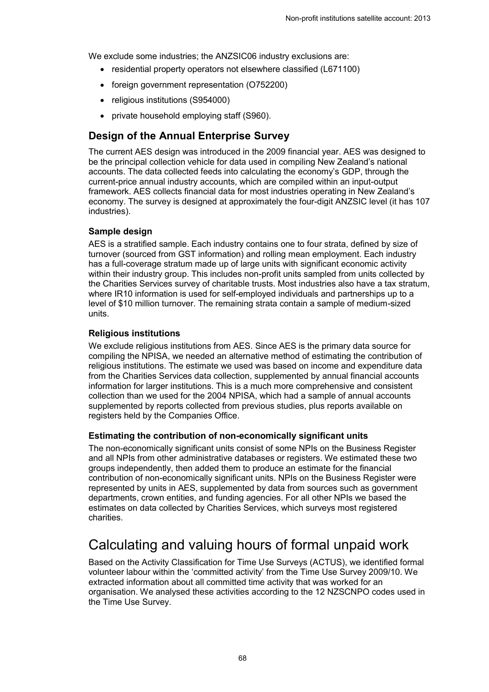We exclude some industries; the ANZSIC06 industry exclusions are:

- residential property operators not elsewhere classified (L671100)
- foreign government representation (O752200)
- religious institutions (S954000)
- private household employing staff (S960).

### **Design of the Annual Enterprise Survey**

The current AES design was introduced in the 2009 financial year. AES was designed to be the principal collection vehicle for data used in compiling New Zealand's national accounts. The data collected feeds into calculating the economy's GDP, through the current-price annual industry accounts, which are compiled within an input-output framework. AES collects financial data for most industries operating in New Zealand's economy. The survey is designed at approximately the four-digit ANZSIC level (it has 107 industries).

### **Sample design**

AES is a stratified sample. Each industry contains one to four strata, defined by size of turnover (sourced from GST information) and rolling mean employment. Each industry has a full-coverage stratum made up of large units with significant economic activity within their industry group. This includes non-profit units sampled from units collected by the Charities Services survey of charitable trusts. Most industries also have a tax stratum, where IR10 information is used for self-employed individuals and partnerships up to a level of \$10 million turnover. The remaining strata contain a sample of medium-sized units.

### **Religious institutions**

We exclude religious institutions from AES. Since AES is the primary data source for compiling the NPISA, we needed an alternative method of estimating the contribution of religious institutions. The estimate we used was based on income and expenditure data from the Charities Services data collection, supplemented by annual financial accounts information for larger institutions. This is a much more comprehensive and consistent collection than we used for the 2004 NPISA, which had a sample of annual accounts supplemented by reports collected from previous studies, plus reports available on registers held by the Companies Office.

### **Estimating the contribution of non-economically significant units**

The non-economically significant units consist of some NPIs on the Business Register and all NPIs from other administrative databases or registers. We estimated these two groups independently, then added them to produce an estimate for the financial contribution of non-economically significant units. NPIs on the Business Register were represented by units in AES, supplemented by data from sources such as government departments, crown entities, and funding agencies. For all other NPIs we based the estimates on data collected by Charities Services, which surveys most registered charities.

## <span id="page-67-0"></span>Calculating and valuing hours of formal unpaid work

Based on the Activity Classification for Time Use Surveys (ACTUS), we identified formal volunteer labour within the 'committed activity' from the Time Use Survey 2009/10. We extracted information about all committed time activity that was worked for an organisation. We analysed these activities according to the 12 NZSCNPO codes used in the Time Use Survey.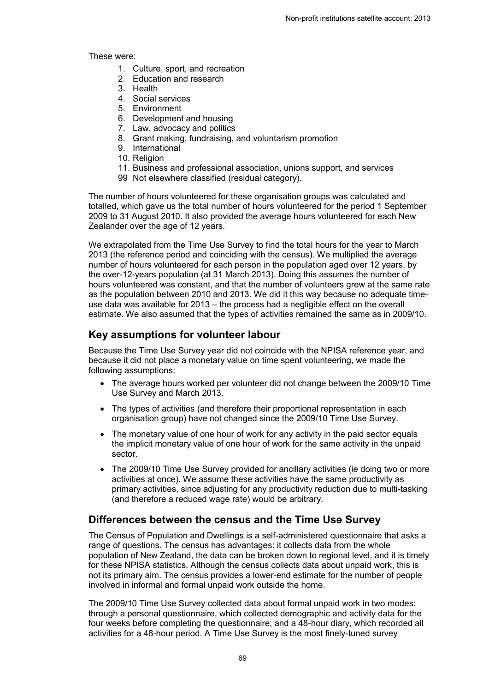These were:

- 1. Culture, sport, and recreation
- 2. Education and research
- 3. Health
- 4. Social services
- 5. Environment
- 6. Development and housing
- 7. Law, advocacy and politics
- 8. Grant making, fundraising, and voluntarism promotion
- 9. International
- 10. Religion
- 11. Business and professional association, unions support, and services
- 99 Not elsewhere classified (residual category).

The number of hours volunteered for these organisation groups was calculated and totalled, which gave us the total number of hours volunteered for the period 1 September 2009 to 31 August 2010. It also provided the average hours volunteered for each New Zealander over the age of 12 years.

We extrapolated from the Time Use Survey to find the total hours for the year to March 2013 (the reference period and coinciding with the census). We multiplied the average number of hours volunteered for each person in the population aged over 12 years, by the over-12-years population (at 31 March 2013). Doing this assumes the number of hours volunteered was constant, and that the number of volunteers grew at the same rate as the population between 2010 and 2013. We did it this way because no adequate timeuse data was available for 2013 – the process had a negligible effect on the overall estimate. We also assumed that the types of activities remained the same as in 2009/10.

### **Key assumptions for volunteer labour**

Because the Time Use Survey year did not coincide with the NPISA reference year, and because it did not place a monetary value on time spent volunteering, we made the following assumptions:

- The average hours worked per volunteer did not change between the 2009/10 Time Use Survey and March 2013.
- The types of activities (and therefore their proportional representation in each organisation group) have not changed since the 2009/10 Time Use Survey.
- The monetary value of one hour of work for any activity in the paid sector equals the implicit monetary value of one hour of work for the same activity in the unpaid sector.
- x The 2009/10 Time Use Survey provided for ancillary activities (ie doing two or more activities at once). We assume these activities have the same productivity as primary activities, since adjusting for any productivity reduction due to multi-tasking (and therefore a reduced wage rate) would be arbitrary.

### **Differences between the census and the Time Use Survey**

The Census of Population and Dwellings is a self-administered questionnaire that asks a range of questions. The census has advantages: it collects data from the whole population of New Zealand, the data can be broken down to regional level, and it is timely for these NPISA statistics. Although the census collects data about unpaid work, this is not its primary aim. The census provides a lower-end estimate for the number of people involved in informal and formal unpaid work outside the home.

The 2009/10 Time Use Survey collected data about formal unpaid work in two modes: through a personal questionnaire, which collected demographic and activity data for the four weeks before completing the questionnaire; and a 48-hour diary, which recorded all activities for a 48-hour period. A Time Use Survey is the most finely-tuned survey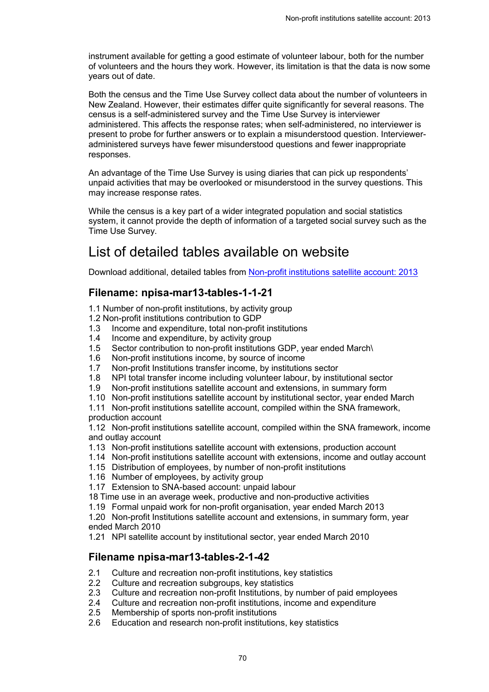instrument available for getting a good estimate of volunteer labour, both for the number of volunteers and the hours they work. However, its limitation is that the data is now some years out of date.

Both the census and the Time Use Survey collect data about the number of volunteers in New Zealand. However, their estimates differ quite significantly for several reasons. The census is a self-administered survey and the Time Use Survey is interviewer administered. This affects the response rates; when self-administered, no interviewer is present to probe for further answers or to explain a misunderstood question. Intervieweradministered surveys have fewer misunderstood questions and fewer inappropriate responses.

An advantage of the Time Use Survey is using diaries that can pick up respondents' unpaid activities that may be overlooked or misunderstood in the survey questions. This may increase response rates.

While the census is a key part of a wider integrated population and social statistics system, it cannot provide the depth of information of a targeted social survey such as the Time Use Survey.

## <span id="page-69-0"></span>List of detailed tables available on website

<span id="page-69-1"></span>Download additional, detailed tables from [Non-profit institutions satellite account: 2013](http://www.stats.govt.nz/browse_for_stats/economic_indicators/NationalAccounts/non-profit-institutions-2013.aspx)

### **Filename: npisa-mar13-tables-1-1-21**

- 1.1 Number of non-profit institutions, by activity group
- 1.2 Non-profit institutions contribution to GDP
- 1.3 Income and expenditure, total non-profit institutions
- 1.4 Income and expenditure, by activity group
- 1.5 Sector contribution to non-profit institutions GDP, year ended March\
- 1.6 Non-profit institutions income, by source of income
- 1.7 Non-profit Institutions transfer income, by institutions sector
- 1.8 NPI total transfer income including volunteer labour, by institutional sector
- 1.9 Non-profit institutions satellite account and extensions, in summary form
- 1.10 Non-profit institutions satellite account by institutional sector, year ended March

1.11 Non-profit institutions satellite account, compiled within the SNA framework, production account

1.12 Non-profit institutions satellite account, compiled within the SNA framework, income and outlay account

- 1.13 Non-profit institutions satellite account with extensions, production account
- 1.14 Non-profit institutions satellite account with extensions, income and outlay account
- 1.15 Distribution of employees, by number of non-profit institutions
- 1.16 Number of employees, by activity group
- 1.17 Extension to SNA-based account: unpaid labour
- 18 Time use in an average week, productive and non-productive activities

1.19 Formal unpaid work for non-profit organisation, year ended March 2013

1.20 Non-profit Institutions satellite account and extensions, in summary form, year ended March 2010

1.21 NPI satellite account by institutional sector, year ended March 2010

### **Filename npisa-mar13-tables-2-1-42**

- 2.1 Culture and recreation non-profit institutions, key statistics
- 2.2 Culture and recreation subgroups, key statistics
- 2.3 Culture and recreation non-profit Institutions, by number of paid employees
- 2.4 Culture and recreation non-profit institutions, income and expenditure
- 2.5 Membership of sports non-profit institutions
- 2.6 Education and research non-profit institutions, key statistics